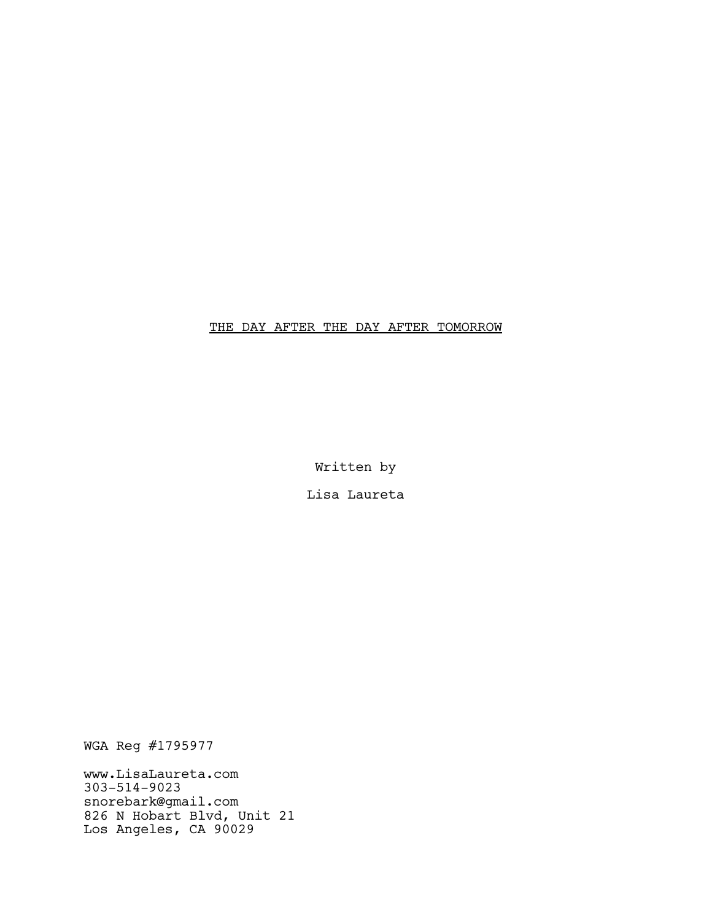# THE DAY AFTER THE DAY AFTER TOMORROW

Written by

Lisa Laureta

WGA Reg #1795977

www.LisaLaureta.com 303-514-9023 snorebark@gmail.com 826 N Hobart Blvd, Unit 21 Los Angeles, CA 90029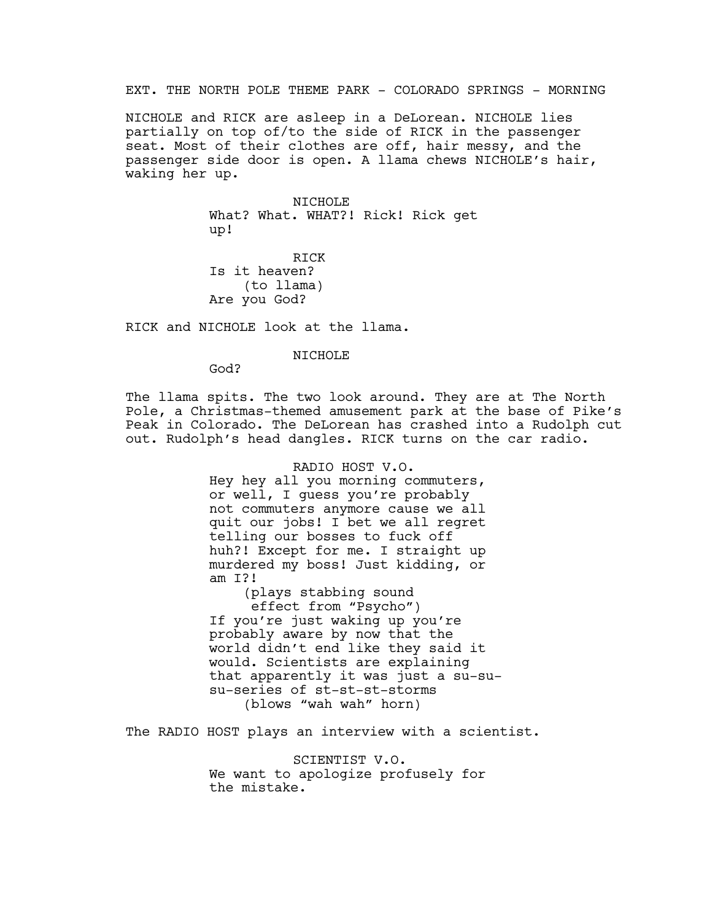EXT. THE NORTH POLE THEME PARK - COLORADO SPRINGS - MORNING

NICHOLE and RICK are asleep in a DeLorean. NICHOLE lies partially on top of/to the side of RICK in the passenger seat. Most of their clothes are off, hair messy, and the passenger side door is open. A llama chews NICHOLE's hair, waking her up.

> NICHOLE What? What. WHAT?! Rick! Rick get up!

RICK Is it heaven? (to llama) Are you God?

RICK and NICHOLE look at the llama.

## NICHOLE

God?

The llama spits. The two look around. They are at The North Pole, a Christmas-themed amusement park at the base of Pike's Peak in Colorado. The DeLorean has crashed into a Rudolph cut out. Rudolph's head dangles. RICK turns on the car radio.

> RADIO HOST V.O. Hey hey all you morning commuters, or well, I guess you're probably not commuters anymore cause we all quit our jobs! I bet we all regret telling our bosses to fuck off huh?! Except for me. I straight up murdered my boss! Just kidding, or am I?!

(plays stabbing sound effect from "Psycho") If you're just waking up you're probably aware by now that the world didn't end like they said it would. Scientists are explaining that apparently it was just a su-susu-series of st-st-st-storms (blows "wah wah" horn)

The RADIO HOST plays an interview with a scientist.

SCIENTIST V.O. We want to apologize profusely for the mistake.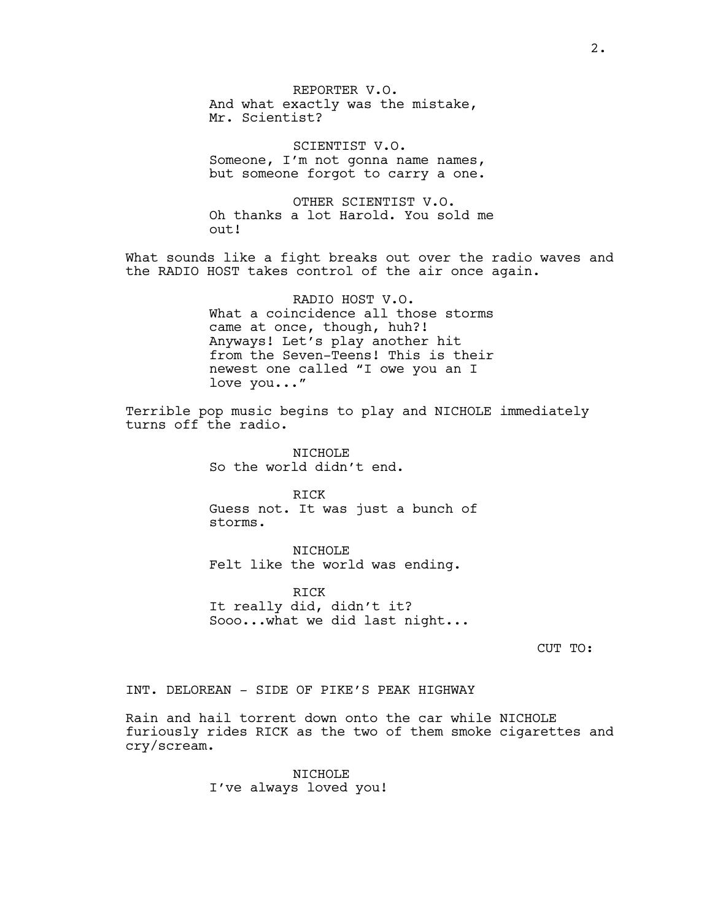REPORTER V.O. And what exactly was the mistake, Mr. Scientist?

SCIENTIST V.O. Someone, I'm not gonna name names, but someone forgot to carry a one.

OTHER SCIENTIST V.O. Oh thanks a lot Harold. You sold me out!

What sounds like a fight breaks out over the radio waves and the RADIO HOST takes control of the air once again.

> RADIO HOST V.O. What a coincidence all those storms came at once, though, huh?! Anyways! Let's play another hit from the Seven-Teens! This is their newest one called "I owe you an I love you..."

Terrible pop music begins to play and NICHOLE immediately turns off the radio.

> NICHOLE So the world didn't end.

RICK Guess not. It was just a bunch of storms.

NICHOLE Felt like the world was ending.

RICK It really did, didn't it? Sooo...what we did last night...

CUT TO:

# INT. DELOREAN - SIDE OF PIKE'S PEAK HIGHWAY

Rain and hail torrent down onto the car while NICHOLE furiously rides RICK as the two of them smoke cigarettes and cry/scream.

> NICHOLE I've always loved you!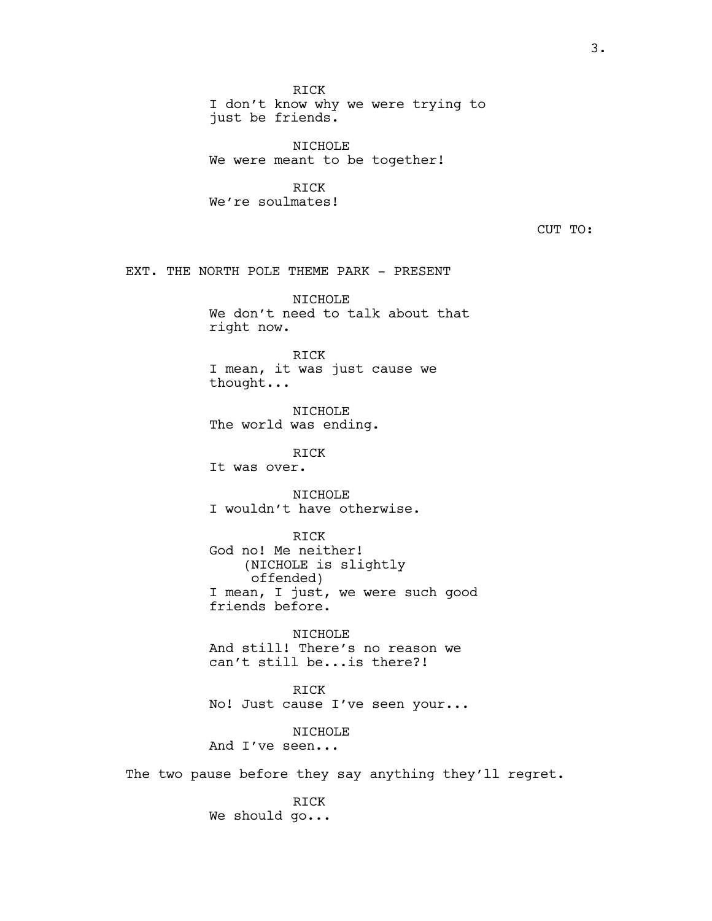RICK

I don't know why we were trying to just be friends.

NICHOLE We were meant to be together!

RICK We're soulmates!

CUT TO:

EXT. THE NORTH POLE THEME PARK - PRESENT

NICHOLE We don't need to talk about that right now.

RICK I mean, it was just cause we thought...

NICHOLE The world was ending.

RICK

It was over.

NTCHOLE I wouldn't have otherwise.

RICK

God no! Me neither! (NICHOLE is slightly offended) I mean, I just, we were such good friends before.

NICHOLE And still! There's no reason we can't still be...is there?!

RICK No! Just cause I've seen your...

NICHOLE And I've seen...

The two pause before they say anything they'll regret.

RICK We should go...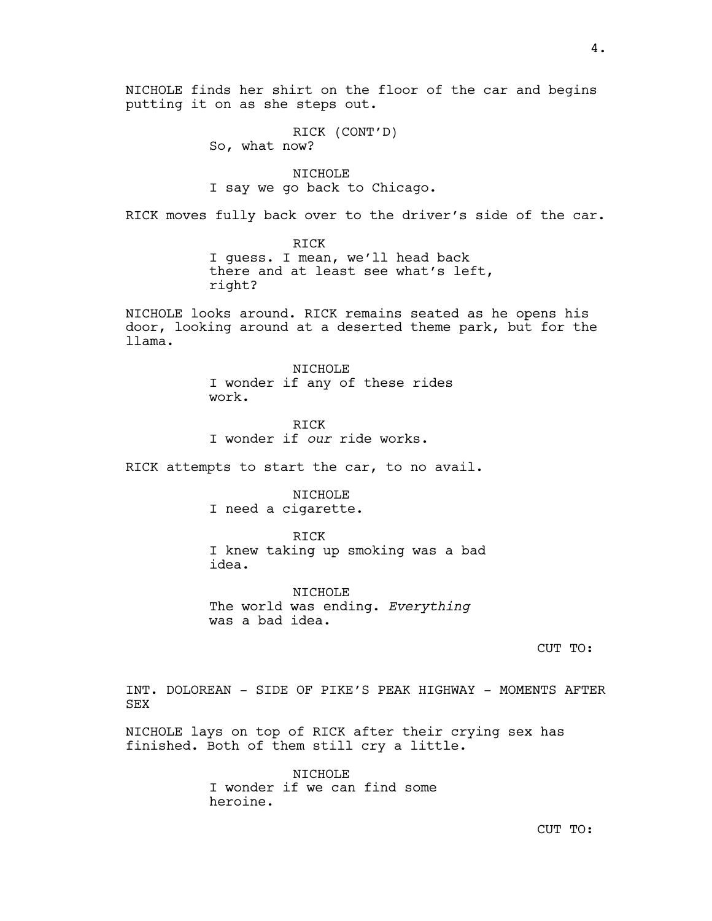RICK (CONT'D) So, what now?

NICHOLE I say we go back to Chicago.

RICK moves fully back over to the driver's side of the car.

RICK I guess. I mean, we'll head back there and at least see what's left, right?

NICHOLE looks around. RICK remains seated as he opens his door, looking around at a deserted theme park, but for the llama.

> NICHOLE I wonder if any of these rides work.

RICK I wonder if *our* ride works.

RICK attempts to start the car, to no avail.

NICHOLE I need a cigarette.

RICK I knew taking up smoking was a bad idea.

NICHOLE The world was ending. *Everything* was a bad idea.

CUT TO:

INT. DOLOREAN - SIDE OF PIKE'S PEAK HIGHWAY - MOMENTS AFTER SEX

NICHOLE lays on top of RICK after their crying sex has finished. Both of them still cry a little.

> NICHOLE I wonder if we can find some heroine.

> > CUT TO: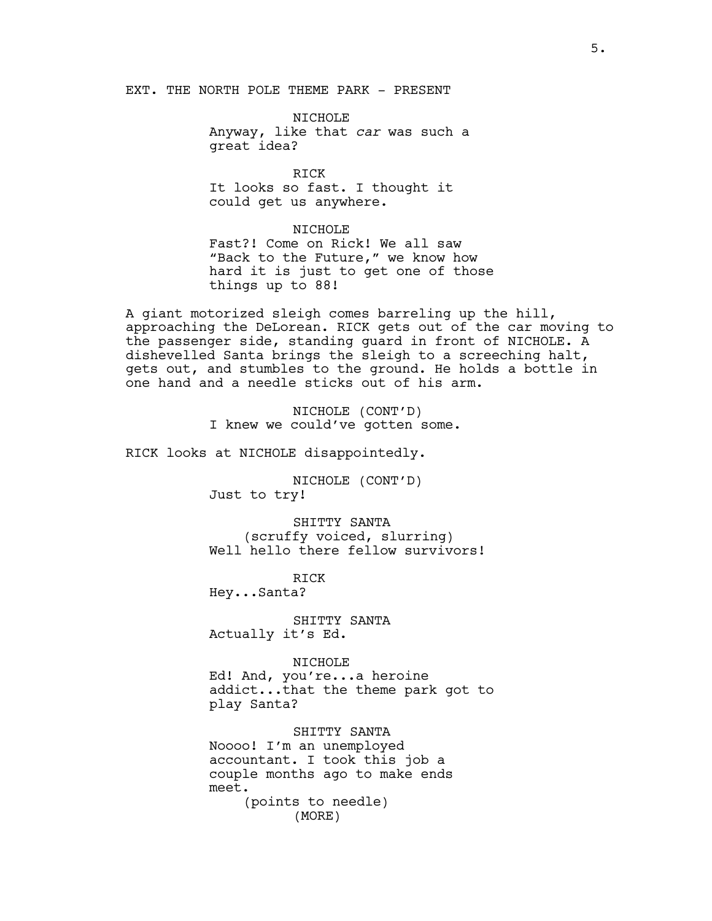EXT. THE NORTH POLE THEME PARK - PRESENT

NICHOLE Anyway, like that *car* was such a great idea?

RICK It looks so fast. I thought it could get us anywhere.

NICHOLE Fast?! Come on Rick! We all saw "Back to the Future," we know how hard it is just to get one of those things up to 88!

A giant motorized sleigh comes barreling up the hill, approaching the DeLorean. RICK gets out of the car moving to the passenger side, standing guard in front of NICHOLE. A dishevelled Santa brings the sleigh to a screeching halt, gets out, and stumbles to the ground. He holds a bottle in one hand and a needle sticks out of his arm.

> NICHOLE (CONT'D) I knew we could've gotten some.

RICK looks at NICHOLE disappointedly.

NICHOLE (CONT'D) Just to try!

SHITTY SANTA (scruffy voiced, slurring) Well hello there fellow survivors!

RICK Hey...Santa?

SHITTY SANTA Actually it's Ed.

#### NICHOLE

Ed! And, you're...a heroine addict...that the theme park got to play Santa?

SHITTY SANTA

Noooo! I'm an unemployed accountant. I took this job a couple months ago to make ends meet. (points to needle) (MORE)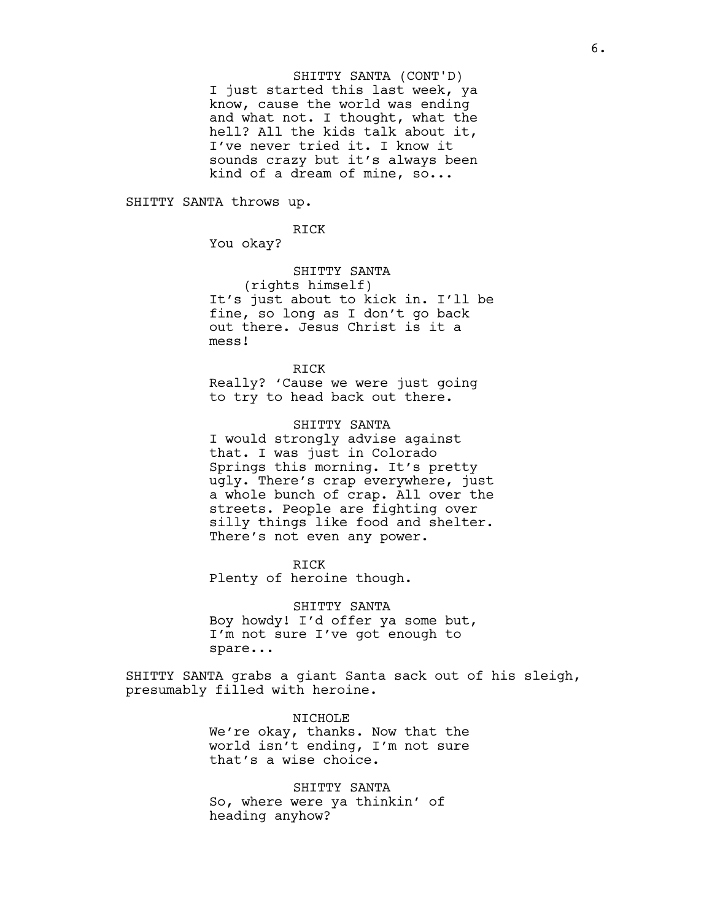I just started this last week, ya know, cause the world was ending and what not. I thought, what the hell? All the kids talk about it, I've never tried it. I know it sounds crazy but it's always been kind of a dream of mine, so... SHITTY SANTA (CONT'D)

SHITTY SANTA throws up.

RICK You okay?

SHITTY SANTA

(rights himself) It's just about to kick in. I'll be fine, so long as I don't go back out there. Jesus Christ is it a mess!

RICK Really? 'Cause we were just going to try to head back out there.

SHITTY SANTA I would strongly advise against that. I was just in Colorado Springs this morning. It's pretty ugly. There's crap everywhere, just a whole bunch of crap. All over the streets. People are fighting over silly things like food and shelter. There's not even any power.

RICK Plenty of heroine though.

SHITTY SANTA Boy howdy! I'd offer ya some but, I'm not sure I've got enough to spare...

SHITTY SANTA grabs a giant Santa sack out of his sleigh, presumably filled with heroine.

> NICHOLE We're okay, thanks. Now that the world isn't ending, I'm not sure that's a wise choice.

SHITTY SANTA So, where were ya thinkin' of heading anyhow?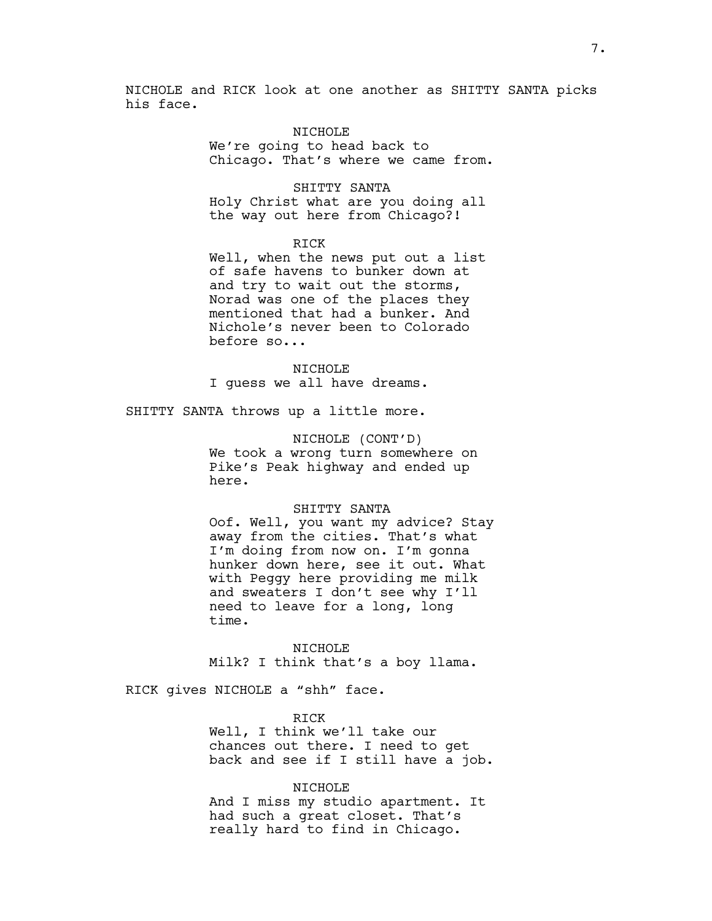NICHOLE and RICK look at one another as SHITTY SANTA picks his face.

## NICHOLE

We're going to head back to Chicago. That's where we came from.

SHITTY SANTA Holy Christ what are you doing all the way out here from Chicago?!

#### RICK

Well, when the news put out a list of safe havens to bunker down at and try to wait out the storms, Norad was one of the places they mentioned that had a bunker. And Nichole's never been to Colorado before so...

NICHOLE I guess we all have dreams.

SHITTY SANTA throws up a little more.

#### NICHOLE (CONT'D)

We took a wrong turn somewhere on Pike's Peak highway and ended up here.

#### SHITTY SANTA

Oof. Well, you want my advice? Stay away from the cities. That's what I'm doing from now on. I'm gonna hunker down here, see it out. What with Peggy here providing me milk and sweaters I don't see why I'll need to leave for a long, long time.

NICHOLE Milk? I think that's a boy llama.

RICK gives NICHOLE a "shh" face.

RICK Well, I think we'll take our chances out there. I need to get back and see if I still have a job.

#### NICHOLE

And I miss my studio apartment. It had such a great closet. That's really hard to find in Chicago.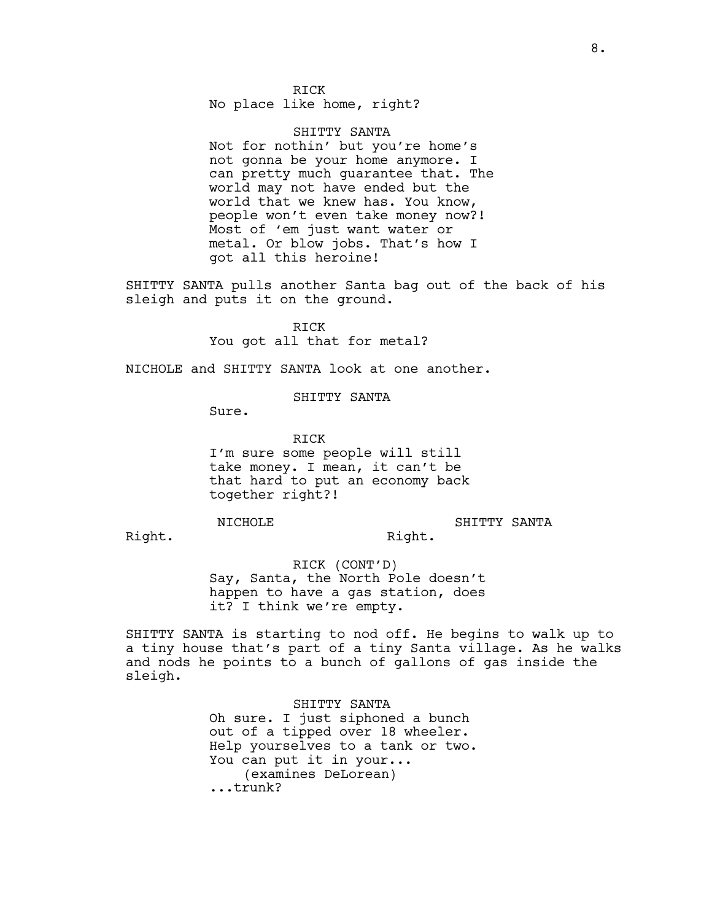RICK

No place like home, right?

SHITTY SANTA Not for nothin' but you're home's not gonna be your home anymore. I can pretty much guarantee that. The world may not have ended but the world that we knew has. You know, people won't even take money now?! Most of 'em just want water or metal. Or blow jobs. That's how I got all this heroine!

SHITTY SANTA pulls another Santa bag out of the back of his sleigh and puts it on the ground.

> RICK You got all that for metal?

NICHOLE and SHITTY SANTA look at one another.

SHITTY SANTA

Sure.

RICK I'm sure some people will still take money. I mean, it can't be that hard to put an economy back together right?!

NICHOLE

SHITTY SANTA

Right.

Right.

RICK (CONT'D) Say, Santa, the North Pole doesn't happen to have a gas station, does it? I think we're empty.

SHITTY SANTA is starting to nod off. He begins to walk up to a tiny house that's part of a tiny Santa village. As he walks and nods he points to a bunch of gallons of gas inside the sleigh.

> SHITTY SANTA Oh sure. I just siphoned a bunch out of a tipped over 18 wheeler. Help yourselves to a tank or two. You can put it in your... (examines DeLorean) ...trunk?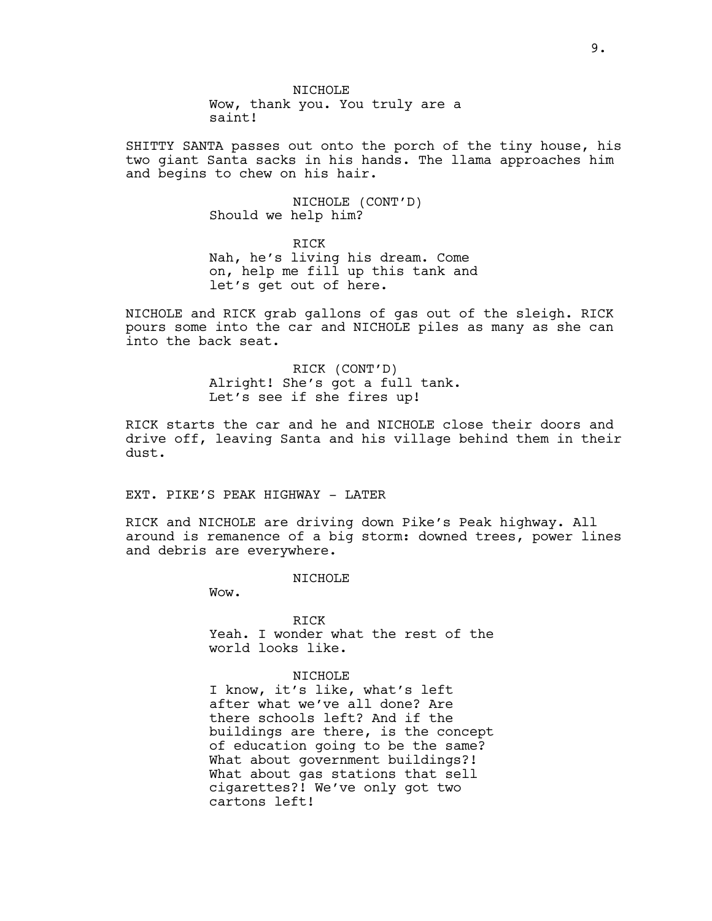NICHOLE Wow, thank you. You truly are a saint!

SHITTY SANTA passes out onto the porch of the tiny house, his two giant Santa sacks in his hands. The llama approaches him and begins to chew on his hair.

> NICHOLE (CONT'D) Should we help him?

RICK Nah, he's living his dream. Come on, help me fill up this tank and let's get out of here.

NICHOLE and RICK grab gallons of gas out of the sleigh. RICK pours some into the car and NICHOLE piles as many as she can into the back seat.

> RICK (CONT'D) Alright! She's got a full tank. Let's see if she fires up!

RICK starts the car and he and NICHOLE close their doors and drive off, leaving Santa and his village behind them in their dust.

EXT. PIKE'S PEAK HIGHWAY - LATER

RICK and NICHOLE are driving down Pike's Peak highway. All around is remanence of a big storm: downed trees, power lines and debris are everywhere.

NTCHOLE<sup></sup>

Wow.

RICK Yeah. I wonder what the rest of the world looks like.

NICHOLE

I know, it's like, what's left after what we've all done? Are there schools left? And if the buildings are there, is the concept of education going to be the same? What about government buildings?! What about gas stations that sell cigarettes?! We've only got two cartons left!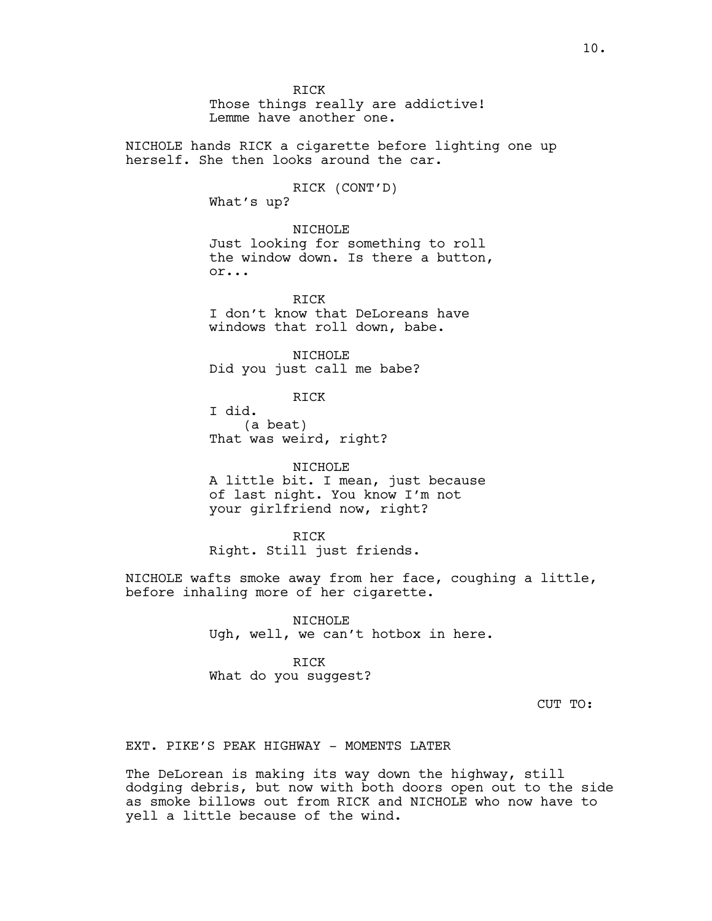RICK Those things really are addictive! Lemme have another one. NICHOLE hands RICK a cigarette before lighting one up herself. She then looks around the car. RICK (CONT'D) What's up? NICHOLE Just looking for something to roll the window down. Is there a button, or... RICK I don't know that DeLoreans have windows that roll down, babe. NICHOLE Did you just call me babe? RICK I did. (a beat) That was weird, right? NICHOLE A little bit. I mean, just because of last night. You know I'm not your girlfriend now, right? RICK Right. Still just friends. NICHOLE wafts smoke away from her face, coughing a little, before inhaling more of her cigarette. NICHOLE Ugh, well, we can't hotbox in here. RICK What do you suggest? EXT. PIKE'S PEAK HIGHWAY - MOMENTS LATER

The DeLorean is making its way down the highway, still dodging debris, but now with both doors open out to the side as smoke billows out from RICK and NICHOLE who now have to yell a little because of the wind.

CUT TO: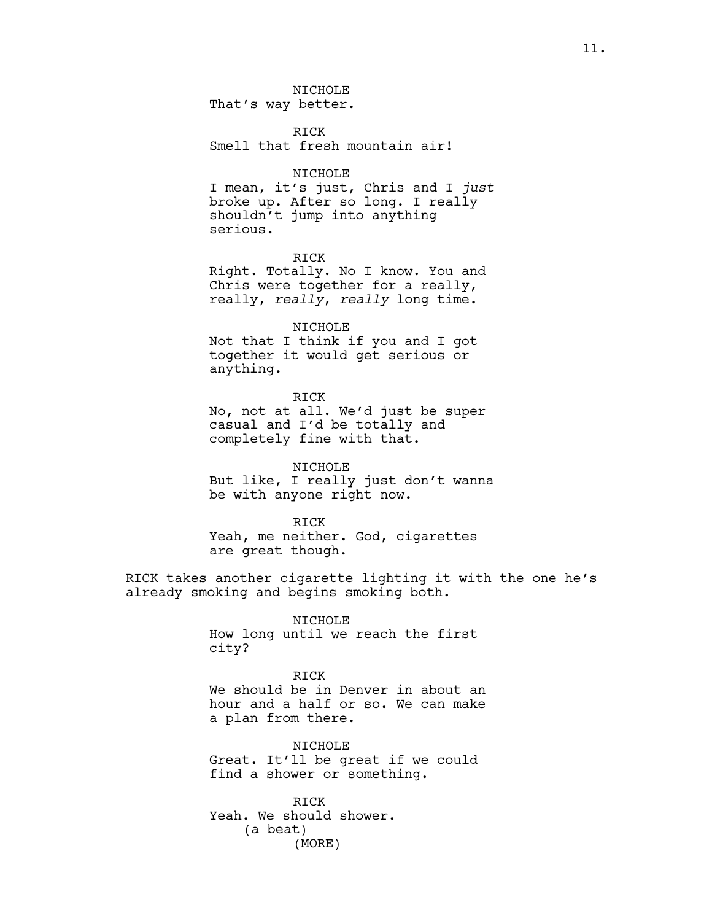NICHOLE

That's way better.

RICK Smell that fresh mountain air!

# NICHOLE

I mean, it's just, Chris and I *just* broke up. After so long. I really shouldn't jump into anything serious.

RICK

Right. Totally. No I know. You and Chris were together for a really, really, *really*, *really* long time.

NICHOLE

Not that I think if you and I got together it would get serious or anything.

RICK No, not at all. We'd just be super casual and I'd be totally and completely fine with that.

NICHOLE But like, I really just don't wanna be with anyone right now.

RICK Yeah, me neither. God, cigarettes are great though.

RICK takes another cigarette lighting it with the one he's already smoking and begins smoking both.

> NICHOLE How long until we reach the first city?

RICK We should be in Denver in about an hour and a half or so. We can make a plan from there.

NICHOLE Great. It'll be great if we could find a shower or something.

RICK Yeah. We should shower. (a beat) (MORE)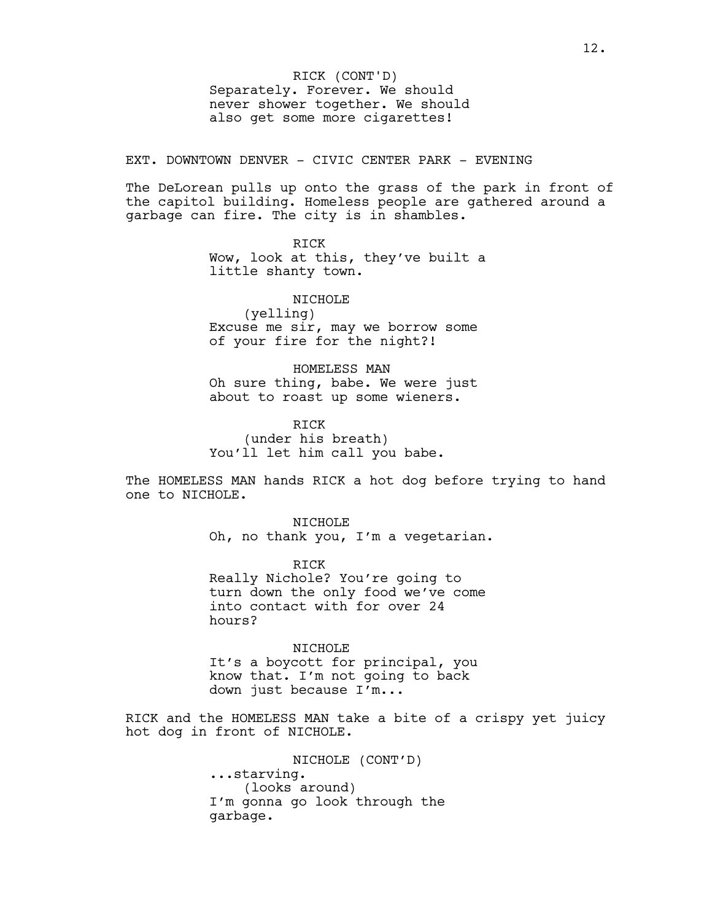Separately. Forever. We should never shower together. We should also get some more cigarettes! RICK (CONT'D)

EXT. DOWNTOWN DENVER - CIVIC CENTER PARK - EVENING

The DeLorean pulls up onto the grass of the park in front of the capitol building. Homeless people are gathered around a garbage can fire. The city is in shambles.

> RICK Wow, look at this, they've built a little shanty town.

NICHOLE (yelling) Excuse me sir, may we borrow some of your fire for the night?!

HOMELESS MAN Oh sure thing, babe. We were just about to roast up some wieners.

RICK (under his breath) You'll let him call you babe.

The HOMELESS MAN hands RICK a hot dog before trying to hand one to NICHOLE.

> NTCHOLE<sup>1</sup> Oh, no thank you, I'm a vegetarian.

RICK Really Nichole? You're going to turn down the only food we've come into contact with for over 24 hours?

NICHOLE It's a boycott for principal, you know that. I'm not going to back down just because I'm...

RICK and the HOMELESS MAN take a bite of a crispy yet juicy hot dog in front of NICHOLE.

> NICHOLE (CONT'D) ...starving. (looks around) I'm gonna go look through the garbage.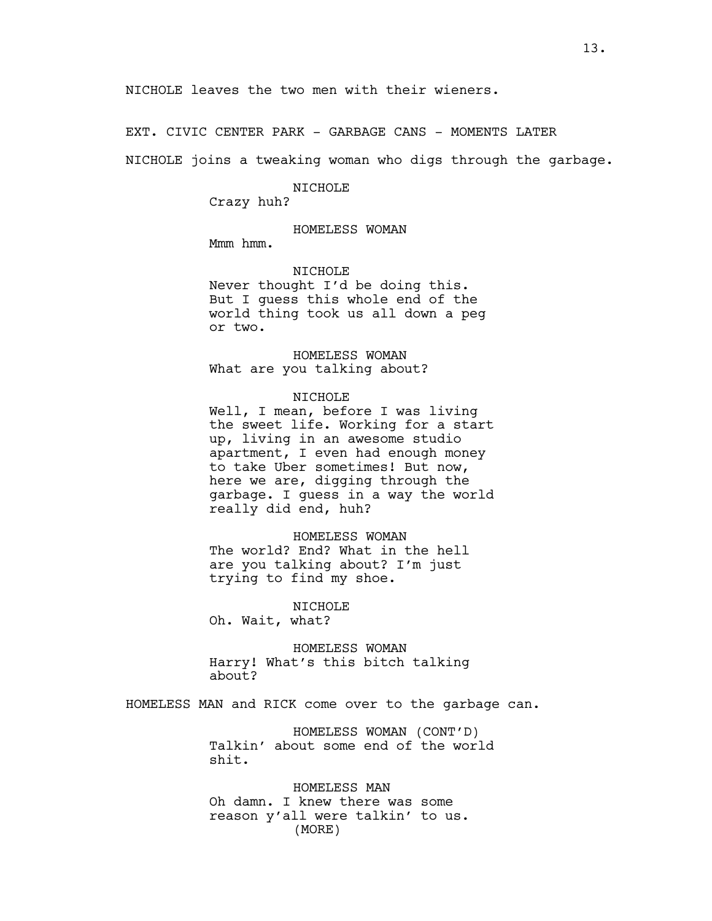EXT. CIVIC CENTER PARK - GARBAGE CANS - MOMENTS LATER

NICHOLE joins a tweaking woman who digs through the garbage.

#### NICHOLE

Crazy huh?

# HOMELESS WOMAN

Mmm hmm.

#### NICHOLE

Never thought I'd be doing this. But I guess this whole end of the world thing took us all down a peg or two.

HOMELESS WOMAN What are you talking about?

## NICHOLE

Well, I mean, before I was living the sweet life. Working for a start up, living in an awesome studio apartment, I even had enough money to take Uber sometimes! But now, here we are, digging through the garbage. I guess in a way the world really did end, huh?

#### HOMELESS WOMAN

The world? End? What in the hell are you talking about? I'm just trying to find my shoe.

# NICHOLE

Oh. Wait, what?

HOMELESS WOMAN Harry! What's this bitch talking about?

HOMELESS MAN and RICK come over to the garbage can.

HOMELESS WOMAN (CONT'D) Talkin' about some end of the world shit.

HOMELESS MAN Oh damn. I knew there was some reason y'all were talkin' to us. (MORE)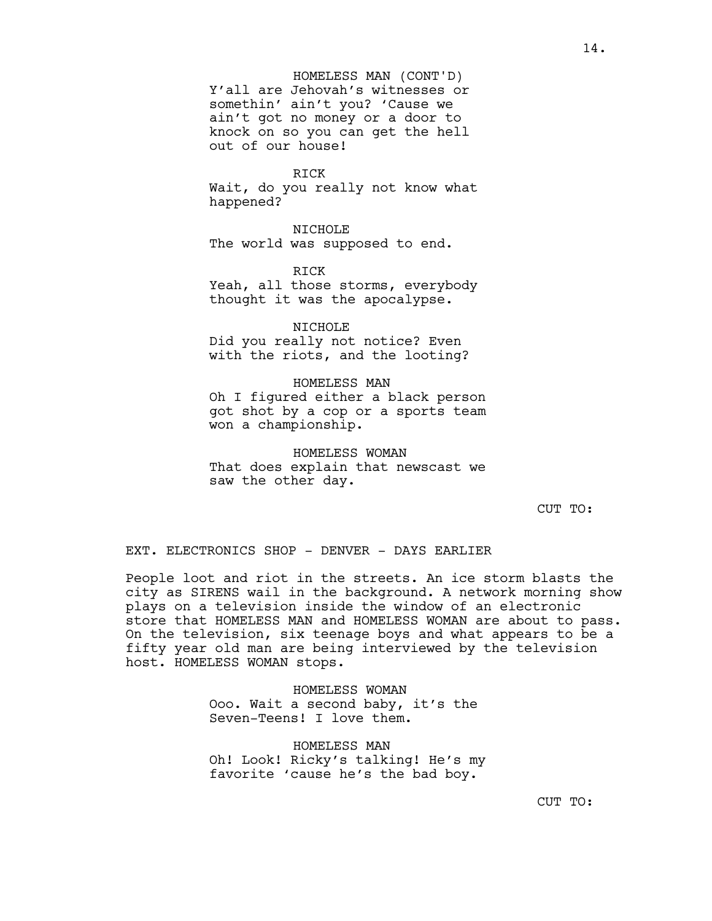Y'all are Jehovah's witnesses or somethin' ain't you? 'Cause we ain't got no money or a door to knock on so you can get the hell out of our house! HOMELESS MAN (CONT'D)

RICK

Wait, do you really not know what happened?

NICHOLE The world was supposed to end.

**RTCK** Yeah, all those storms, everybody thought it was the apocalypse.

NICHOLE Did you really not notice? Even with the riots, and the looting?

HOMELESS MAN Oh I figured either a black person got shot by a cop or a sports team won a championship.

HOMELESS WOMAN That does explain that newscast we saw the other day.

CUT TO:

EXT. ELECTRONICS SHOP - DENVER - DAYS EARLIER

People loot and riot in the streets. An ice storm blasts the city as SIRENS wail in the background. A network morning show plays on a television inside the window of an electronic store that HOMELESS MAN and HOMELESS WOMAN are about to pass. On the television, six teenage boys and what appears to be a fifty year old man are being interviewed by the television host. HOMELESS WOMAN stops.

> HOMELESS WOMAN Ooo. Wait a second baby, it's the Seven-Teens! I love them.

HOMELESS MAN Oh! Look! Ricky's talking! He's my favorite 'cause he's the bad boy.

14.

CUT TO: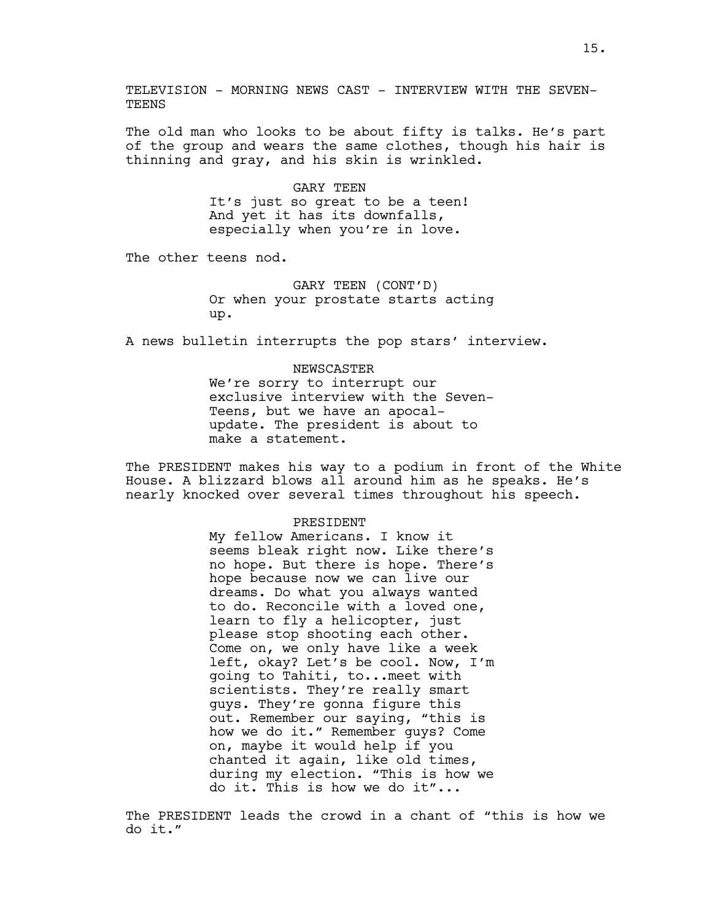The old man who looks to be about fifty is talks. He's part of the group and wears the same clothes, though his hair is thinning and gray, and his skin is wrinkled.

> GARY TEEN It's just so great to be a teen! And yet it has its downfalls, especially when you're in love.

The other teens nod.

GARY TEEN (CONT'D) Or when your prostate starts acting up.

A news bulletin interrupts the pop stars' interview.

# NEWSCASTER We're sorry to interrupt our exclusive interview with the Seven-Teens, but we have an apocalupdate. The president is about to make a statement.

The PRESIDENT makes his way to a podium in front of the White House. A blizzard blows all around him as he speaks. He's nearly knocked over several times throughout his speech.

# PRESIDENT

My fellow Americans. I know it seems bleak right now. Like there's no hope. But there is hope. There's hope because now we can live our dreams. Do what you always wanted to do. Reconcile with a loved one, learn to fly a helicopter, just please stop shooting each other. Come on, we only have like a week left, okay? Let's be cool. Now, I'm going to Tahiti, to...meet with scientists. They're really smart guys. They're gonna figure this out. Remember our saying, "this is how we do it." Remember guys? Come on, maybe it would help if you chanted it again, like old times, during my election. "This is how we do it. This is how we do it"...

The PRESIDENT leads the crowd in a chant of "this is how we do it."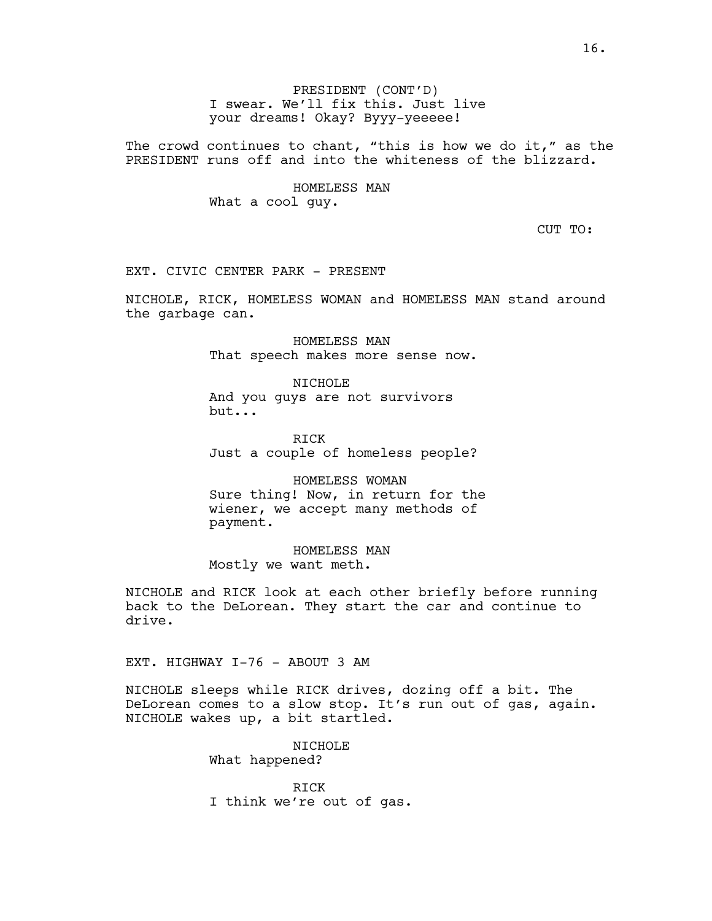PRESIDENT (CONT'D) I swear. We'll fix this. Just live your dreams! Okay? Byyy-yeeeee!

The crowd continues to chant, "this is how we do it," as the PRESIDENT runs off and into the whiteness of the blizzard.

> HOMELESS MAN What a cool guy.

> > CUT TO:

EXT. CIVIC CENTER PARK - PRESENT

NICHOLE, RICK, HOMELESS WOMAN and HOMELESS MAN stand around the garbage can.

> HOMELESS MAN That speech makes more sense now.

NICHOLE And you guys are not survivors but...

RICK Just a couple of homeless people?

HOMELESS WOMAN Sure thing! Now, in return for the wiener, we accept many methods of payment.

HOMELESS MAN Mostly we want meth.

NICHOLE and RICK look at each other briefly before running back to the DeLorean. They start the car and continue to drive.

EXT. HIGHWAY I-76 - ABOUT 3 AM

NICHOLE sleeps while RICK drives, dozing off a bit. The DeLorean comes to a slow stop. It's run out of gas, again. NICHOLE wakes up, a bit startled.

> NICHOLE What happened?

RICK I think we're out of gas.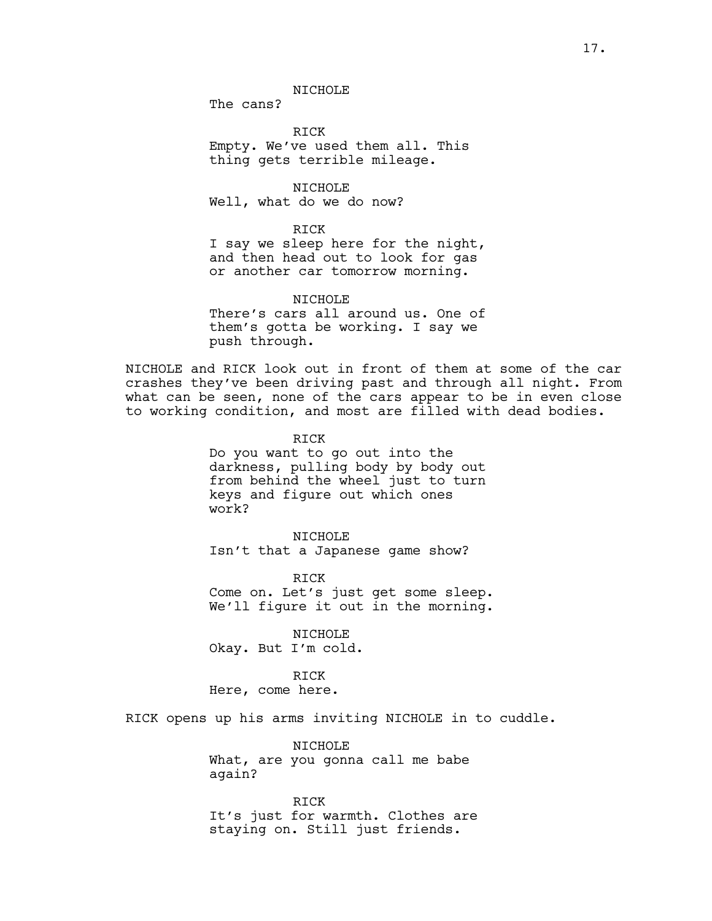The cans?

RICK Empty. We've used them all. This thing gets terrible mileage.

NICHOLE Well, what do we do now?

## RICK

I say we sleep here for the night, and then head out to look for gas or another car tomorrow morning.

NTCHOLE<sup></sup> There's cars all around us. One of them's gotta be working. I say we push through.

NICHOLE and RICK look out in front of them at some of the car crashes they've been driving past and through all night. From what can be seen, none of the cars appear to be in even close to working condition, and most are filled with dead bodies.

> RICK Do you want to go out into the darkness, pulling body by body out from behind the wheel just to turn keys and figure out which ones work?

NICHOLE Isn't that a Japanese game show?

RICK Come on. Let's just get some sleep. We'll figure it out in the morning.

NICHOLE Okay. But I'm cold.

RICK Here, come here.

RICK opens up his arms inviting NICHOLE in to cuddle.

NICHOLE What, are you gonna call me babe again?

RICK It's just for warmth. Clothes are staying on. Still just friends.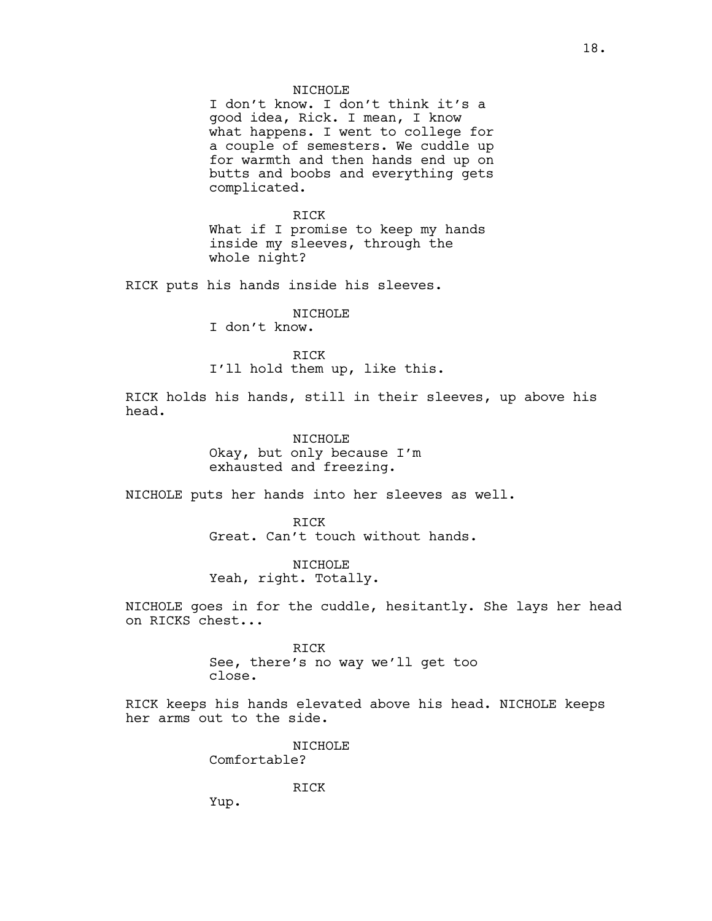#### NTCHOLE<sup></sup>

I don't know. I don't think it's a good idea, Rick. I mean, I know what happens. I went to college for a couple of semesters. We cuddle up for warmth and then hands end up on butts and boobs and everything gets complicated.

RICK What if I promise to keep my hands inside my sleeves, through the whole night?

RICK puts his hands inside his sleeves.

# NICHOLE

I don't know.

RICK I'll hold them up, like this.

RICK holds his hands, still in their sleeves, up above his head.

> NICHOLE Okay, but only because I'm exhausted and freezing.

NICHOLE puts her hands into her sleeves as well.

RICK Great. Can't touch without hands.

NICHOLE Yeah, right. Totally.

NICHOLE goes in for the cuddle, hesitantly. She lays her head on RICKS chest...

> RICK See, there's no way we'll get too close.

RICK keeps his hands elevated above his head. NICHOLE keeps her arms out to the side.

> NICHOLE Comfortable?

> > RICK

Yup.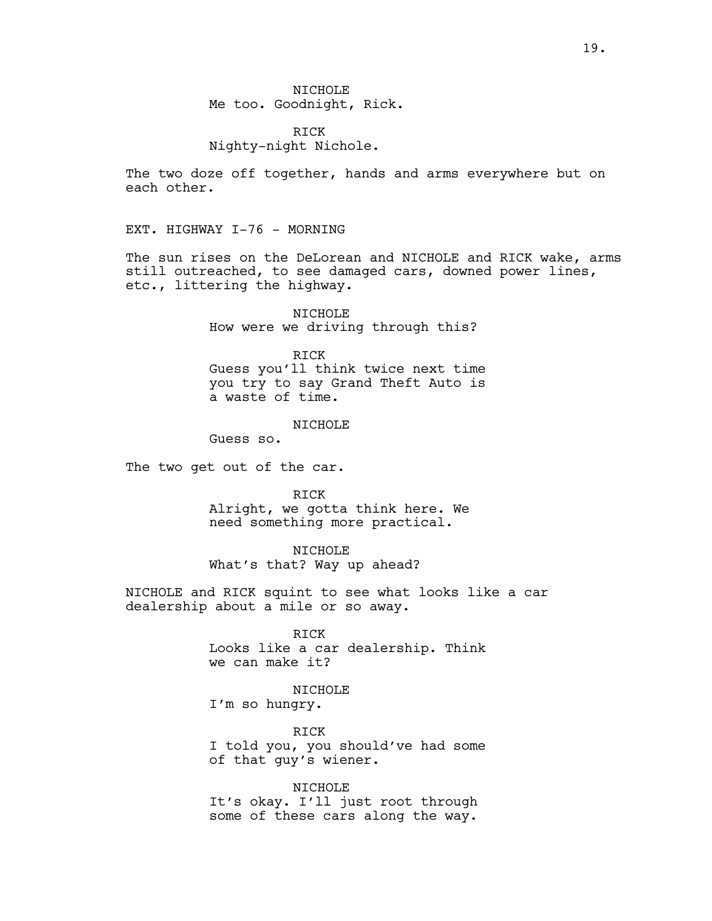RICK Nighty-night Nichole.

The two doze off together, hands and arms everywhere but on each other.

EXT. HIGHWAY I-76 - MORNING

The sun rises on the DeLorean and NICHOLE and RICK wake, arms still outreached, to see damaged cars, downed power lines, etc., littering the highway.

> NICHOLE How were we driving through this?

RICK Guess you'll think twice next time you try to say Grand Theft Auto is a waste of time.

## NTCHOLE<sup></sup>

Guess so.

The two get out of the car.

RICK

Alright, we gotta think here. We need something more practical.

NICHOLE

What's that? Way up ahead?

NICHOLE and RICK squint to see what looks like a car dealership about a mile or so away.

> RICK Looks like a car dealership. Think we can make it?

NICHOLE I'm so hungry.

RICK I told you, you should've had some of that guy's wiener.

NICHOLE It's okay. I'll just root through some of these cars along the way.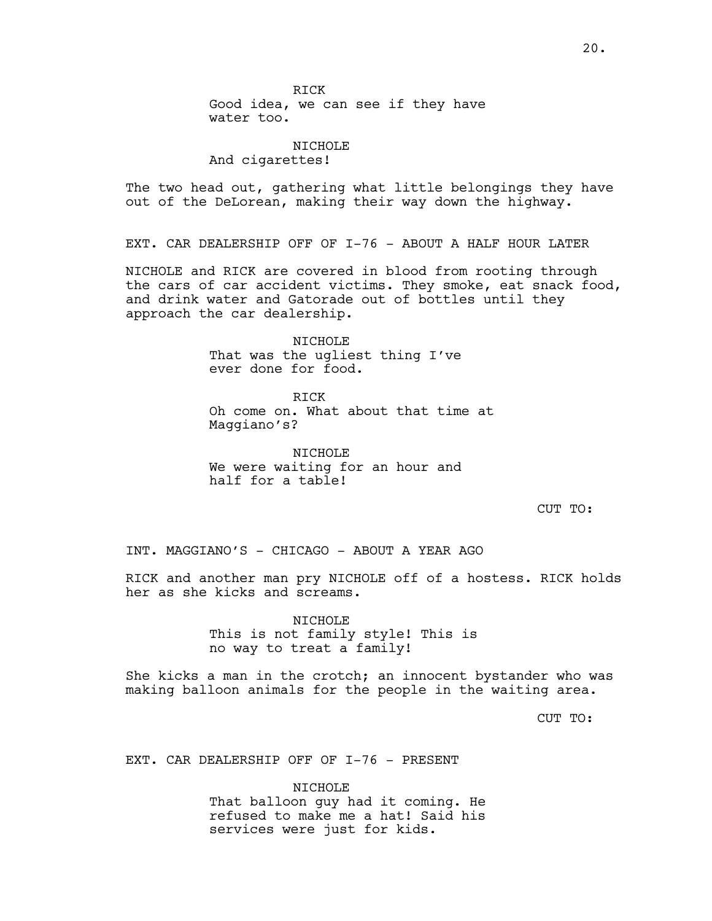20.

RICK Good idea, we can see if they have water too.

# NICHOLE

And cigarettes!

The two head out, gathering what little belongings they have out of the DeLorean, making their way down the highway.

EXT. CAR DEALERSHIP OFF OF I-76 - ABOUT A HALF HOUR LATER

NICHOLE and RICK are covered in blood from rooting through the cars of car accident victims. They smoke, eat snack food, and drink water and Gatorade out of bottles until they approach the car dealership.

> NICHOLE That was the ugliest thing I've ever done for food.

RICK Oh come on. What about that time at Maggiano's?

NICHOLE We were waiting for an hour and half for a table!

CUT TO:

INT. MAGGIANO'S - CHICAGO - ABOUT A YEAR AGO

RICK and another man pry NICHOLE off of a hostess. RICK holds her as she kicks and screams.

> NICHOLE This is not family style! This is no way to treat a family!

She kicks a man in the crotch; an innocent bystander who was making balloon animals for the people in the waiting area.

CUT TO:

EXT. CAR DEALERSHIP OFF OF I-76 - PRESENT

NICHOLE That balloon guy had it coming. He refused to make me a hat! Said his services were just for kids.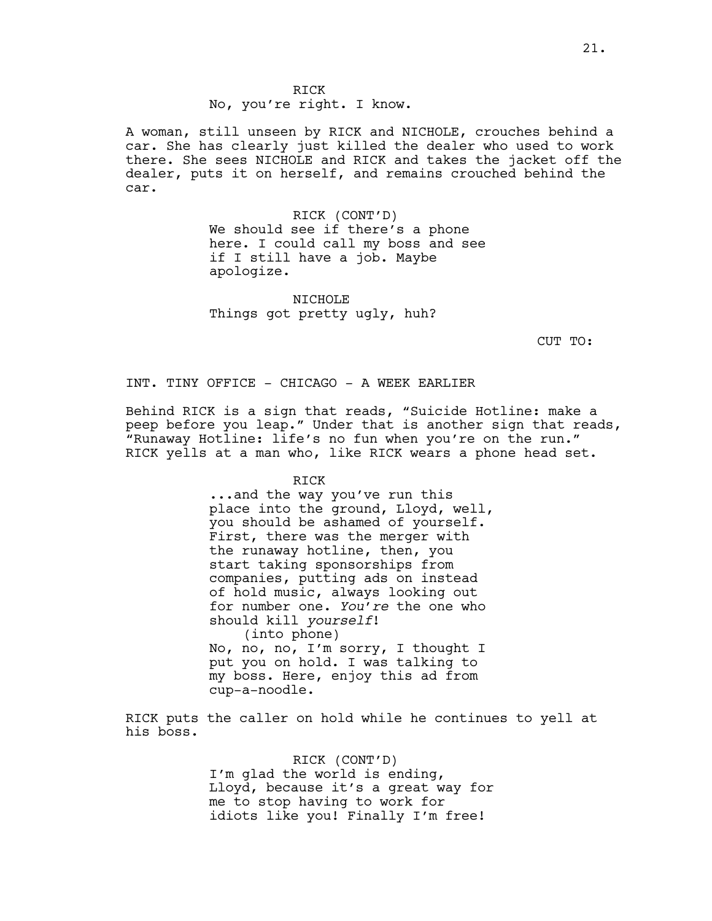RICK No, you're right. I know.

A woman, still unseen by RICK and NICHOLE, crouches behind a car. She has clearly just killed the dealer who used to work there. She sees NICHOLE and RICK and takes the jacket off the dealer, puts it on herself, and remains crouched behind the car.

> RICK (CONT'D) We should see if there's a phone here. I could call my boss and see if I still have a job. Maybe apologize.

NICHOLE Things got pretty ugly, huh?

CUT TO:

INT. TINY OFFICE - CHICAGO - A WEEK EARLIER

Behind RICK is a sign that reads, "Suicide Hotline: make a peep before you leap." Under that is another sign that reads, "Runaway Hotline: life's no fun when you're on the run." RICK yells at a man who, like RICK wears a phone head set.

RICK

...and the way you've run this place into the ground, Lloyd, well, you should be ashamed of yourself. First, there was the merger with the runaway hotline, then, you start taking sponsorships from companies, putting ads on instead of hold music, always looking out for number one. *You're* the one who should kill *yourself*! (into phone) No, no, no, I'm sorry, I thought I put you on hold. I was talking to my boss. Here, enjoy this ad from cup-a-noodle.

RICK puts the caller on hold while he continues to yell at his boss.

> RICK (CONT'D) I'm glad the world is ending, Lloyd, because it's a great way for me to stop having to work for idiots like you! Finally I'm free!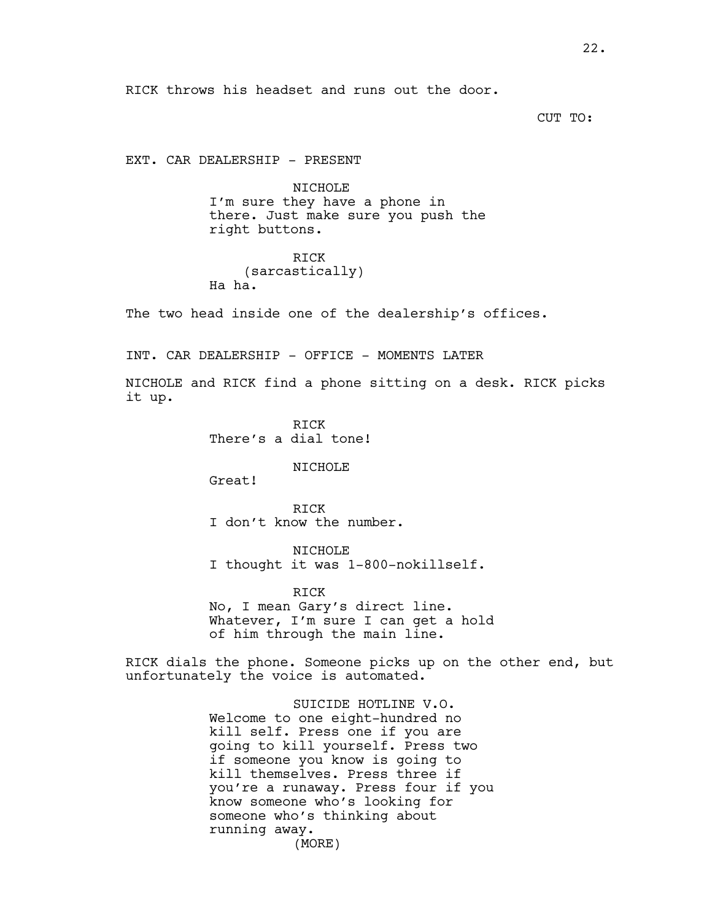RICK throws his headset and runs out the door.

CUT TO:

EXT. CAR DEALERSHIP - PRESENT

NICHOLE I'm sure they have a phone in there. Just make sure you push the right buttons.

RICK (sarcastically) Ha ha.

The two head inside one of the dealership's offices.

INT. CAR DEALERSHIP - OFFICE - MOMENTS LATER

NICHOLE and RICK find a phone sitting on a desk. RICK picks it up.

> RICK There's a dial tone!

# NICHOLE

Great!

RICK I don't know the number.

NICHOLE I thought it was 1-800-nokillself.

RICK No, I mean Gary's direct line.

Whatever, I'm sure I can get a hold of him through the main line.

RICK dials the phone. Someone picks up on the other end, but unfortunately the voice is automated.

> SUICIDE HOTLINE V.O. Welcome to one eight-hundred no kill self. Press one if you are going to kill yourself. Press two if someone you know is going to kill themselves. Press three if you're a runaway. Press four if you know someone who's looking for someone who's thinking about running away. (MORE)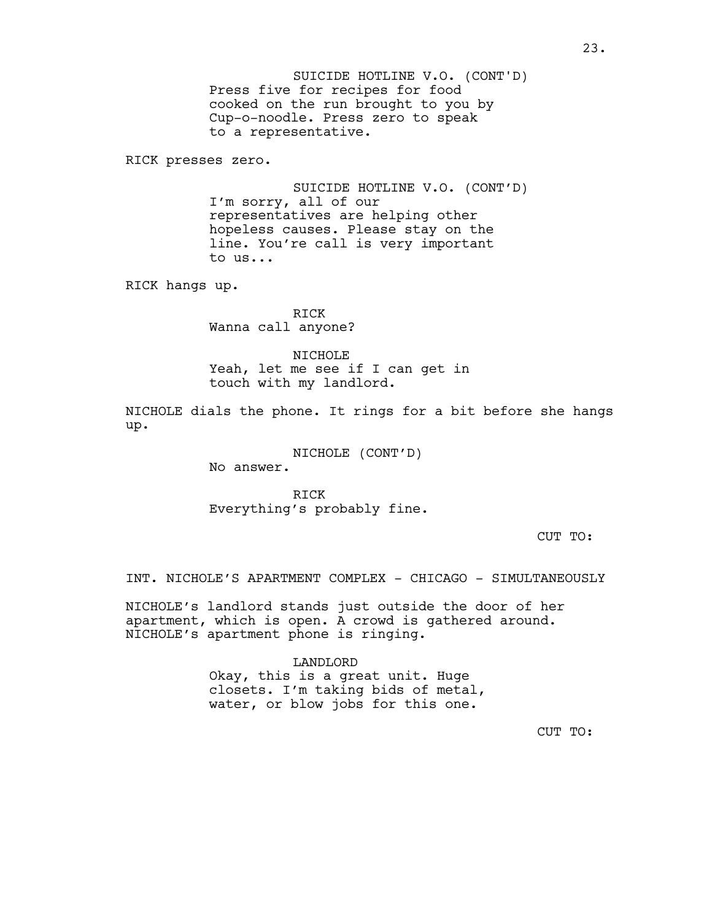Press five for recipes for food cooked on the run brought to you by Cup-o-noodle. Press zero to speak to a representative. SUICIDE HOTLINE V.O. (CONT'D)

RICK presses zero.

SUICIDE HOTLINE V.O. (CONT'D) I'm sorry, all of our representatives are helping other hopeless causes. Please stay on the line. You're call is very important to us...

RICK hangs up.

RICK Wanna call anyone?

NICHOLE Yeah, let me see if I can get in touch with my landlord.

NICHOLE dials the phone. It rings for a bit before she hangs up.

> NICHOLE (CONT'D) No answer.

RICK Everything's probably fine.

CUT TO:

INT. NICHOLE'S APARTMENT COMPLEX - CHICAGO - SIMULTANEOUSLY

NICHOLE's landlord stands just outside the door of her apartment, which is open. A crowd is gathered around. NICHOLE's apartment phone is ringing.

> LANDLORD Okay, this is a great unit. Huge closets. I'm taking bids of metal, water, or blow jobs for this one.

> > CUT TO: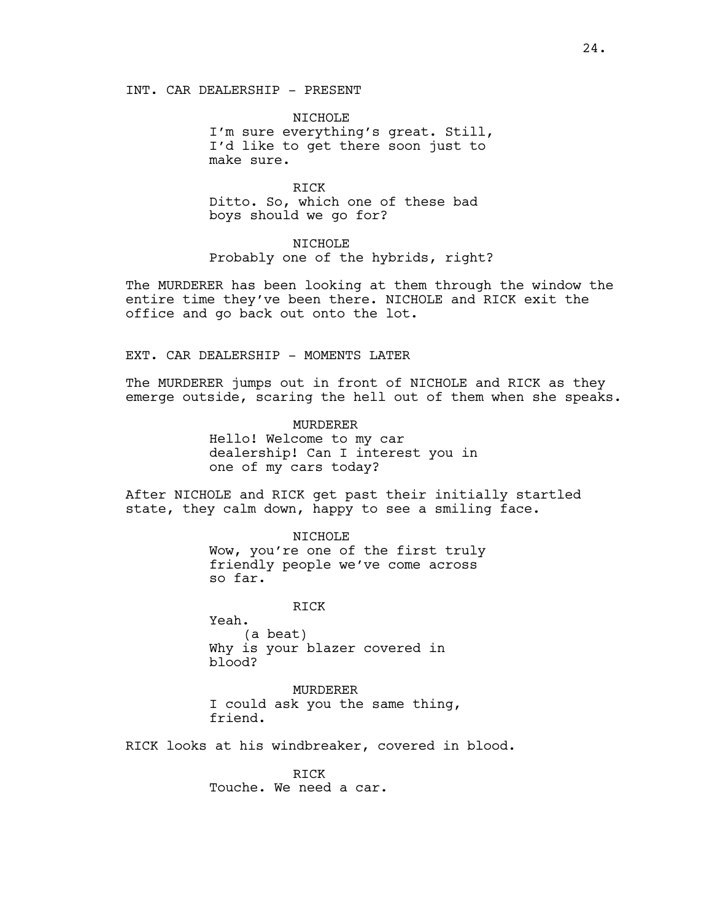NICHOLE I'm sure everything's great. Still, I'd like to get there soon just to make sure.

RICK Ditto. So, which one of these bad boys should we go for?

NICHOLE Probably one of the hybrids, right?

The MURDERER has been looking at them through the window the entire time they've been there. NICHOLE and RICK exit the office and go back out onto the lot.

## EXT. CAR DEALERSHIP - MOMENTS LATER

The MURDERER jumps out in front of NICHOLE and RICK as they emerge outside, scaring the hell out of them when she speaks.

> MURDERER Hello! Welcome to my car dealership! Can I interest you in one of my cars today?

After NICHOLE and RICK get past their initially startled state, they calm down, happy to see a smiling face.

NICHOLE

Wow, you're one of the first truly friendly people we've come across so far.

RICK

Yeah. (a beat) Why is your blazer covered in blood?

MURDERER I could ask you the same thing, friend.

RICK looks at his windbreaker, covered in blood.

RICK Touche. We need a car.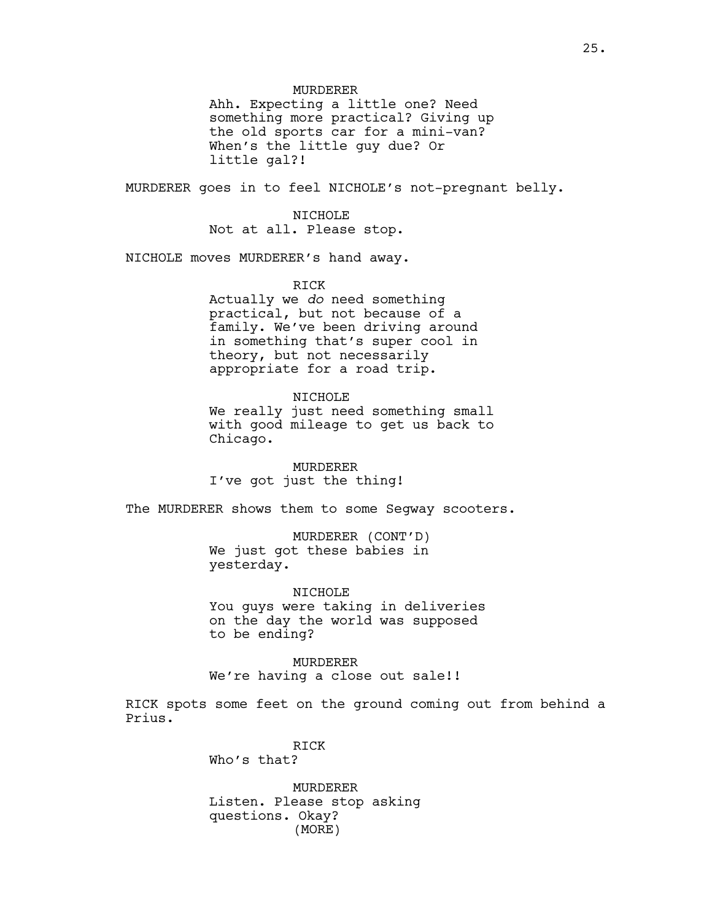# MURDERER

Ahh. Expecting a little one? Need something more practical? Giving up the old sports car for a mini-van? When's the little guy due? Or little gal?!

MURDERER goes in to feel NICHOLE's not-pregnant belly.

## NICHOLE

Not at all. Please stop.

NICHOLE moves MURDERER's hand away.

#### RICK

Actually we *do* need something practical, but not because of a family. We've been driving around in something that's super cool in theory, but not necessarily appropriate for a road trip.

## NICHOLE

We really just need something small with good mileage to get us back to Chicago.

MURDERER I've got just the thing!

The MURDERER shows them to some Segway scooters.

MURDERER (CONT'D) We just got these babies in yesterday.

NICHOLE

You guys were taking in deliveries on the day the world was supposed to be ending?

MURDERER We're having a close out sale!!

RICK spots some feet on the ground coming out from behind a Prius.

> RICK Who's that?

MURDERER Listen. Please stop asking questions. Okay? (MORE)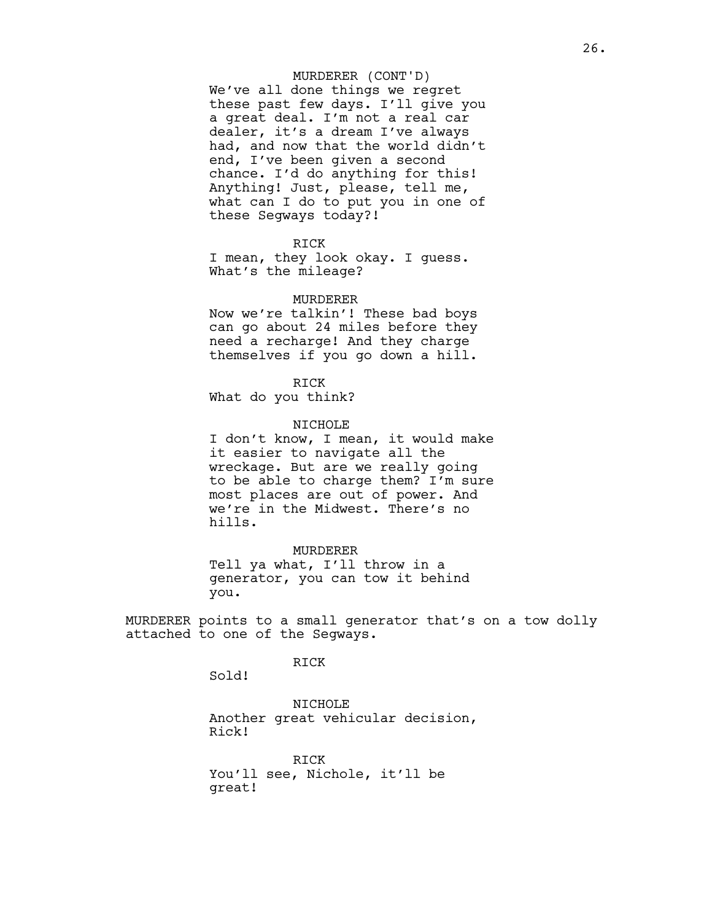# MURDERER (CONT'D)

We've all done things we regret these past few days. I'll give you a great deal. I'm not a real car dealer, it's a dream I've always had, and now that the world didn't end, I've been given a second chance. I'd do anything for this! Anything! Just, please, tell me, what can I do to put you in one of these Segways today?!

RICK

I mean, they look okay. I guess. What's the mileage?

#### MURDERER

Now we're talkin'! These bad boys can go about 24 miles before they need a recharge! And they charge themselves if you go down a hill.

RICK

What do you think?

#### NICHOLE

I don't know, I mean, it would make it easier to navigate all the wreckage. But are we really going to be able to charge them? I'm sure most places are out of power. And we're in the Midwest. There's no hills.

## MURDERER

Tell ya what, I'll throw in a generator, you can tow it behind you.

MURDERER points to a small generator that's on a tow dolly attached to one of the Segways.

# RICK

Sold!

NICHOLE Another great vehicular decision, Rick!

RICK You'll see, Nichole, it'll be great!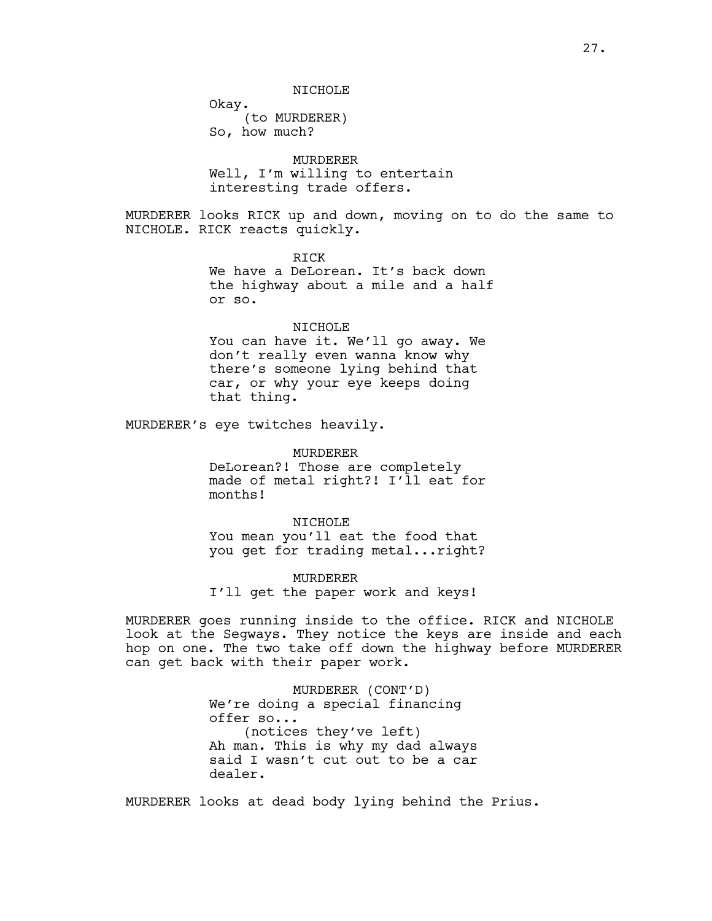#### NICHOLE

Okay. (to MURDERER) So, how much?

MURDERER Well, I'm willing to entertain interesting trade offers.

MURDERER looks RICK up and down, moving on to do the same to NICHOLE. RICK reacts quickly.

> RICK We have a DeLorean. It's back down the highway about a mile and a half or so.

#### NICHOLE

You can have it. We'll go away. We don't really even wanna know why there's someone lying behind that car, or why your eye keeps doing that thing.

MURDERER's eye twitches heavily.

MURDERER DeLorean?! Those are completely made of metal right?! I'll eat for months!

NICHOLE You mean you'll eat the food that you get for trading metal...right?

MURDERER I'll get the paper work and keys!

MURDERER goes running inside to the office. RICK and NICHOLE look at the Segways. They notice the keys are inside and each hop on one. The two take off down the highway before MURDERER can get back with their paper work.

> MURDERER (CONT'D) We're doing a special financing offer so... (notices they've left) Ah man. This is why my dad always said I wasn't cut out to be a car dealer.

MURDERER looks at dead body lying behind the Prius.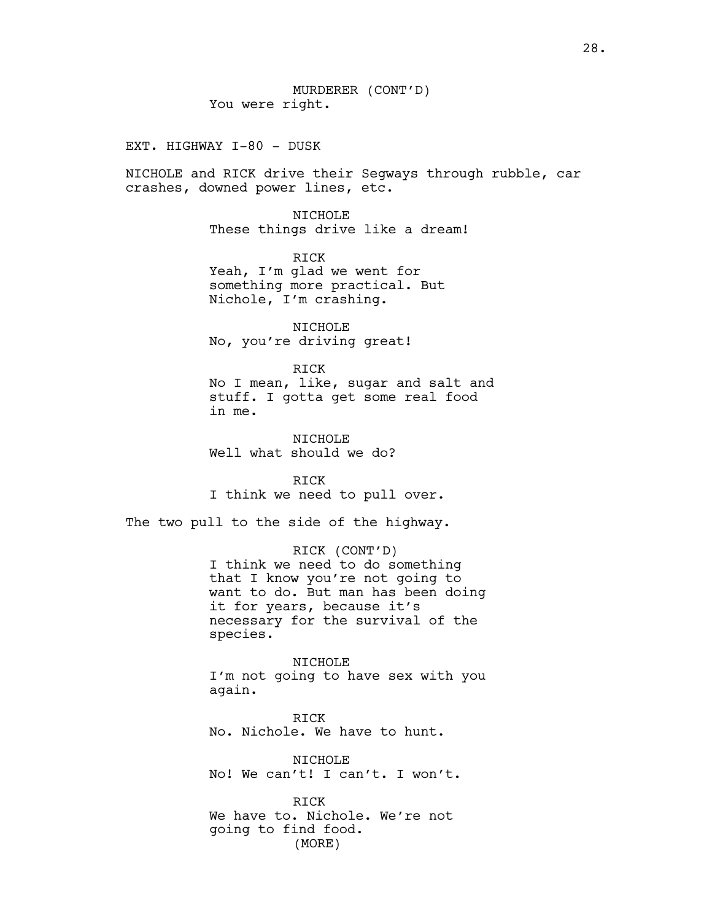EXT. HIGHWAY I-80 - DUSK

NICHOLE and RICK drive their Segways through rubble, car crashes, downed power lines, etc.

> NICHOLE These things drive like a dream!

RICK Yeah, I'm glad we went for something more practical. But Nichole, I'm crashing.

NICHOLE No, you're driving great!

RICK No I mean, like, sugar and salt and stuff. I gotta get some real food in me.

NICHOLE Well what should we do?

RICK I think we need to pull over.

The two pull to the side of the highway.

RICK (CONT'D) I think we need to do something that I know you're not going to want to do. But man has been doing it for years, because it's necessary for the survival of the species.

NICHOLE I'm not going to have sex with you again.

RICK No. Nichole. We have to hunt.

NICHOLE No! We can't! I can't. I won't.

RICK We have to. Nichole. We're not going to find food. (MORE)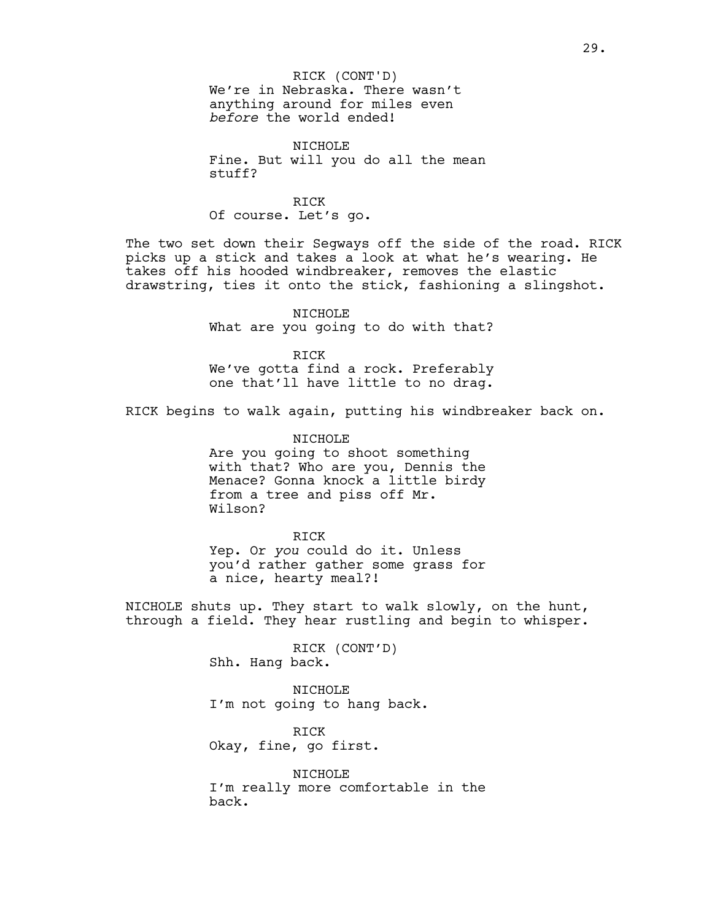NICHOLE Fine. But will you do all the mean stuff?

#### RICK

Of course. Let's go.

The two set down their Segways off the side of the road. RICK picks up a stick and takes a look at what he's wearing. He takes off his hooded windbreaker, removes the elastic drawstring, ties it onto the stick, fashioning a slingshot.

> NICHOLE What are you going to do with that?

RICK We've gotta find a rock. Preferably one that'll have little to no drag.

RICK begins to walk again, putting his windbreaker back on.

NICHOLE Are you going to shoot something with that? Who are you, Dennis the Menace? Gonna knock a little birdy from a tree and piss off Mr. Wilson?

# RICK

Yep. Or *you* could do it. Unless you'd rather gather some grass for a nice, hearty meal?!

NICHOLE shuts up. They start to walk slowly, on the hunt, through a field. They hear rustling and begin to whisper.

> RICK (CONT'D) Shh. Hang back.

NICHOLE I'm not going to hang back.

RICK Okay, fine, go first.

NICHOLE I'm really more comfortable in the back.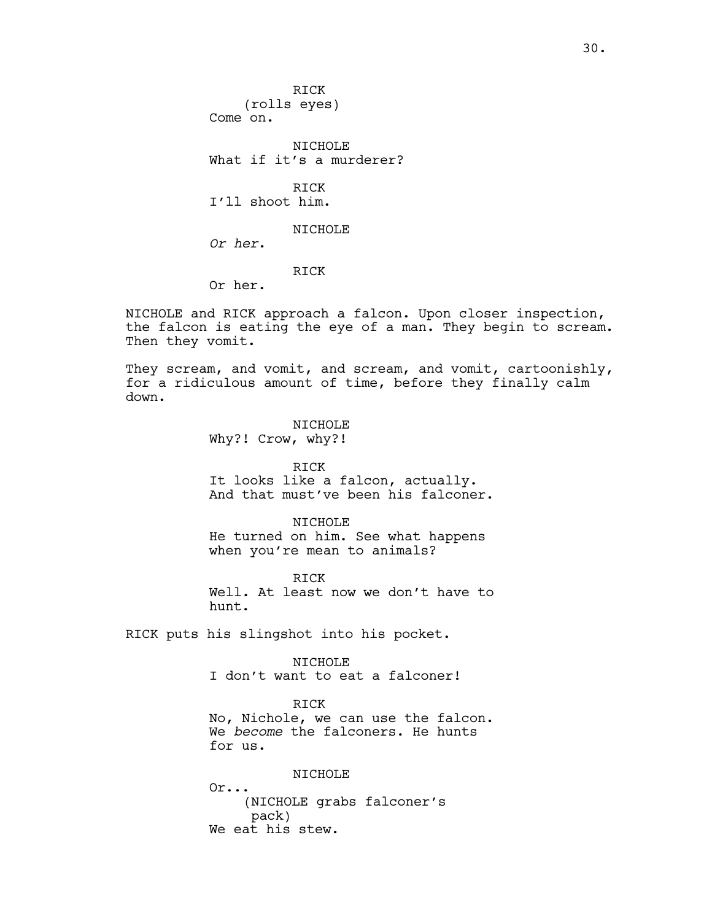RICK (rolls eyes) Come on. NICHOLE What if it's a murderer? RICK I'll shoot him. NICHOLE *Or her*. RICK

Or her.

NICHOLE and RICK approach a falcon. Upon closer inspection, the falcon is eating the eye of a man. They begin to scream. Then they vomit.

They scream, and vomit, and scream, and vomit, cartoonishly, for a ridiculous amount of time, before they finally calm down.

> NTCHOLE Why?! Crow, why?!

> > RICK

It looks like a falcon, actually. And that must've been his falconer.

NICHOLE He turned on him. See what happens when you're mean to animals?

RICK Well. At least now we don't have to hunt.

RICK puts his slingshot into his pocket.

NICHOLE

I don't want to eat a falconer!

RICK No, Nichole, we can use the falcon. We *become* the falconers. He hunts for us.

NICHOLE

Or... (NICHOLE grabs falconer's pack) We eat his stew.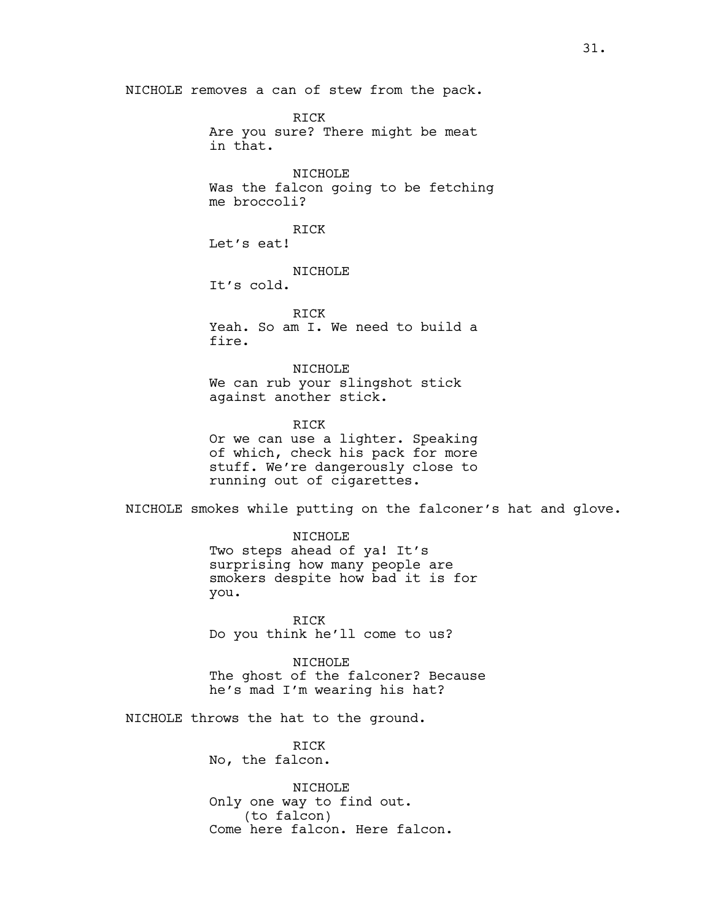NICHOLE removes a can of stew from the pack.

RICK Are you sure? There might be meat in that.

NICHOLE Was the falcon going to be fetching me broccoli?

RICK Let's eat!

NICHOLE

It's cold.

RICK Yeah. So am I. We need to build a fire.

NICHOLE We can rub your slingshot stick against another stick.

RICK Or we can use a lighter. Speaking of which, check his pack for more stuff. We're dangerously close to running out of cigarettes.

NICHOLE smokes while putting on the falconer's hat and glove.

NICHOLE Two steps ahead of ya! It's surprising how many people are smokers despite how bad it is for you.

RICK Do you think he'll come to us?

NICHOLE The ghost of the falconer? Because he's mad I'm wearing his hat?

NICHOLE throws the hat to the ground.

RICK No, the falcon.

NICHOLE Only one way to find out. (to falcon) Come here falcon. Here falcon.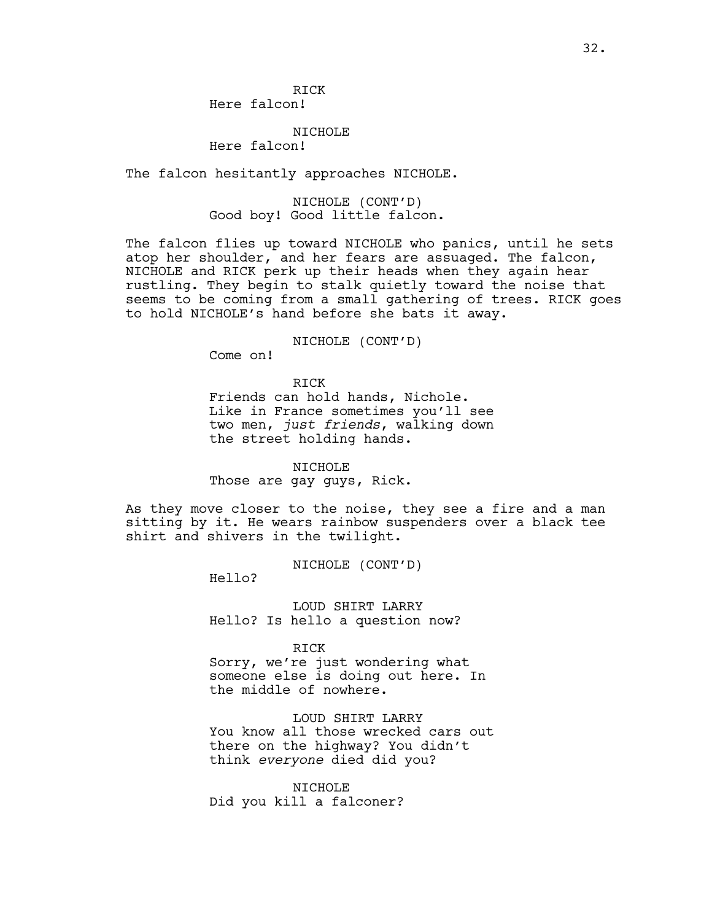# NICHOLE

Here falcon!

The falcon hesitantly approaches NICHOLE.

# NICHOLE (CONT'D) Good boy! Good little falcon.

The falcon flies up toward NICHOLE who panics, until he sets atop her shoulder, and her fears are assuaged. The falcon, NICHOLE and RICK perk up their heads when they again hear rustling. They begin to stalk quietly toward the noise that seems to be coming from a small gathering of trees. RICK goes to hold NICHOLE's hand before she bats it away.

NICHOLE (CONT'D)

Come on!

RICK

Friends can hold hands, Nichole. Like in France sometimes you'll see two men, *just friends*, walking down the street holding hands.

NICHOLE Those are gay guys, Rick.

As they move closer to the noise, they see a fire and a man sitting by it. He wears rainbow suspenders over a black tee shirt and shivers in the twilight.

NICHOLE (CONT'D)

Hello?

LOUD SHIRT LARRY Hello? Is hello a question now?

RICK

Sorry, we're just wondering what someone else is doing out here. In the middle of nowhere.

LOUD SHIRT LARRY You know all those wrecked cars out there on the highway? You didn't think *everyone* died did you?

NICHOLE Did you kill a falconer?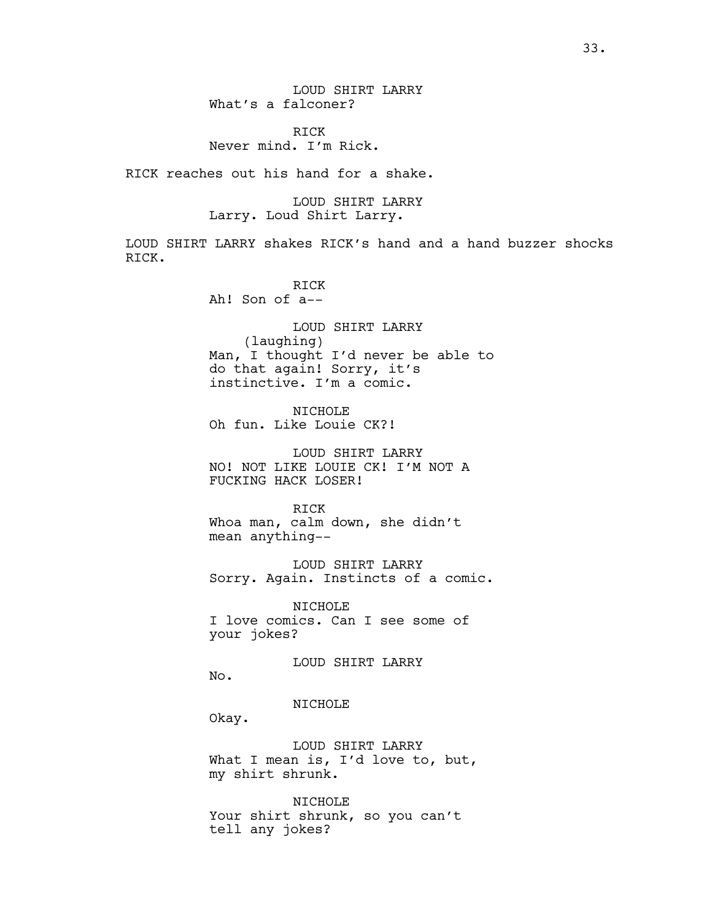LOUD SHIRT LARRY What's a falconer?

RICK Never mind. I'm Rick.

RICK reaches out his hand for a shake.

LOUD SHIRT LARRY Larry. Loud Shirt Larry.

LOUD SHIRT LARRY shakes RICK's hand and a hand buzzer shocks RICK.

> RICK Ah! Son of a--

LOUD SHIRT LARRY (laughing) Man, I thought I'd never be able to do that again! Sorry, it's instinctive. I'm a comic.

NICHOLE Oh fun. Like Louie CK?!

LOUD SHIRT LARRY NO! NOT LIKE LOUIE CK! I'M NOT A FUCKING HACK LOSER!

RICK Whoa man, calm down, she didn't mean anything--

LOUD SHIRT LARRY Sorry. Again. Instincts of a comic.

NICHOLE I love comics. Can I see some of your jokes?

LOUD SHIRT LARRY

No.

NICHOLE

Okay.

LOUD SHIRT LARRY What I mean is, I'd love to, but, my shirt shrunk.

NICHOLE Your shirt shrunk, so you can't tell any jokes?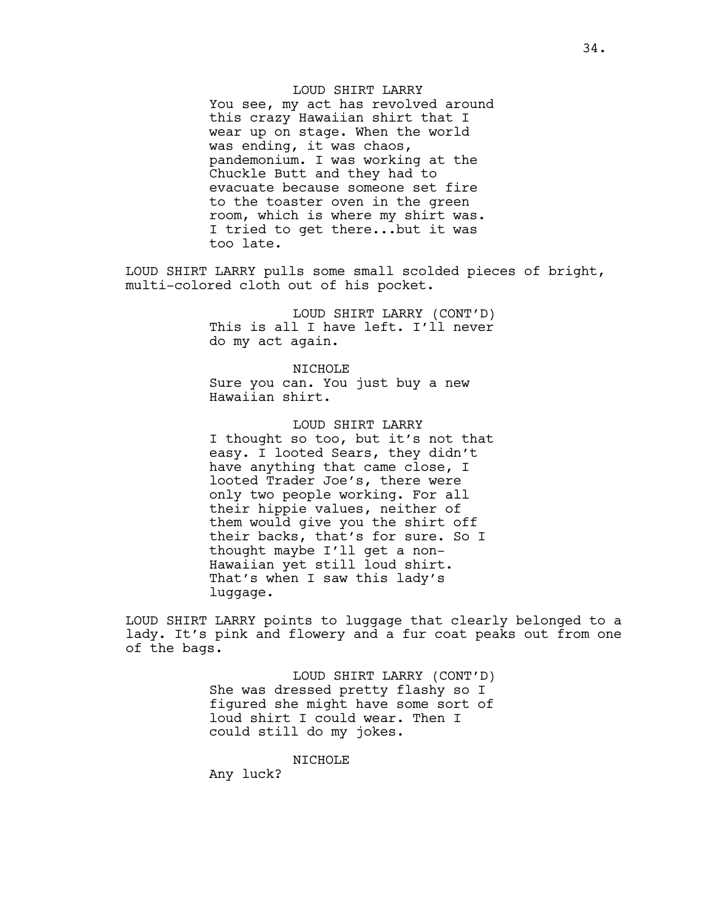LOUD SHIRT LARRY You see, my act has revolved around this crazy Hawaiian shirt that I wear up on stage. When the world was ending, it was chaos, pandemonium. I was working at the Chuckle Butt and they had to evacuate because someone set fire to the toaster oven in the green room, which is where my shirt was. I tried to get there...but it was too late.

LOUD SHIRT LARRY pulls some small scolded pieces of bright, multi-colored cloth out of his pocket.

> LOUD SHIRT LARRY (CONT'D) This is all I have left. I'll never do my act again.

NICHOLE Sure you can. You just buy a new Hawaiian shirt.

LOUD SHIRT LARRY I thought so too, but it's not that easy. I looted Sears, they didn't have anything that came close, I looted Trader Joe's, there were only two people working. For all their hippie values, neither of them would give you the shirt off their backs, that's for sure. So I thought maybe I'll get a non-Hawaiian yet still loud shirt. That's when I saw this lady's luggage.

LOUD SHIRT LARRY points to luggage that clearly belonged to a lady. It's pink and flowery and a fur coat peaks out from one of the bags.

> LOUD SHIRT LARRY (CONT'D) She was dressed pretty flashy so I figured she might have some sort of loud shirt I could wear. Then I could still do my jokes.

> > NICHOLE

Any luck?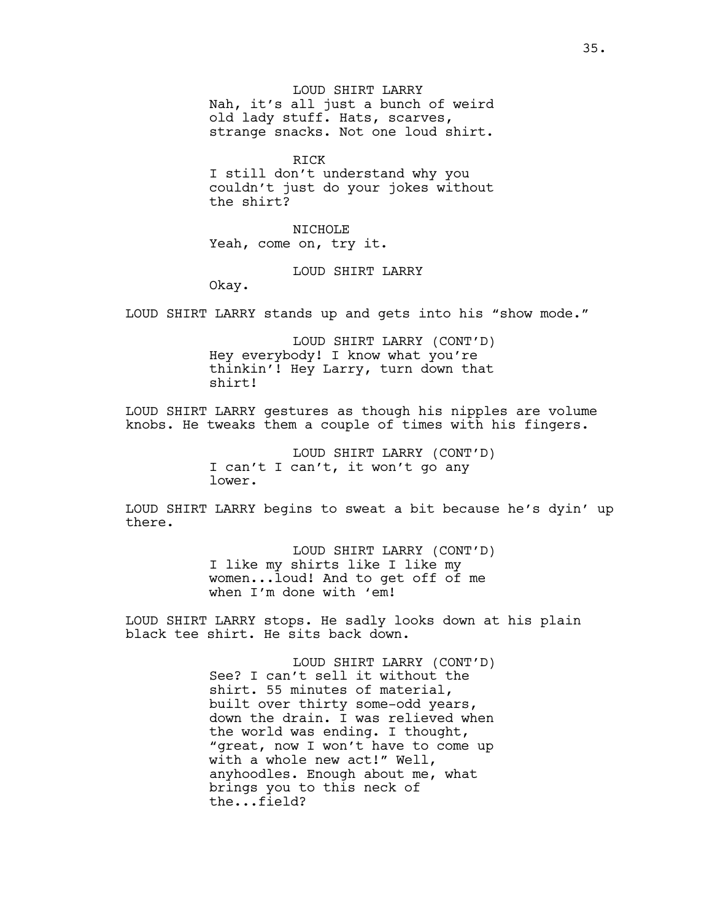LOUD SHIRT LARRY Nah, it's all just a bunch of weird old lady stuff. Hats, scarves, strange snacks. Not one loud shirt.

RICK I still don't understand why you couldn't just do your jokes without the shirt?

NICHOLE Yeah, come on, try it.

LOUD SHIRT LARRY

Okay.

LOUD SHIRT LARRY stands up and gets into his "show mode."

LOUD SHIRT LARRY (CONT'D) Hey everybody! I know what you're thinkin'! Hey Larry, turn down that shirt!

LOUD SHIRT LARRY gestures as though his nipples are volume knobs. He tweaks them a couple of times with his fingers.

> LOUD SHIRT LARRY (CONT'D) I can't I can't, it won't go any lower.

LOUD SHIRT LARRY begins to sweat a bit because he's dyin' up there.

> LOUD SHIRT LARRY (CONT'D) I like my shirts like I like my women...loud! And to get off of me when I'm done with 'em!

LOUD SHIRT LARRY stops. He sadly looks down at his plain black tee shirt. He sits back down.

> LOUD SHIRT LARRY (CONT'D) See? I can't sell it without the shirt. 55 minutes of material, built over thirty some-odd years, down the drain. I was relieved when the world was ending. I thought, "great, now I won't have to come up with a whole new act!" Well, anyhoodles. Enough about me, what brings you to this neck of the...field?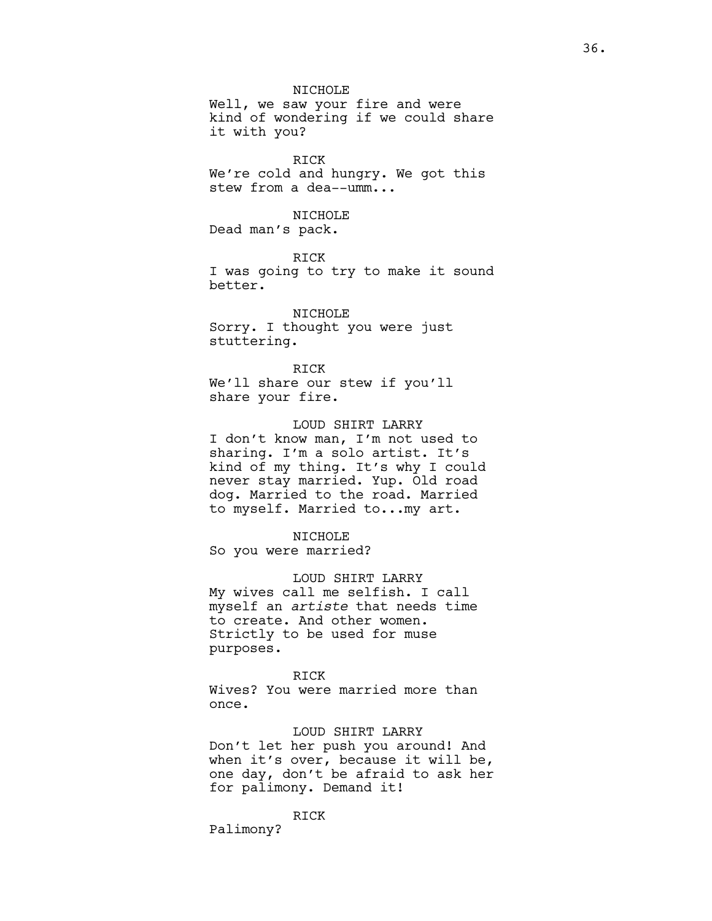NICHOLE Well, we saw your fire and were kind of wondering if we could share it with you?

RICK We're cold and hungry. We got this stew from a dea--umm...

## NICHOLE

Dead man's pack.

RICK I was going to try to make it sound better.

NICHOLE Sorry. I thought you were just stuttering.

RICK We'll share our stew if you'll share your fire.

## LOUD SHIRT LARRY

I don't know man, I'm not used to sharing. I'm a solo artist. It's kind of my thing. It's why I could never stay married. Yup. Old road dog. Married to the road. Married to myself. Married to...my art.

#### NICHOLE

So you were married?

### LOUD SHIRT LARRY

My wives call me selfish. I call myself an *artiste* that needs time to create. And other women. Strictly to be used for muse purposes.

### RICK

Wives? You were married more than once.

### LOUD SHIRT LARRY

Don't let her push you around! And when it's over, because it will be, one day, don't be afraid to ask her for palimony. Demand it!

RICK

Palimony?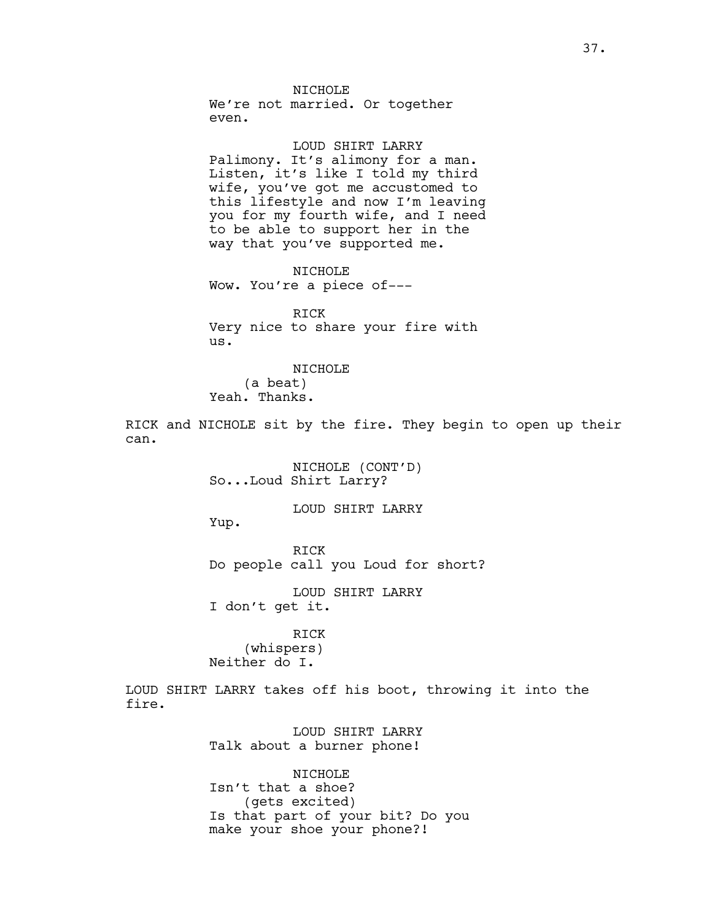NICHOLE

We're not married. Or together even.

LOUD SHIRT LARRY

Palimony. It's alimony for a man. Listen, it's like I told my third wife, you've got me accustomed to this lifestyle and now I'm leaving you for my fourth wife, and I need to be able to support her in the way that you've supported me.

NTCHOLE Wow. You're a piece of---

RICK Very nice to share your fire with us.

NICHOLE (a beat) Yeah. Thanks.

RICK and NICHOLE sit by the fire. They begin to open up their can.

> NICHOLE (CONT'D) So...Loud Shirt Larry?

> > LOUD SHIRT LARRY

Yup.

RICK Do people call you Loud for short?

LOUD SHIRT LARRY I don't get it.

RICK (whispers) Neither do I.

LOUD SHIRT LARRY takes off his boot, throwing it into the fire.

> LOUD SHIRT LARRY Talk about a burner phone!

NICHOLE Isn't that a shoe? (gets excited) Is that part of your bit? Do you make your shoe your phone?!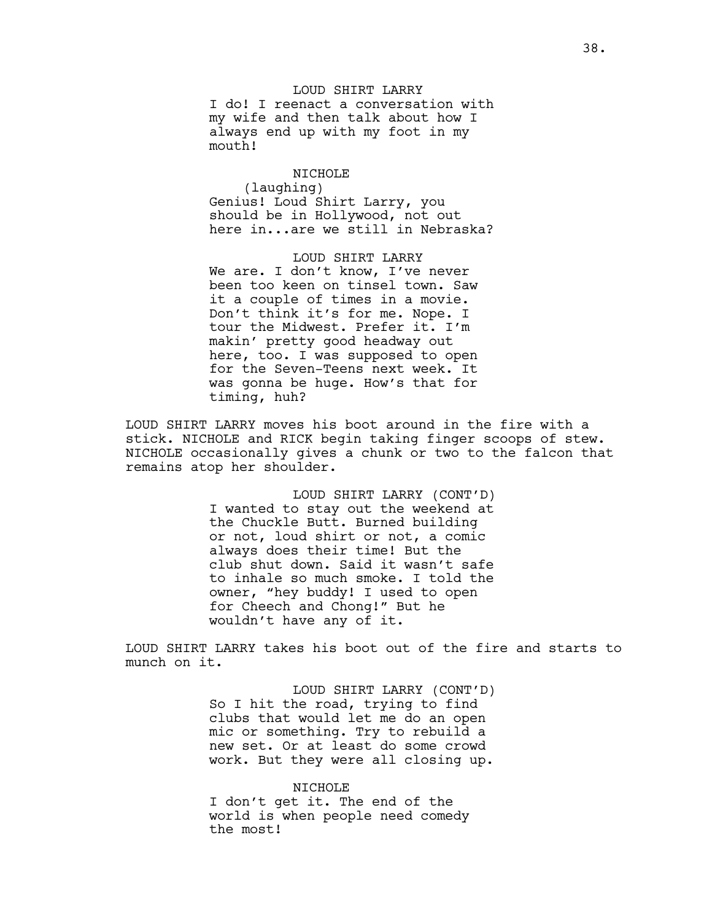LOUD SHIRT LARRY I do! I reenact a conversation with my wife and then talk about how I always end up with my foot in my mouth!

NICHOLE (laughing) Genius! Loud Shirt Larry, you should be in Hollywood, not out here in...are we still in Nebraska?

LOUD SHIRT LARRY We are. I don't know, I've never been too keen on tinsel town. Saw it a couple of times in a movie. Don't think it's for me. Nope. I tour the Midwest. Prefer it. I'm makin' pretty good headway out here, too. I was supposed to open for the Seven-Teens next week. It was gonna be huge. How's that for timing, huh?

LOUD SHIRT LARRY moves his boot around in the fire with a stick. NICHOLE and RICK begin taking finger scoops of stew. NICHOLE occasionally gives a chunk or two to the falcon that remains atop her shoulder.

> LOUD SHIRT LARRY (CONT'D) I wanted to stay out the weekend at the Chuckle Butt. Burned building or not, loud shirt or not, a comic always does their time! But the club shut down. Said it wasn't safe to inhale so much smoke. I told the owner, "hey buddy! I used to open for Cheech and Chong!" But he wouldn't have any of it.

LOUD SHIRT LARRY takes his boot out of the fire and starts to munch on it.

> LOUD SHIRT LARRY (CONT'D) So I hit the road, trying to find clubs that would let me do an open mic or something. Try to rebuild a new set. Or at least do some crowd work. But they were all closing up.

#### NICHOLE

I don't get it. The end of the world is when people need comedy the most!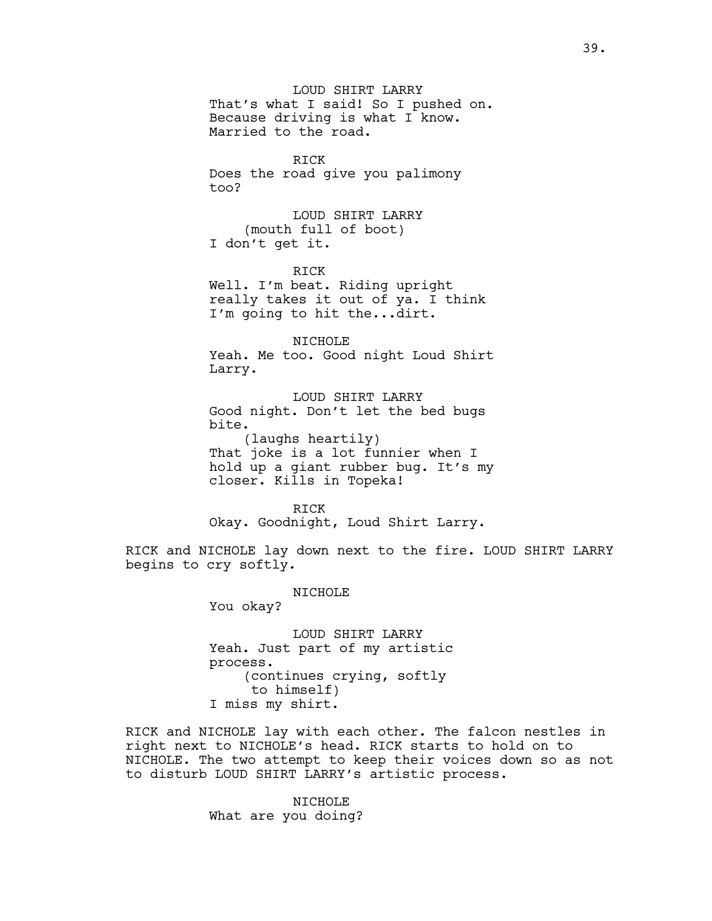LOUD SHIRT LARRY That's what I said! So I pushed on. Because driving is what I know. Married to the road.

RICK Does the road give you palimony too?

LOUD SHIRT LARRY (mouth full of boot) I don't get it.

RICK

Well. I'm beat. Riding upright really takes it out of ya. I think I'm going to hit the...dirt.

NICHOLE Yeah. Me too. Good night Loud Shirt Larry.

LOUD SHIRT LARRY Good night. Don't let the bed bugs bite.

(laughs heartily) That joke is a lot funnier when I hold up a giant rubber bug. It's my closer. Kills in Topeka!

RICK Okay. Goodnight, Loud Shirt Larry.

RICK and NICHOLE lay down next to the fire. LOUD SHIRT LARRY begins to cry softly.

NICHOLE

You okay?

LOUD SHIRT LARRY Yeah. Just part of my artistic process. (continues crying, softly to himself) I miss my shirt.

RICK and NICHOLE lay with each other. The falcon nestles in right next to NICHOLE's head. RICK starts to hold on to NICHOLE. The two attempt to keep their voices down so as not to disturb LOUD SHIRT LARRY's artistic process.

> NICHOLE What are you doing?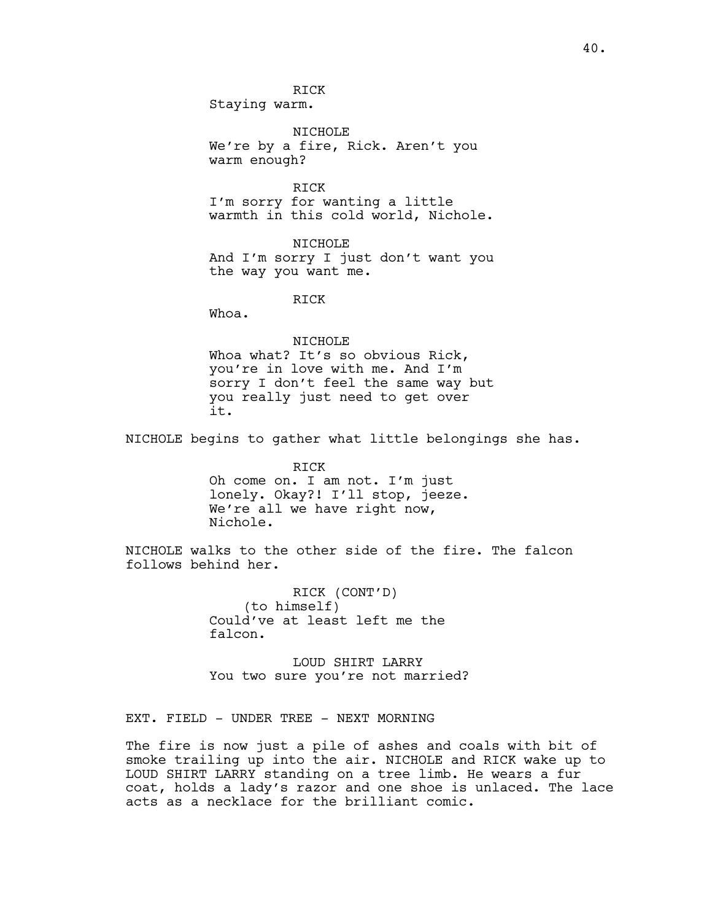RICK Staying warm.

NICHOLE We're by a fire, Rick. Aren't you warm enough?

RICK I'm sorry for wanting a little warmth in this cold world, Nichole.

NICHOLE And I'm sorry I just don't want you the way you want me.

RICK

Whoa.

### NICHOLE

Whoa what? It's so obvious Rick, you're in love with me. And I'm sorry I don't feel the same way but you really just need to get over it.

NICHOLE begins to gather what little belongings she has.

RICK Oh come on. I am not. I'm just lonely. Okay?! I'll stop, jeeze. We're all we have right now, Nichole.

NICHOLE walks to the other side of the fire. The falcon follows behind her.

> RICK (CONT'D) (to himself) Could've at least left me the falcon.

LOUD SHIRT LARRY You two sure you're not married?

EXT. FIELD - UNDER TREE - NEXT MORNING

The fire is now just a pile of ashes and coals with bit of smoke trailing up into the air. NICHOLE and RICK wake up to LOUD SHIRT LARRY standing on a tree limb. He wears a fur coat, holds a lady's razor and one shoe is unlaced. The lace acts as a necklace for the brilliant comic.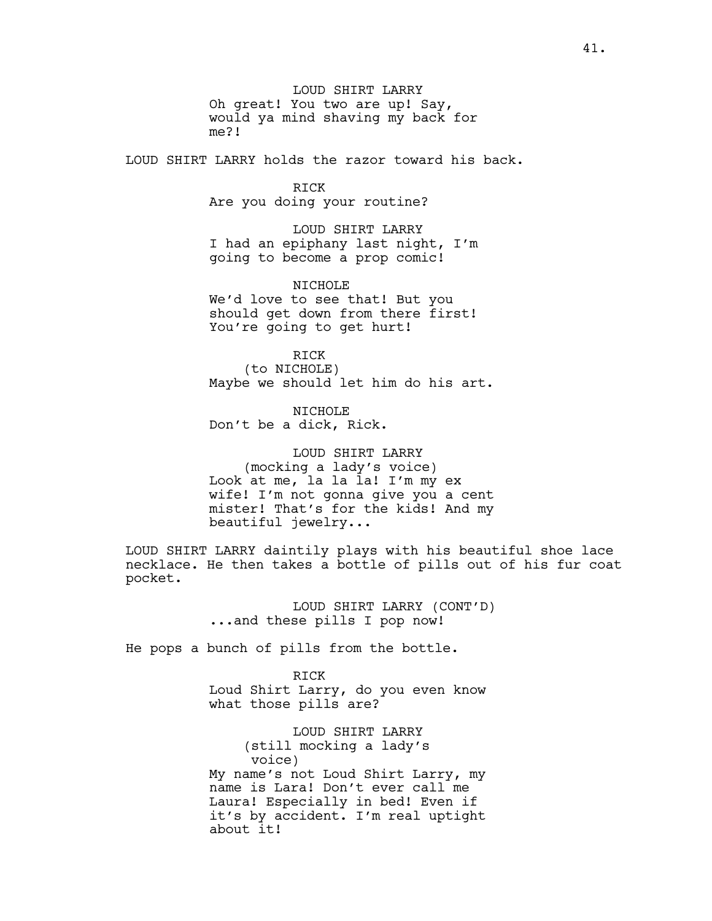LOUD SHIRT LARRY Oh great! You two are up! Say, would ya mind shaving my back for me?!

LOUD SHIRT LARRY holds the razor toward his back.

RICK Are you doing your routine?

LOUD SHIRT LARRY I had an epiphany last night, I'm going to become a prop comic!

NICHOLE We'd love to see that! But you should get down from there first! You're going to get hurt!

RICK (to NICHOLE) Maybe we should let him do his art.

NICHOLE Don't be a dick, Rick.

LOUD SHIRT LARRY (mocking a lady's voice) Look at me, la la la! I'm my ex wife! I'm not gonna give you a cent mister! That's for the kids! And my beautiful jewelry...

LOUD SHIRT LARRY daintily plays with his beautiful shoe lace necklace. He then takes a bottle of pills out of his fur coat pocket.

> LOUD SHIRT LARRY (CONT'D) ...and these pills I pop now!

He pops a bunch of pills from the bottle.

RICK Loud Shirt Larry, do you even know what those pills are?

LOUD SHIRT LARRY (still mocking a lady's voice) My name's not Loud Shirt Larry, my name is Lara! Don't ever call me Laura! Especially in bed! Even if it's by accident. I'm real uptight about it!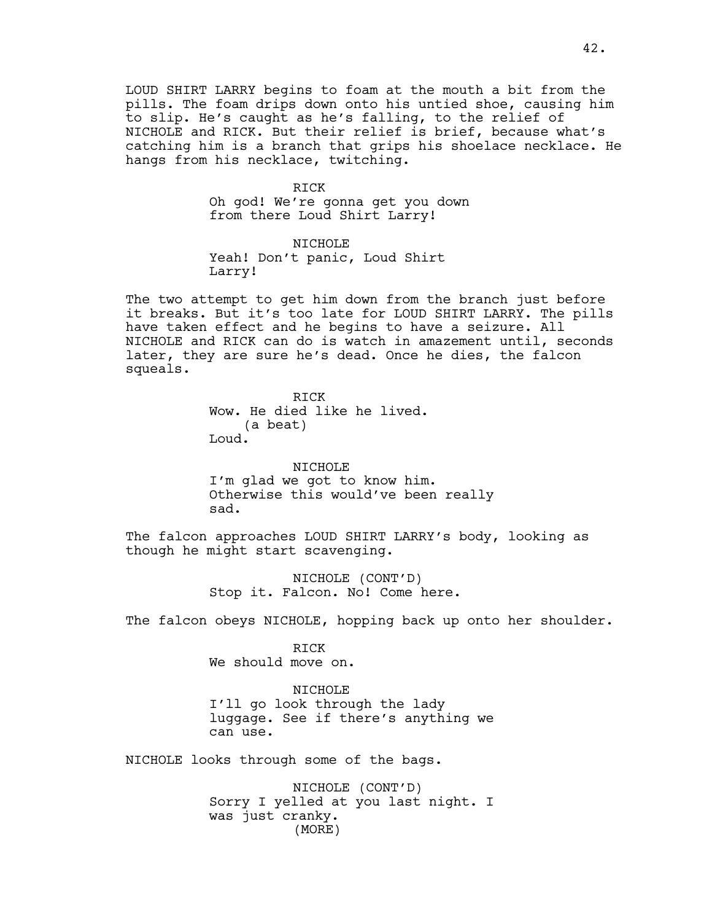LOUD SHIRT LARRY begins to foam at the mouth a bit from the pills. The foam drips down onto his untied shoe, causing him to slip. He's caught as he's falling, to the relief of NICHOLE and RICK. But their relief is brief, because what's catching him is a branch that grips his shoelace necklace. He hangs from his necklace, twitching.

### RICK

Oh god! We're gonna get you down from there Loud Shirt Larry!

NICHOLE Yeah! Don't panic, Loud Shirt Larry!

The two attempt to get him down from the branch just before it breaks. But it's too late for LOUD SHIRT LARRY. The pills have taken effect and he begins to have a seizure. All NICHOLE and RICK can do is watch in amazement until, seconds later, they are sure he's dead. Once he dies, the falcon squeals.

> RICK Wow. He died like he lived. (a beat) Loud.

NICHOLE I'm glad we got to know him. Otherwise this would've been really sad.

The falcon approaches LOUD SHIRT LARRY's body, looking as though he might start scavenging.

> NICHOLE (CONT'D) Stop it. Falcon. No! Come here.

The falcon obeys NICHOLE, hopping back up onto her shoulder.

RICK We should move on.

NICHOLE I'll go look through the lady luggage. See if there's anything we can use.

NICHOLE looks through some of the bags.

NICHOLE (CONT'D) Sorry I yelled at you last night. I was just cranky. (MORE)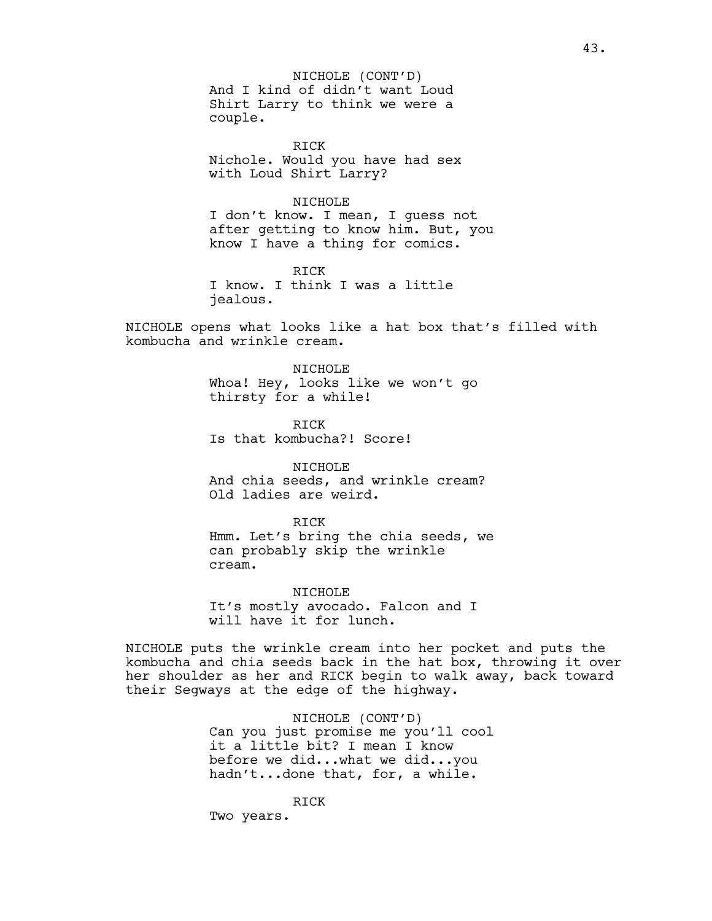And I kind of didn't want Loud Shirt Larry to think we were a couple. NICHOLE (CONT'D)

RICK Nichole. Would you have had sex with Loud Shirt Larry?

## NICHOLE

I don't know. I mean, I guess not after getting to know him. But, you know I have a thing for comics.

RICK I know. I think I was a little jealous.

NICHOLE opens what looks like a hat box that's filled with kombucha and wrinkle cream.

> NTCHOLE Whoa! Hey, looks like we won't go thirsty for a while!

RICK Is that kombucha?! Score!

NICHOLE And chia seeds, and wrinkle cream? Old ladies are weird.

RICK Hmm. Let's bring the chia seeds, we can probably skip the wrinkle cream.

NICHOLE It's mostly avocado. Falcon and I will have it for lunch.

NICHOLE puts the wrinkle cream into her pocket and puts the kombucha and chia seeds back in the hat box, throwing it over her shoulder as her and RICK begin to walk away, back toward their Segways at the edge of the highway.

> NICHOLE (CONT'D) Can you just promise me you'll cool it a little bit? I mean I know before we did...what we did...you hadn't...done that, for, a while.

RICK Two years.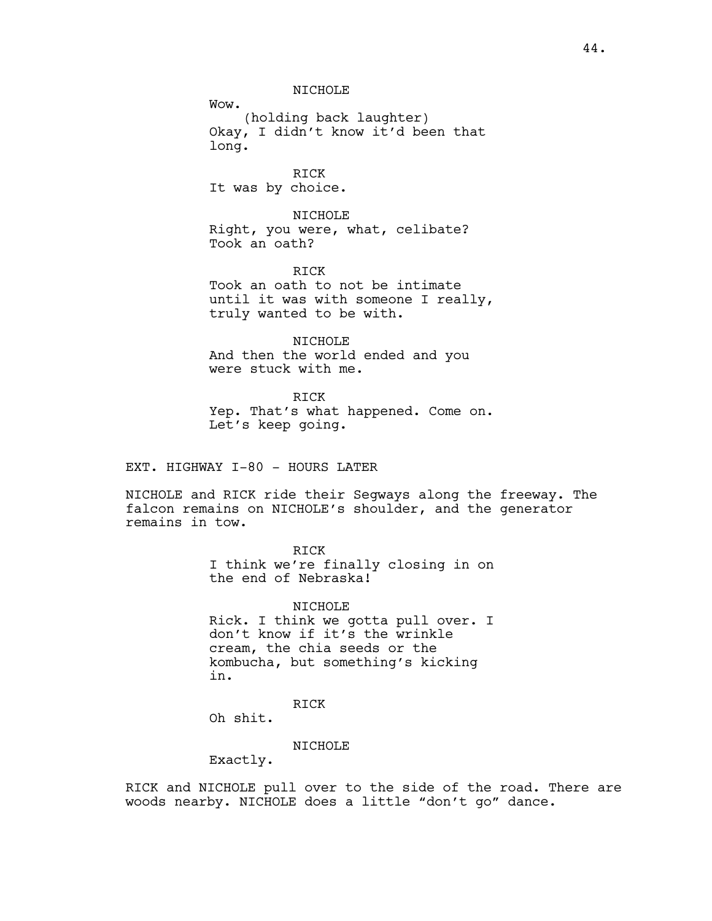NICHOLE

Wow. (holding back laughter) Okay, I didn't know it'd been that long.

RICK It was by choice.

NICHOLE Right, you were, what, celibate? Took an oath?

RICK Took an oath to not be intimate until it was with someone I really, truly wanted to be with.

NICHOLE And then the world ended and you were stuck with me.

RICK Yep. That's what happened. Come on. Let's keep going.

EXT. HIGHWAY I-80 - HOURS LATER

NICHOLE and RICK ride their Segways along the freeway. The falcon remains on NICHOLE's shoulder, and the generator remains in tow.

RICK

I think we're finally closing in on the end of Nebraska!

NICHOLE Rick. I think we gotta pull over. I don't know if it's the wrinkle cream, the chia seeds or the kombucha, but something's kicking in.

RICK

Oh shit.

NICHOLE

Exactly.

RICK and NICHOLE pull over to the side of the road. There are woods nearby. NICHOLE does a little "don't go" dance.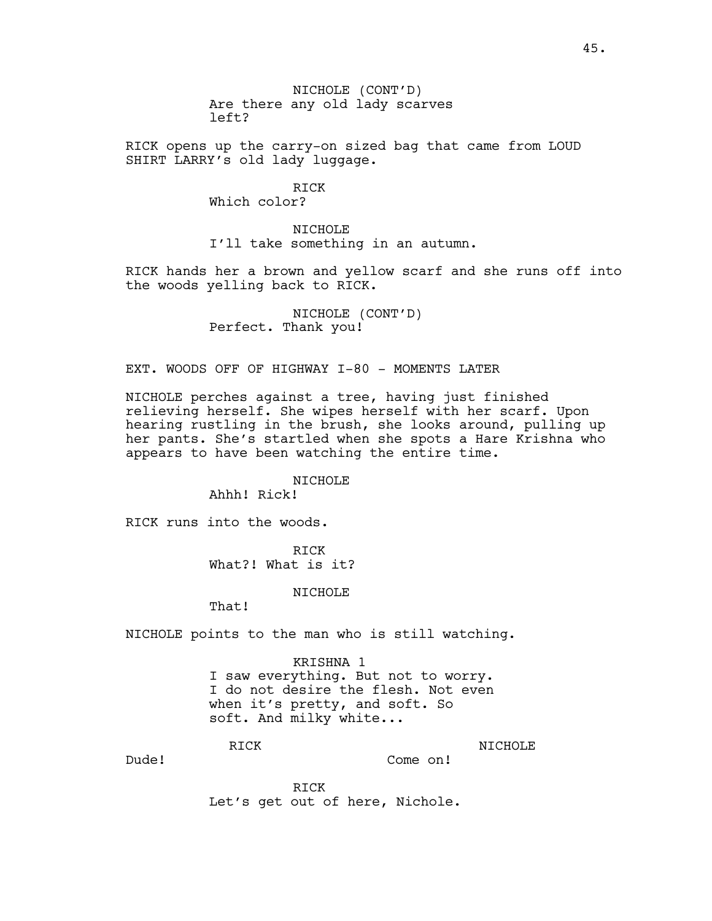NICHOLE (CONT'D) Are there any old lady scarves left?

RICK opens up the carry-on sized bag that came from LOUD SHIRT LARRY's old lady luggage.

RICK

Which color?

NICHOLE I'll take something in an autumn.

RICK hands her a brown and yellow scarf and she runs off into the woods yelling back to RICK.

> NICHOLE (CONT'D) Perfect. Thank you!

EXT. WOODS OFF OF HIGHWAY I-80 - MOMENTS LATER

NICHOLE perches against a tree, having just finished relieving herself. She wipes herself with her scarf. Upon hearing rustling in the brush, she looks around, pulling up her pants. She's startled when she spots a Hare Krishna who appears to have been watching the entire time.

NICHOLE

Ahhh! Rick!

RICK runs into the woods.

RICK What?! What is it?

NICHOLE

That!

NICHOLE points to the man who is still watching.

KRISHNA 1 I saw everything. But not to worry. I do not desire the flesh. Not even when it's pretty, and soft. So soft. And milky white...

RICK

NICHOLE Come on!

Dude!

RICK Let's get out of here, Nichole.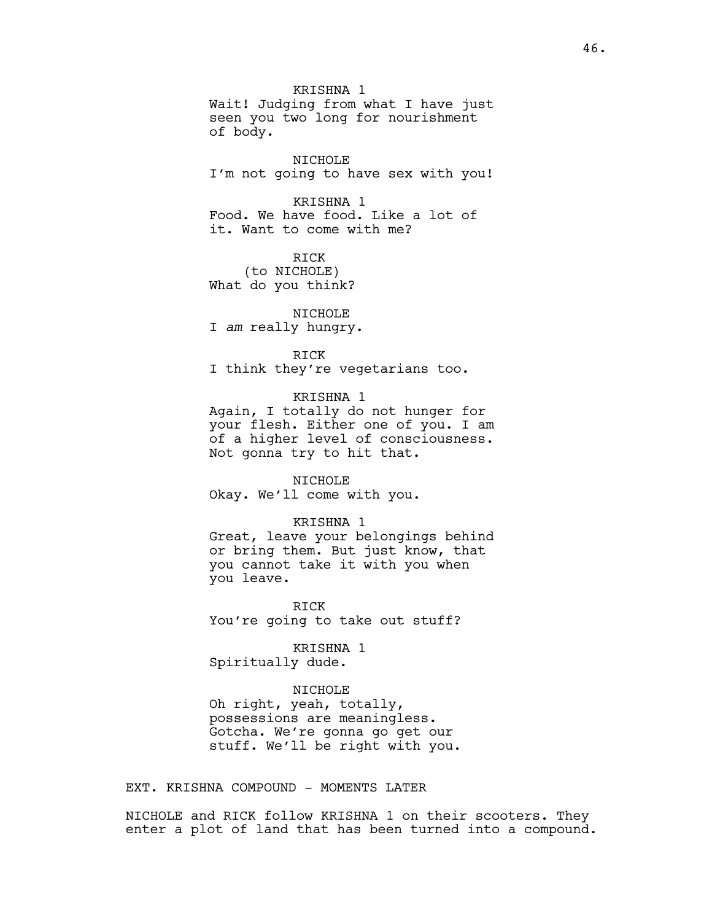KRISHNA 1 Wait! Judging from what I have just seen you two long for nourishment of body.

NICHOLE I'm not going to have sex with you!

KRISHNA 1 Food. We have food. Like a lot of it. Want to come with me?

RICK (to NICHOLE) What do you think?

NICHOLE I *am* really hungry.

RICK

I think they're vegetarians too.

# KRISHNA 1

Again, I totally do not hunger for your flesh. Either one of you. I am of a higher level of consciousness. Not gonna try to hit that.

#### NICHOLE

Okay. We'll come with you.

# KRISHNA 1

Great, leave your belongings behind or bring them. But just know, that you cannot take it with you when you leave.

RICK You're going to take out stuff?

KRISHNA 1

Spiritually dude.

### NICHOLE

Oh right, yeah, totally, possessions are meaningless. Gotcha. We're gonna go get our stuff. We'll be right with you.

EXT. KRISHNA COMPOUND - MOMENTS LATER

NICHOLE and RICK follow KRISHNA 1 on their scooters. They enter a plot of land that has been turned into a compound.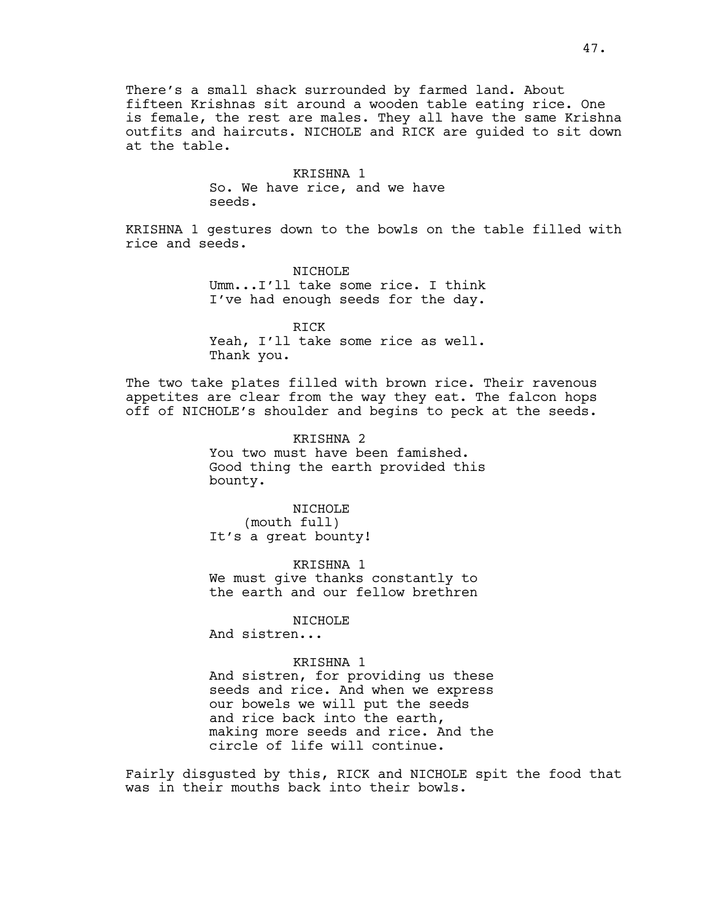There's a small shack surrounded by farmed land. About fifteen Krishnas sit around a wooden table eating rice. One is female, the rest are males. They all have the same Krishna outfits and haircuts. NICHOLE and RICK are guided to sit down at the table.

# KRISHNA 1 So. We have rice, and we have seeds.

KRISHNA 1 gestures down to the bowls on the table filled with rice and seeds.

> NTCHOLE<sup></sup> Umm...I'll take some rice. I think I've had enough seeds for the day.

> RICK Yeah, I'll take some rice as well. Thank you.

The two take plates filled with brown rice. Their ravenous appetites are clear from the way they eat. The falcon hops off of NICHOLE's shoulder and begins to peck at the seeds.

> KRISHNA 2 You two must have been famished. Good thing the earth provided this bounty.

NICHOLE (mouth full) It's a great bounty!

KRISHNA 1 We must give thanks constantly to the earth and our fellow brethren

NICHOLE

And sistren...

# KRISHNA 1

And sistren, for providing us these seeds and rice. And when we express our bowels we will put the seeds and rice back into the earth, making more seeds and rice. And the circle of life will continue.

Fairly disgusted by this, RICK and NICHOLE spit the food that was in their mouths back into their bowls.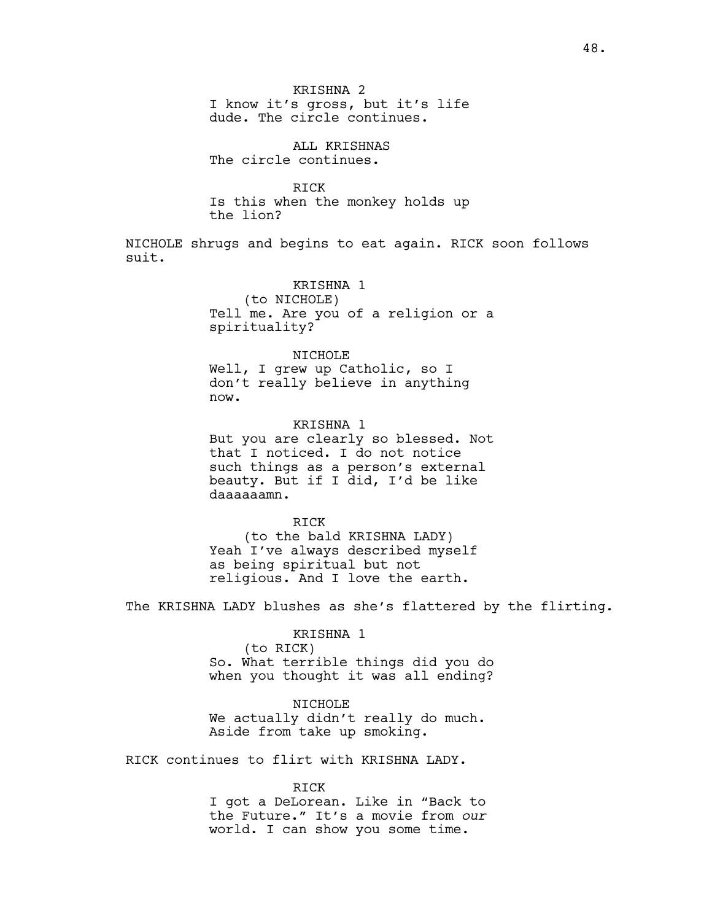ALL KRISHNAS The circle continues.

RICK Is this when the monkey holds up the lion?

NICHOLE shrugs and begins to eat again. RICK soon follows suit.

> KRISHNA 1 (to NICHOLE) Tell me. Are you of a religion or a spirituality?

NICHOLE Well, I grew up Catholic, so I don't really believe in anything now.

KRISHNA 1 But you are clearly so blessed. Not that I noticed. I do not notice such things as a person's external beauty. But if I did, I'd be like daaaaaamn.

RICK (to the bald KRISHNA LADY) Yeah I've always described myself as being spiritual but not religious. And I love the earth.

The KRISHNA LADY blushes as she's flattered by the flirting.

KRISHNA 1

(to RICK) So. What terrible things did you do when you thought it was all ending?

NICHOLE

We actually didn't really do much. Aside from take up smoking.

RICK continues to flirt with KRISHNA LADY.

RICK I got a DeLorean. Like in "Back to the Future." It's a movie from *our* world. I can show you some time.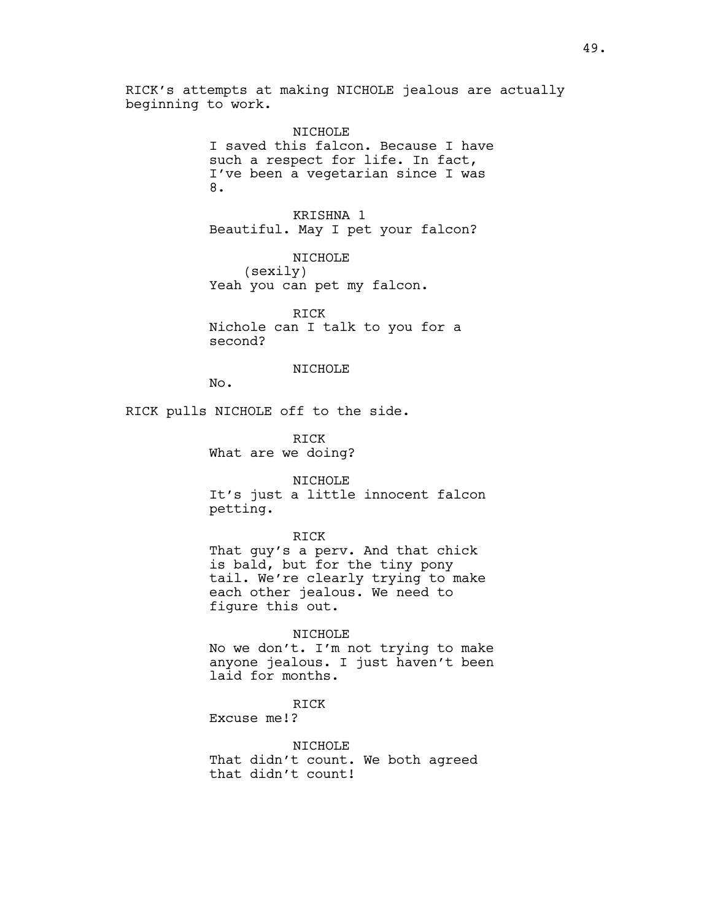RICK's attempts at making NICHOLE jealous are actually beginning to work.

> NICHOLE I saved this falcon. Because I have such a respect for life. In fact, I've been a vegetarian since I was 8.

KRISHNA 1 Beautiful. May I pet your falcon?

NICHOLE (sexily) Yeah you can pet my falcon.

RICK Nichole can I talk to you for a second?

## NICHOLE

No.

RICK pulls NICHOLE off to the side.

RICK What are we doing?

NICHOLE It's just a little innocent falcon petting.

### RICK

That guy's a perv. And that chick is bald, but for the tiny pony tail. We're clearly trying to make each other jealous. We need to figure this out.

### NICHOLE

No we don't. I'm not trying to make anyone jealous. I just haven't been laid for months.

## RICK

Excuse me!?

### NICHOLE

That didn't count. We both agreed that didn't count!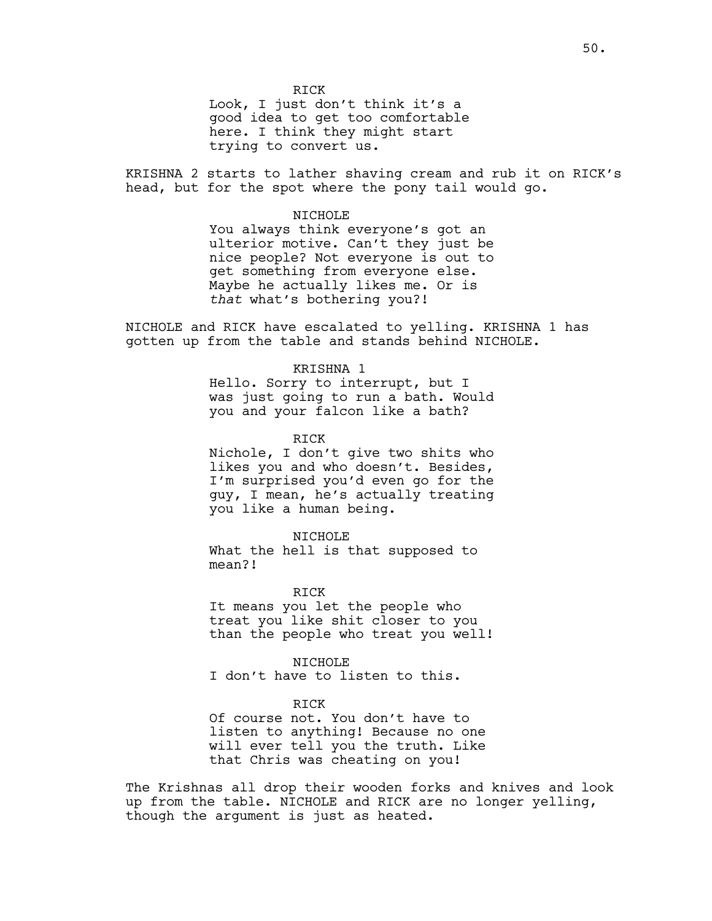RICK Look, I just don't think it's a good idea to get too comfortable here. I think they might start trying to convert us.

KRISHNA 2 starts to lather shaving cream and rub it on RICK's head, but for the spot where the pony tail would go.

### NICHOLE

You always think everyone's got an ulterior motive. Can't they just be nice people? Not everyone is out to get something from everyone else. Maybe he actually likes me. Or is *that* what's bothering you?!

NICHOLE and RICK have escalated to yelling. KRISHNA 1 has gotten up from the table and stands behind NICHOLE.

### KRISHNA 1

Hello. Sorry to interrupt, but I was just going to run a bath. Would you and your falcon like a bath?

RICK

Nichole, I don't give two shits who likes you and who doesn't. Besides, I'm surprised you'd even go for the guy, I mean, he's actually treating you like a human being.

NICHOLE What the hell is that supposed to

mean?!

RICK It means you let the people who treat you like shit closer to you than the people who treat you well!

NICHOLE I don't have to listen to this.

## RICK

Of course not. You don't have to listen to anything! Because no one will ever tell you the truth. Like that Chris was cheating on you!

The Krishnas all drop their wooden forks and knives and look up from the table. NICHOLE and RICK are no longer yelling, though the argument is just as heated.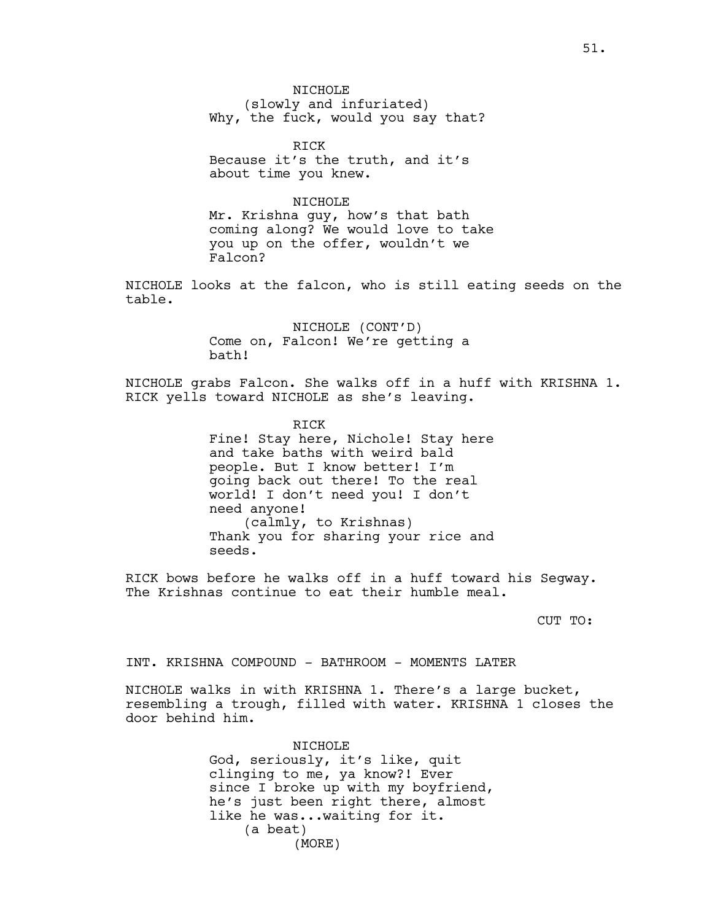NTCHOLE<sup></sup> (slowly and infuriated) Why, the fuck, would you say that?

RICK Because it's the truth, and it's about time you knew.

NICHOLE

Mr. Krishna guy, how's that bath coming along? We would love to take you up on the offer, wouldn't we Falcon?

NICHOLE looks at the falcon, who is still eating seeds on the table.

> NICHOLE (CONT'D) Come on, Falcon! We're getting a bath!

NICHOLE grabs Falcon. She walks off in a huff with KRISHNA 1. RICK yells toward NICHOLE as she's leaving.

> RICK Fine! Stay here, Nichole! Stay here and take baths with weird bald people. But I know better! I'm going back out there! To the real world! I don't need you! I don't need anyone! (calmly, to Krishnas) Thank you for sharing your rice and seeds.

RICK bows before he walks off in a huff toward his Segway. The Krishnas continue to eat their humble meal.

CUT TO:

INT. KRISHNA COMPOUND - BATHROOM - MOMENTS LATER

NICHOLE walks in with KRISHNA 1. There's a large bucket, resembling a trough, filled with water. KRISHNA 1 closes the door behind him.

> NICHOLE God, seriously, it's like, quit clinging to me, ya know?! Ever since I broke up with my boyfriend, he's just been right there, almost like he was...waiting for it. (a beat) (MORE)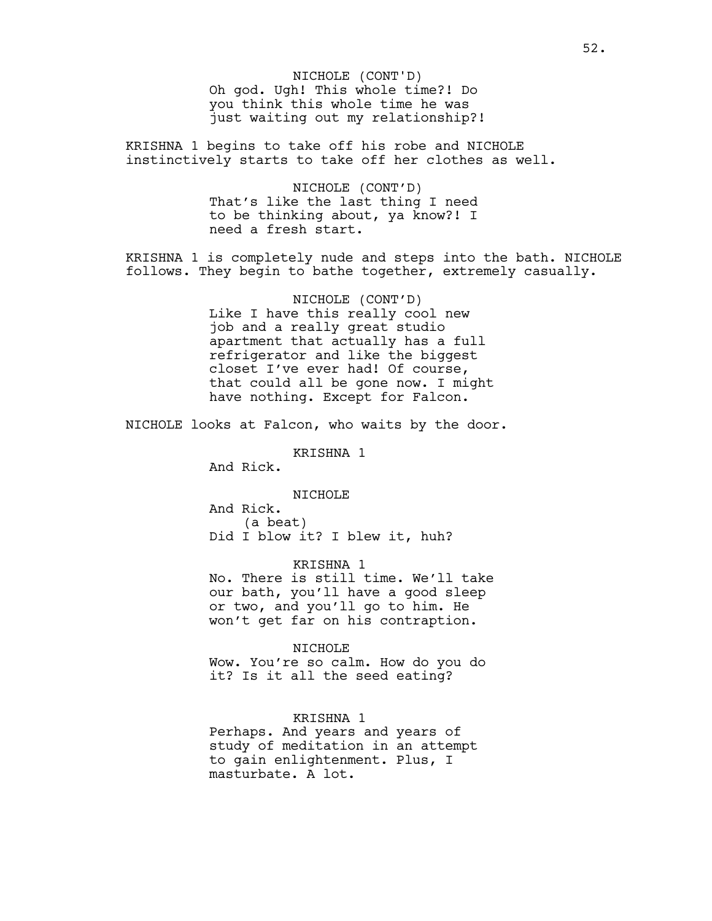Oh god. Ugh! This whole time?! Do you think this whole time he was just waiting out my relationship?! NICHOLE (CONT'D)

KRISHNA 1 begins to take off his robe and NICHOLE instinctively starts to take off her clothes as well.

> NICHOLE (CONT'D) That's like the last thing I need to be thinking about, ya know?! I need a fresh start.

KRISHNA 1 is completely nude and steps into the bath. NICHOLE follows. They begin to bathe together, extremely casually.

> NICHOLE (CONT'D) Like I have this really cool new job and a really great studio apartment that actually has a full refrigerator and like the biggest closet I've ever had! Of course, that could all be gone now. I might have nothing. Except for Falcon.

NICHOLE looks at Falcon, who waits by the door.

KRISHNA 1

And Rick.

NICHOLE

And Rick. (a beat) Did I blow it? I blew it, huh?

KRISHNA 1 No. There is still time. We'll take our bath, you'll have a good sleep or two, and you'll go to him. He won't get far on his contraption.

NICHOLE

Wow. You're so calm. How do you do it? Is it all the seed eating?

KRISHNA 1 Perhaps. And years and years of study of meditation in an attempt to gain enlightenment. Plus, I masturbate. A lot.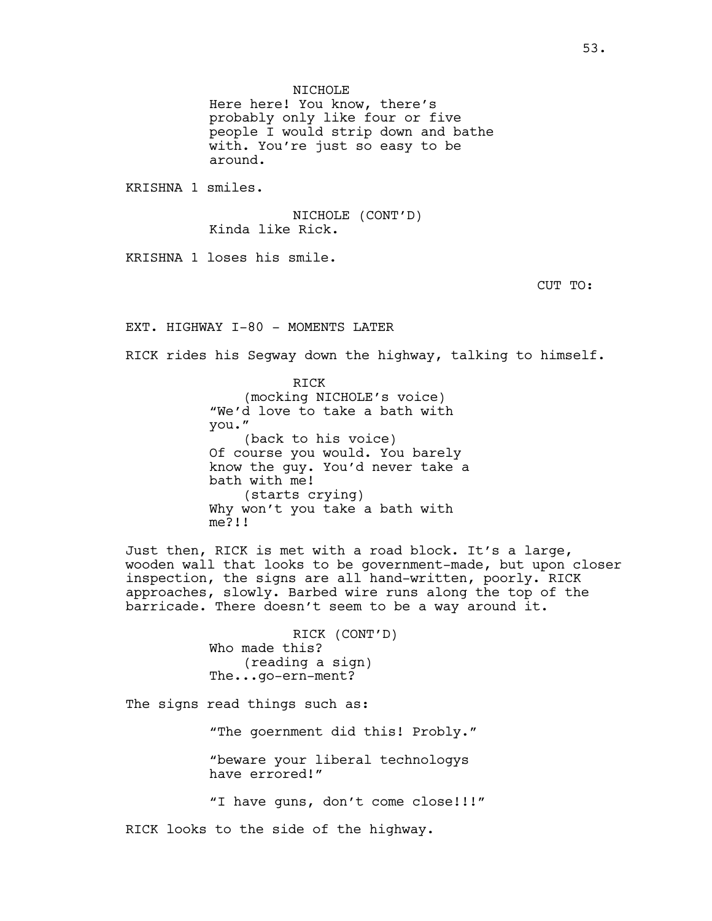NTCHOLE<sup></sup>

Here here! You know, there's probably only like four or five people I would strip down and bathe with. You're just so easy to be around.

KRISHNA 1 smiles.

NICHOLE (CONT'D) Kinda like Rick.

KRISHNA 1 loses his smile.

CUT TO:

EXT. HIGHWAY I-80 - MOMENTS LATER

RICK rides his Segway down the highway, talking to himself.

RICK (mocking NICHOLE's voice) "We'd love to take a bath with you." (back to his voice) Of course you would. You barely know the guy. You'd never take a bath with me! (starts crying) Why won't you take a bath with me?!!

Just then, RICK is met with a road block. It's a large, wooden wall that looks to be government-made, but upon closer inspection, the signs are all hand-written, poorly. RICK approaches, slowly. Barbed wire runs along the top of the barricade. There doesn't seem to be a way around it.

> RICK (CONT'D) Who made this? (reading a sign) The...go-ern-ment?

The signs read things such as:

"The goernment did this! Probly." "beware your liberal technologys have errored!"

"I have guns, don't come close!!!"

RICK looks to the side of the highway.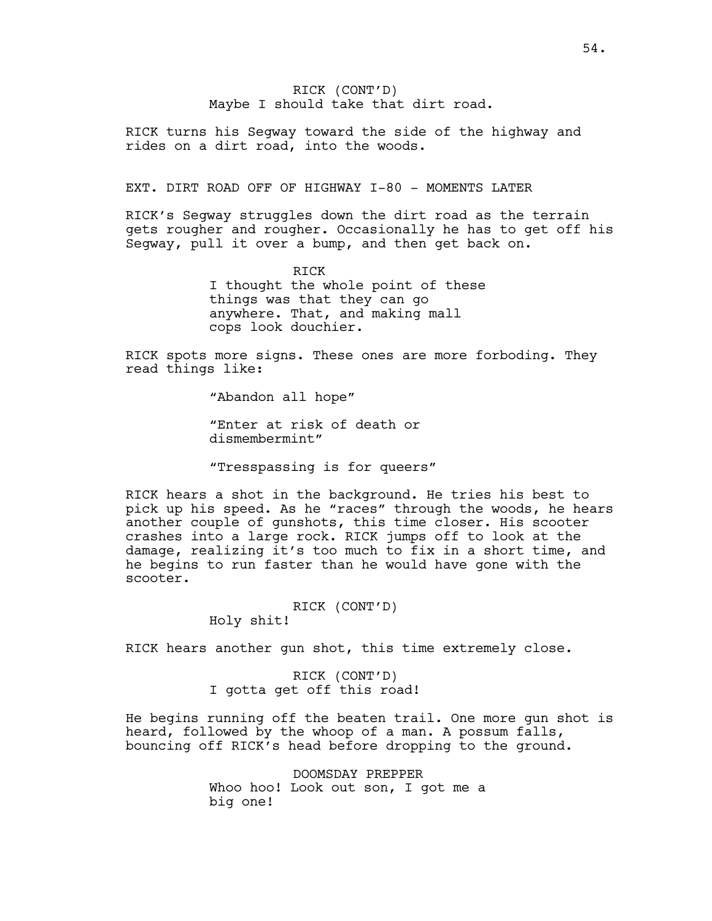# RICK (CONT'D) Maybe I should take that dirt road.

RICK turns his Segway toward the side of the highway and rides on a dirt road, into the woods.

### EXT. DIRT ROAD OFF OF HIGHWAY I-80 - MOMENTS LATER

RICK's Segway struggles down the dirt road as the terrain gets rougher and rougher. Occasionally he has to get off his Segway, pull it over a bump, and then get back on.

> RICK I thought the whole point of these things was that they can go anywhere. That, and making mall cops look douchier.

RICK spots more signs. These ones are more forboding. They read things like:

"Abandon all hope"

"Enter at risk of death or dismembermint"

"Tresspassing is for queers"

RICK hears a shot in the background. He tries his best to pick up his speed. As he "races" through the woods, he hears another couple of gunshots, this time closer. His scooter crashes into a large rock. RICK jumps off to look at the damage, realizing it's too much to fix in a short time, and he begins to run faster than he would have gone with the scooter.

# RICK (CONT'D)

Holy shit!

RICK hears another gun shot, this time extremely close.

RICK (CONT'D) I gotta get off this road!

He begins running off the beaten trail. One more gun shot is heard, followed by the whoop of a man. A possum falls, bouncing off RICK's head before dropping to the ground.

> DOOMSDAY PREPPER Whoo hoo! Look out son, I got me a big one!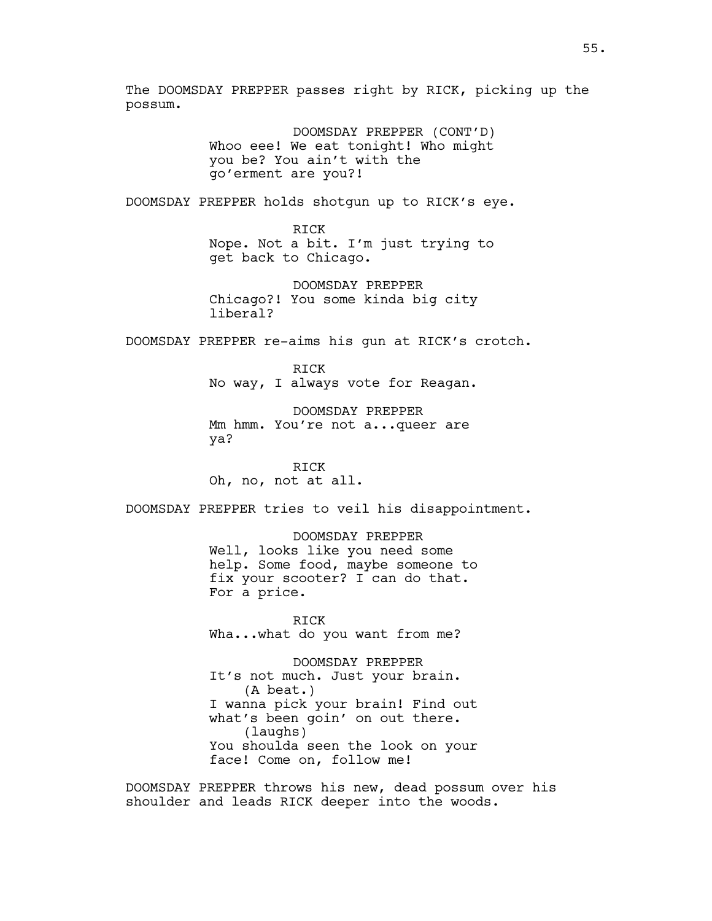The DOOMSDAY PREPPER passes right by RICK, picking up the possum.

> DOOMSDAY PREPPER (CONT'D) Whoo eee! We eat tonight! Who might you be? You ain't with the go'erment are you?!

DOOMSDAY PREPPER holds shotgun up to RICK's eye.

RICK Nope. Not a bit. I'm just trying to get back to Chicago.

DOOMSDAY PREPPER Chicago?! You some kinda big city liberal?

DOOMSDAY PREPPER re-aims his gun at RICK's crotch.

RICK No way, I always vote for Reagan.

DOOMSDAY PREPPER Mm hmm. You're not a...queer are ya?

RICK Oh, no, not at all.

DOOMSDAY PREPPER tries to veil his disappointment.

DOOMSDAY PREPPER Well, looks like you need some help. Some food, maybe someone to fix your scooter? I can do that. For a price.

RICK Wha...what do you want from me?

DOOMSDAY PREPPER It's not much. Just your brain. (A beat.) I wanna pick your brain! Find out what's been goin' on out there. (laughs) You shoulda seen the look on your face! Come on, follow me!

DOOMSDAY PREPPER throws his new, dead possum over his shoulder and leads RICK deeper into the woods.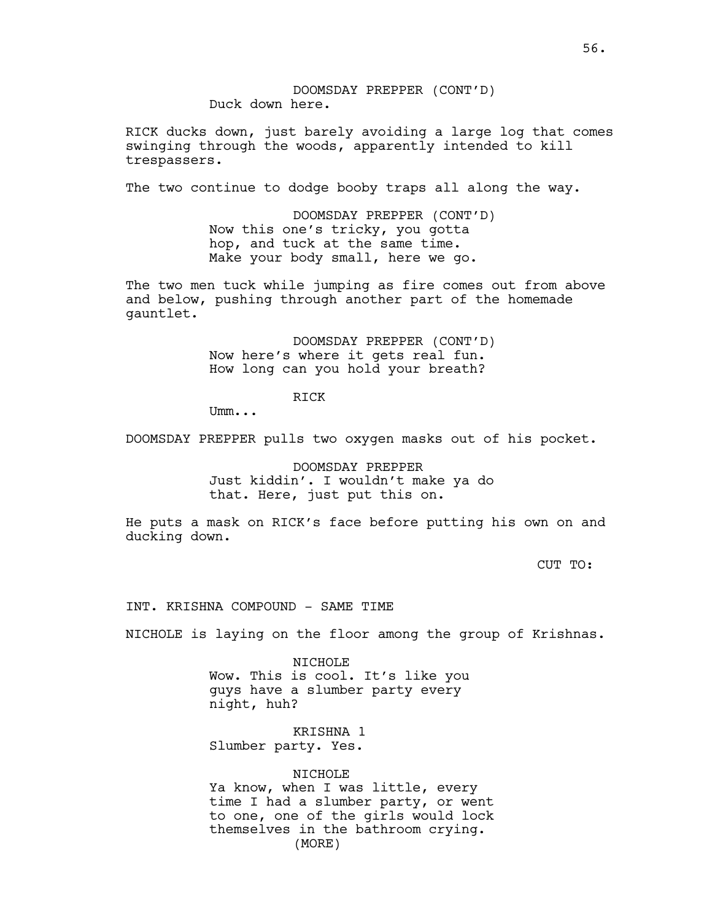DOOMSDAY PREPPER (CONT'D) Duck down here.

RICK ducks down, just barely avoiding a large log that comes swinging through the woods, apparently intended to kill trespassers.

The two continue to dodge booby traps all along the way.

DOOMSDAY PREPPER (CONT'D) Now this one's tricky, you gotta hop, and tuck at the same time. Make your body small, here we go.

The two men tuck while jumping as fire comes out from above and below, pushing through another part of the homemade gauntlet.

> DOOMSDAY PREPPER (CONT'D) Now here's where it gets real fun. How long can you hold your breath?

> > RICK

Umm...

DOOMSDAY PREPPER pulls two oxygen masks out of his pocket.

DOOMSDAY PREPPER Just kiddin'. I wouldn't make ya do that. Here, just put this on.

He puts a mask on RICK's face before putting his own on and ducking down.

CUT TO:

INT. KRISHNA COMPOUND - SAME TIME

NICHOLE is laying on the floor among the group of Krishnas.

NICHOLE Wow. This is cool. It's like you guys have a slumber party every night, huh?

KRISHNA 1 Slumber party. Yes.

NICHOLE Ya know, when I was little, every time I had a slumber party, or went to one, one of the girls would lock themselves in the bathroom crying. (MORE)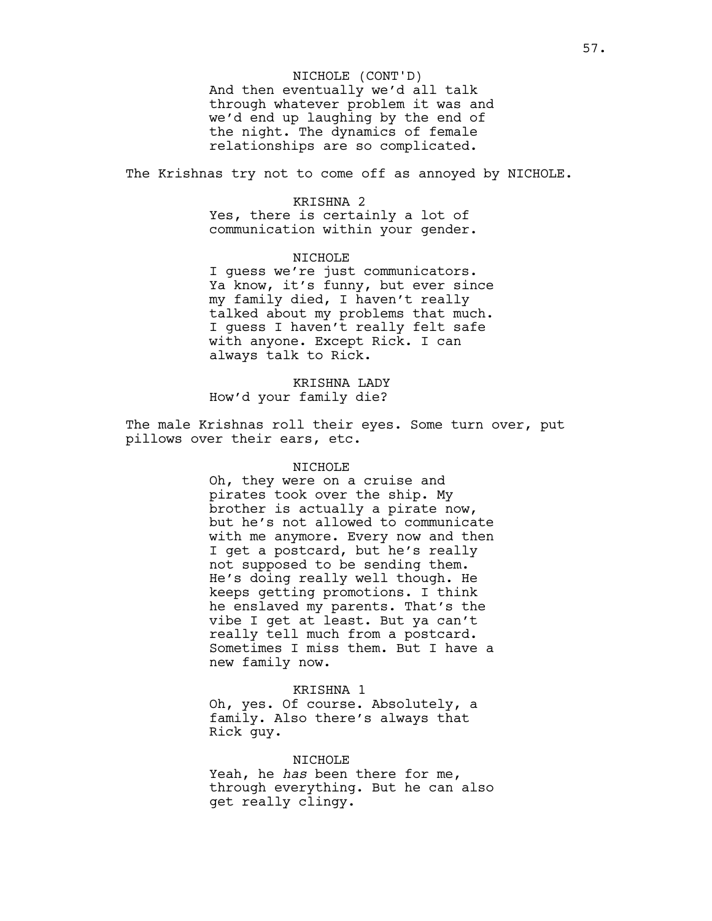And then eventually we'd all talk through whatever problem it was and we'd end up laughing by the end of the night. The dynamics of female relationships are so complicated. NICHOLE (CONT'D)

The Krishnas try not to come off as annoyed by NICHOLE.

### KRISHNA 2

Yes, there is certainly a lot of communication within your gender.

## NICHOLE

I guess we're just communicators. Ya know, it's funny, but ever since my family died, I haven't really talked about my problems that much. I guess I haven't really felt safe with anyone. Except Rick. I can always talk to Rick.

# KRISHNA LADY How'd your family die?

The male Krishnas roll their eyes. Some turn over, put pillows over their ears, etc.

## NICHOLE

Oh, they were on a cruise and pirates took over the ship. My brother is actually a pirate now, but he's not allowed to communicate with me anymore. Every now and then I get a postcard, but he's really not supposed to be sending them. He's doing really well though. He keeps getting promotions. I think he enslaved my parents. That's the vibe I get at least. But ya can't really tell much from a postcard. Sometimes I miss them. But I have a new family now.

### KRISHNA 1

Oh, yes. Of course. Absolutely, a family. Also there's always that Rick guy.

# NICHOLE Yeah, he *has* been there for me,

through everything. But he can also get really clingy.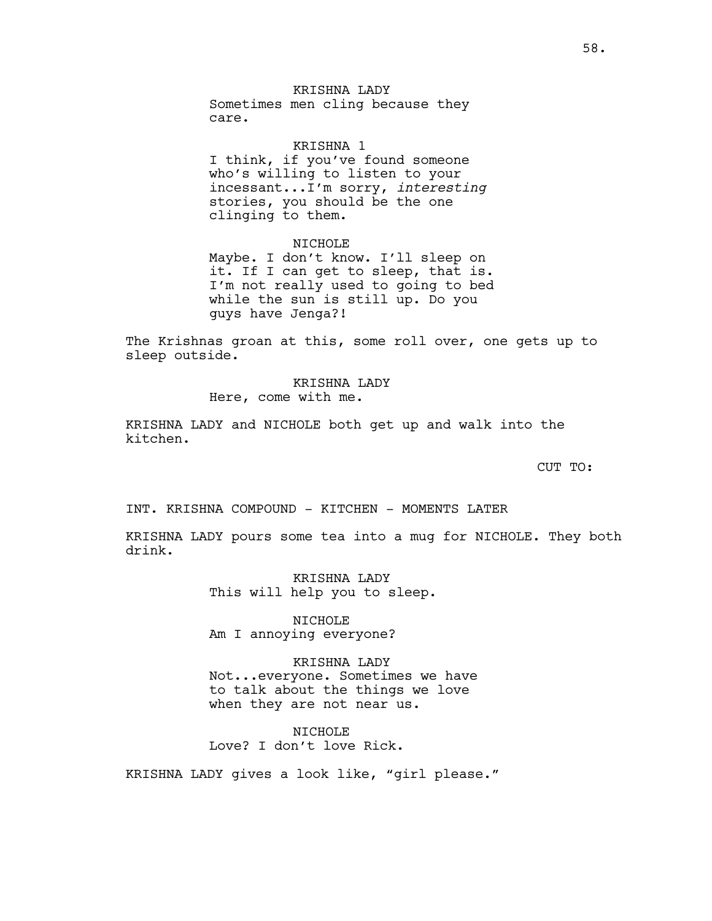# KRISHNA LADY

Sometimes men cling because they care.

### KRISHNA 1

I think, if you've found someone who's willing to listen to your incessant...I'm sorry, *interesting* stories, you should be the one clinging to them.

NICHOLE

Maybe. I don't know. I'll sleep on it. If I can get to sleep, that is. I'm not really used to going to bed while the sun is still up. Do you guys have Jenga?!

The Krishnas groan at this, some roll over, one gets up to sleep outside.

# KRISHNA LADY Here, come with me.

KRISHNA LADY and NICHOLE both get up and walk into the kitchen.

CUT TO:

INT. KRISHNA COMPOUND - KITCHEN - MOMENTS LATER

KRISHNA LADY pours some tea into a mug for NICHOLE. They both drink.

> KRISHNA LADY This will help you to sleep.

NICHOLE Am I annoying everyone?

KRISHNA LADY Not...everyone. Sometimes we have to talk about the things we love when they are not near us.

NTCHOLE<sup></sup> Love? I don't love Rick.

KRISHNA LADY gives a look like, "girl please."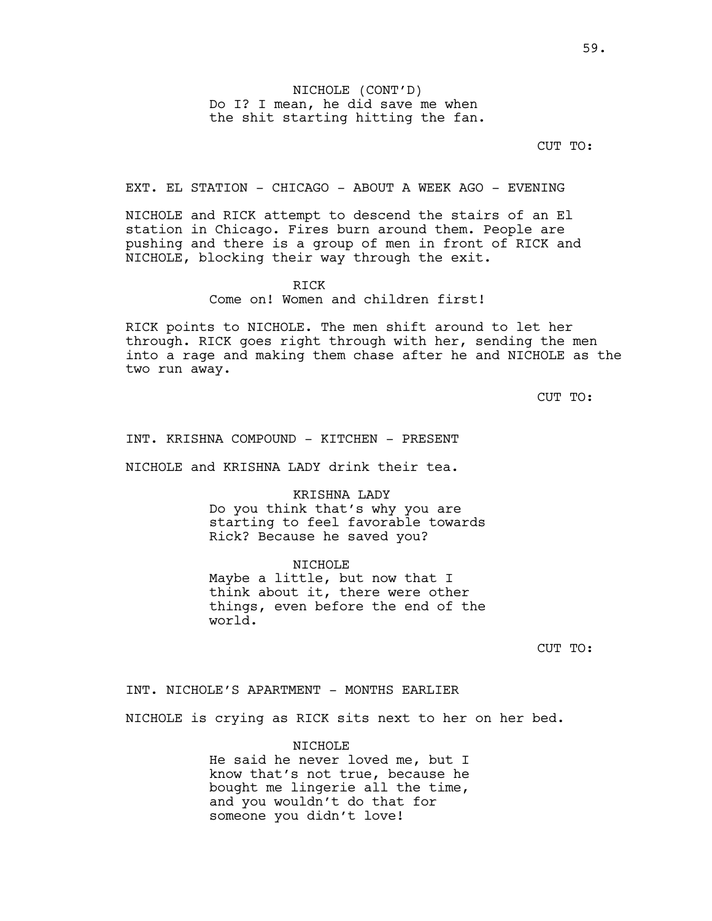NICHOLE (CONT'D) Do I? I mean, he did save me when the shit starting hitting the fan.

CUT TO:

EXT. EL STATION - CHICAGO - ABOUT A WEEK AGO - EVENING

NICHOLE and RICK attempt to descend the stairs of an El station in Chicago. Fires burn around them. People are pushing and there is a group of men in front of RICK and NICHOLE, blocking their way through the exit.

RICK

Come on! Women and children first!

RICK points to NICHOLE. The men shift around to let her through. RICK goes right through with her, sending the men into a rage and making them chase after he and NICHOLE as the two run away.

CUT TO:

INT. KRISHNA COMPOUND - KITCHEN - PRESENT

NICHOLE and KRISHNA LADY drink their tea.

KRISHNA LADY Do you think that's why you are starting to feel favorable towards Rick? Because he saved you?

NICHOLE Maybe a little, but now that I think about it, there were other things, even before the end of the world.

CUT TO:

INT. NICHOLE'S APARTMENT - MONTHS EARLIER

NICHOLE is crying as RICK sits next to her on her bed.

NICHOLE

He said he never loved me, but I know that's not true, because he bought me lingerie all the time, and you wouldn't do that for someone you didn't love!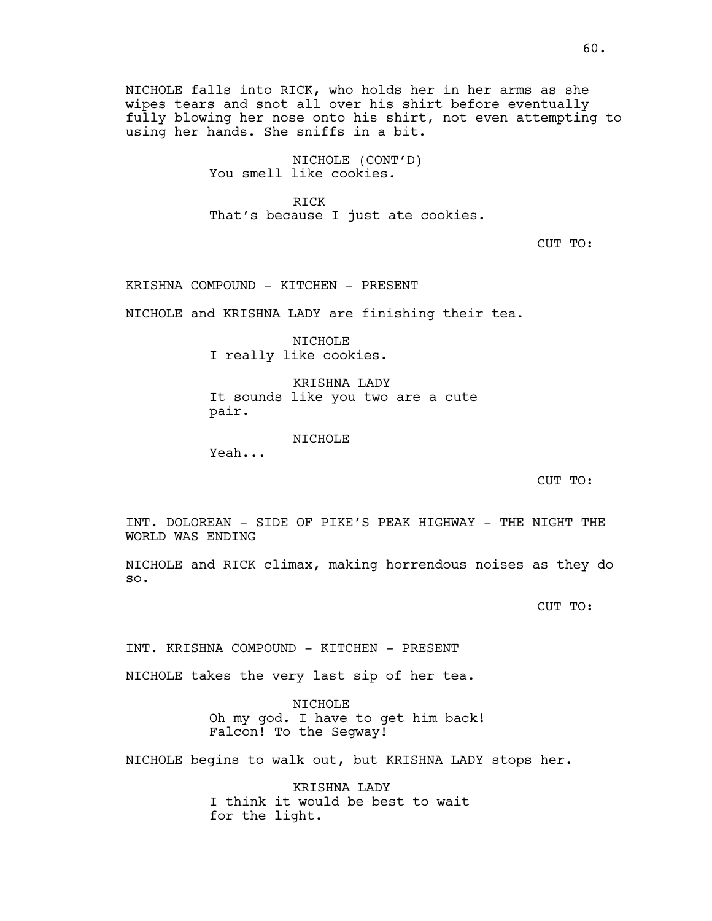NICHOLE falls into RICK, who holds her in her arms as she wipes tears and snot all over his shirt before eventually fully blowing her nose onto his shirt, not even attempting to using her hands. She sniffs in a bit.

> NICHOLE (CONT'D) You smell like cookies.

RICK That's because I just ate cookies.

CUT TO:

KRISHNA COMPOUND - KITCHEN - PRESENT

NICHOLE and KRISHNA LADY are finishing their tea.

NICHOLE I really like cookies.

KRISHNA LADY It sounds like you two are a cute pair.

NICHOLE

Yeah...

CUT TO:

INT. DOLOREAN - SIDE OF PIKE'S PEAK HIGHWAY - THE NIGHT THE WORLD WAS ENDING

NICHOLE and RICK climax, making horrendous noises as they do so.

CUT TO:

INT. KRISHNA COMPOUND - KITCHEN - PRESENT

NICHOLE takes the very last sip of her tea.

NICHOLE Oh my god. I have to get him back! Falcon! To the Segway!

NICHOLE begins to walk out, but KRISHNA LADY stops her.

KRISHNA LADY I think it would be best to wait for the light.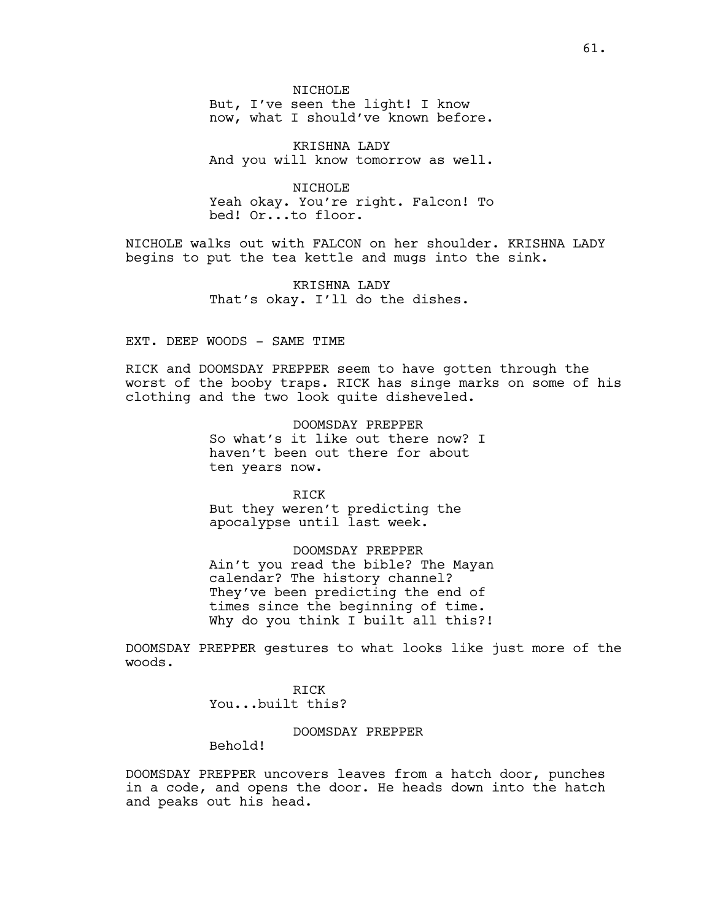NICHOLE But, I've seen the light! I know

now, what I should've known before.

KRISHNA LADY And you will know tomorrow as well.

NICHOLE Yeah okay. You're right. Falcon! To bed! Or...to floor.

NICHOLE walks out with FALCON on her shoulder. KRISHNA LADY begins to put the tea kettle and mugs into the sink.

> KRISHNA LADY That's okay. I'll do the dishes.

EXT. DEEP WOODS - SAME TIME

RICK and DOOMSDAY PREPPER seem to have gotten through the worst of the booby traps. RICK has singe marks on some of his clothing and the two look quite disheveled.

> DOOMSDAY PREPPER So what's it like out there now? I haven't been out there for about ten years now.

RICK But they weren't predicting the apocalypse until last week.

DOOMSDAY PREPPER Ain't you read the bible? The Mayan calendar? The history channel? They've been predicting the end of times since the beginning of time. Why do you think I built all this?!

DOOMSDAY PREPPER gestures to what looks like just more of the woods.

> RICK You...built this?

> > DOOMSDAY PREPPER

Behold!

DOOMSDAY PREPPER uncovers leaves from a hatch door, punches in a code, and opens the door. He heads down into the hatch and peaks out his head.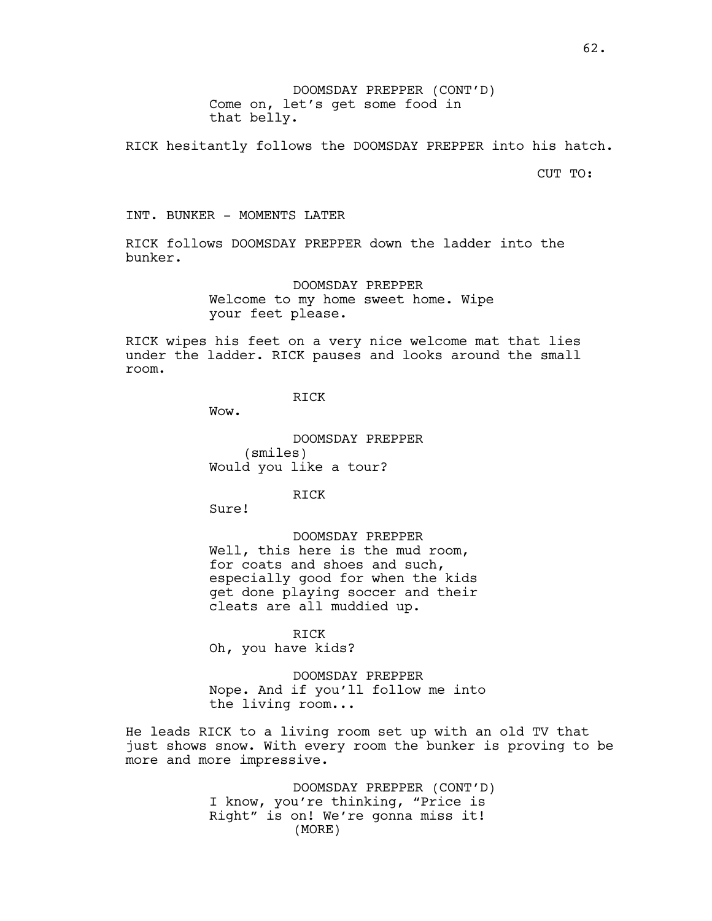DOOMSDAY PREPPER (CONT'D) Come on, let's get some food in that belly.

RICK hesitantly follows the DOOMSDAY PREPPER into his hatch.

CUT TO:

INT. BUNKER - MOMENTS LATER

RICK follows DOOMSDAY PREPPER down the ladder into the bunker.

> DOOMSDAY PREPPER Welcome to my home sweet home. Wipe your feet please.

RICK wipes his feet on a very nice welcome mat that lies under the ladder. RICK pauses and looks around the small room.

RICK

Wow.

DOOMSDAY PREPPER (smiles) Would you like a tour?

RICK

Sure!

DOOMSDAY PREPPER

Well, this here is the mud room, for coats and shoes and such, especially good for when the kids get done playing soccer and their cleats are all muddied up.

RICK Oh, you have kids?

DOOMSDAY PREPPER Nope. And if you'll follow me into the living room...

He leads RICK to a living room set up with an old TV that just shows snow. With every room the bunker is proving to be more and more impressive.

> DOOMSDAY PREPPER (CONT'D) I know, you're thinking, "Price is Right" is on! We're gonna miss it! (MORE)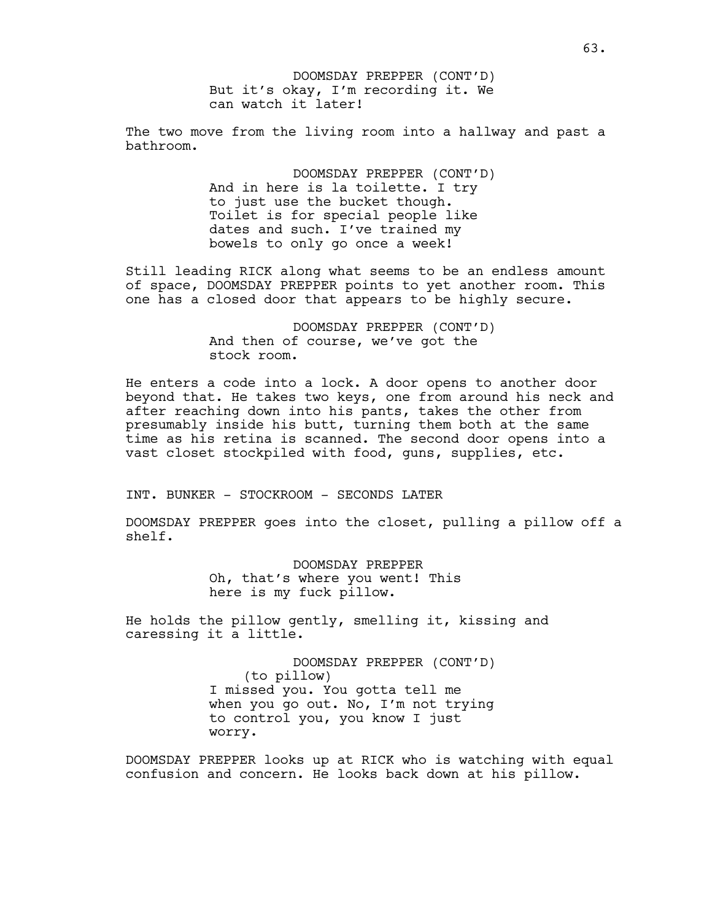But it's okay, I'm recording it. We can watch it later! DOOMSDAY PREPPER (CONT'D)

The two move from the living room into a hallway and past a bathroom.

> DOOMSDAY PREPPER (CONT'D) And in here is la toilette. I try to just use the bucket though. Toilet is for special people like dates and such. I've trained my bowels to only go once a week!

Still leading RICK along what seems to be an endless amount of space, DOOMSDAY PREPPER points to yet another room. This one has a closed door that appears to be highly secure.

> DOOMSDAY PREPPER (CONT'D) And then of course, we've got the stock room.

He enters a code into a lock. A door opens to another door beyond that. He takes two keys, one from around his neck and after reaching down into his pants, takes the other from presumably inside his butt, turning them both at the same time as his retina is scanned. The second door opens into a vast closet stockpiled with food, guns, supplies, etc.

INT. BUNKER - STOCKROOM - SECONDS LATER

DOOMSDAY PREPPER goes into the closet, pulling a pillow off a shelf.

> DOOMSDAY PREPPER Oh, that's where you went! This here is my fuck pillow.

He holds the pillow gently, smelling it, kissing and caressing it a little.

> DOOMSDAY PREPPER (CONT'D) (to pillow) I missed you. You gotta tell me when you go out. No, I'm not trying to control you, you know I just worry.

DOOMSDAY PREPPER looks up at RICK who is watching with equal confusion and concern. He looks back down at his pillow.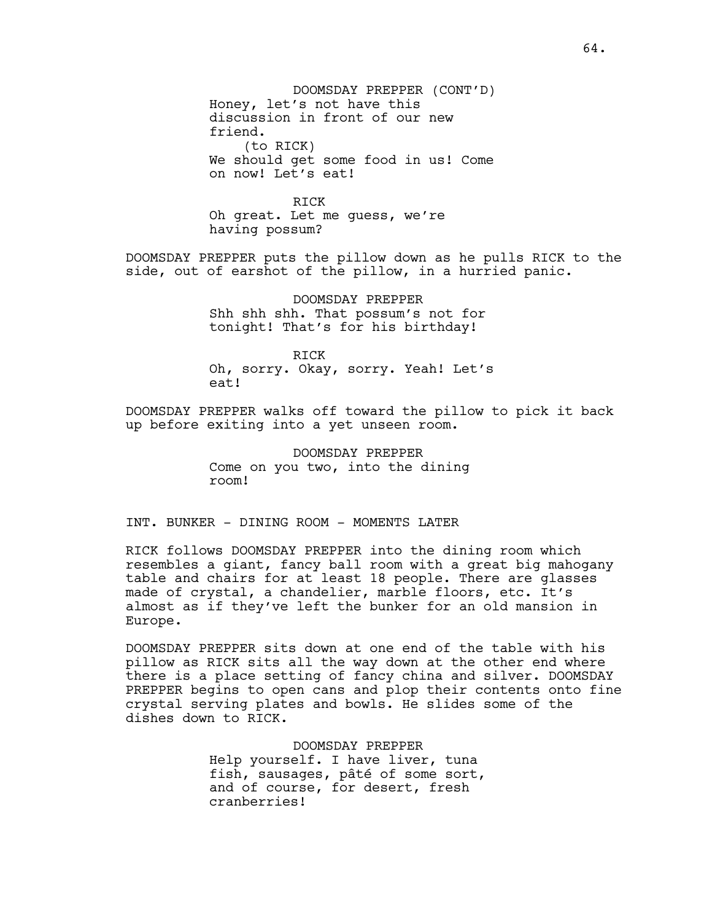DOOMSDAY PREPPER (CONT'D) Honey, let's not have this discussion in front of our new friend. (to RICK) We should get some food in us! Come on now! Let's eat!

RICK Oh great. Let me guess, we're having possum?

DOOMSDAY PREPPER puts the pillow down as he pulls RICK to the side, out of earshot of the pillow, in a hurried panic.

> DOOMSDAY PREPPER Shh shh shh. That possum's not for tonight! That's for his birthday!

RICK Oh, sorry. Okay, sorry. Yeah! Let's eat!

DOOMSDAY PREPPER walks off toward the pillow to pick it back up before exiting into a yet unseen room.

> DOOMSDAY PREPPER Come on you two, into the dining room!

INT. BUNKER - DINING ROOM - MOMENTS LATER

RICK follows DOOMSDAY PREPPER into the dining room which resembles a giant, fancy ball room with a great big mahogany table and chairs for at least 18 people. There are glasses made of crystal, a chandelier, marble floors, etc. It's almost as if they've left the bunker for an old mansion in Europe.

DOOMSDAY PREPPER sits down at one end of the table with his pillow as RICK sits all the way down at the other end where there is a place setting of fancy china and silver. DOOMSDAY PREPPER begins to open cans and plop their contents onto fine crystal serving plates and bowls. He slides some of the dishes down to RICK.

> DOOMSDAY PREPPER Help yourself. I have liver, tuna fish, sausages, pâté of some sort, and of course, for desert, fresh cranberries!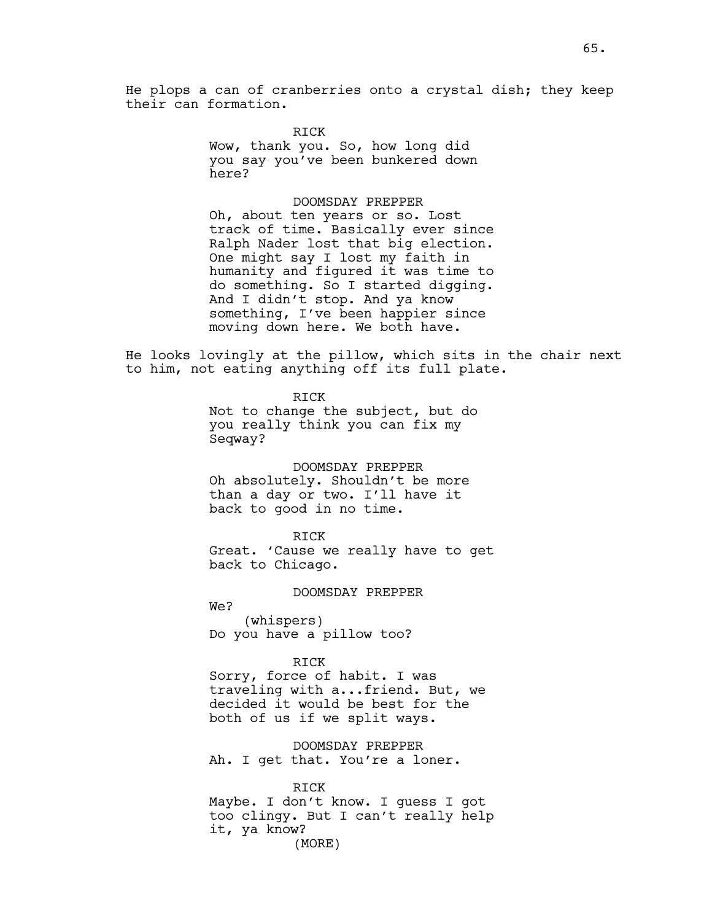RICK

their can formation.

Wow, thank you. So, how long did you say you've been bunkered down here?

### DOOMSDAY PREPPER

Oh, about ten years or so. Lost track of time. Basically ever since Ralph Nader lost that big election. One might say I lost my faith in humanity and figured it was time to do something. So I started digging. And I didn't stop. And ya know something, I've been happier since moving down here. We both have.

He looks lovingly at the pillow, which sits in the chair next to him, not eating anything off its full plate.

> RICK Not to change the subject, but do you really think you can fix my Seqway?

> > DOOMSDAY PREPPER

Oh absolutely. Shouldn't be more than a day or two. I'll have it back to good in no time.

RICK

Great. 'Cause we really have to get back to Chicago.

### DOOMSDAY PREPPER

We?

(whispers) Do you have a pillow too?

#### RICK

Sorry, force of habit. I was traveling with a...friend. But, we decided it would be best for the both of us if we split ways.

DOOMSDAY PREPPER Ah. I get that. You're a loner.

## RICK

Maybe. I don't know. I guess I got too clingy. But I can't really help it, ya know? (MORE)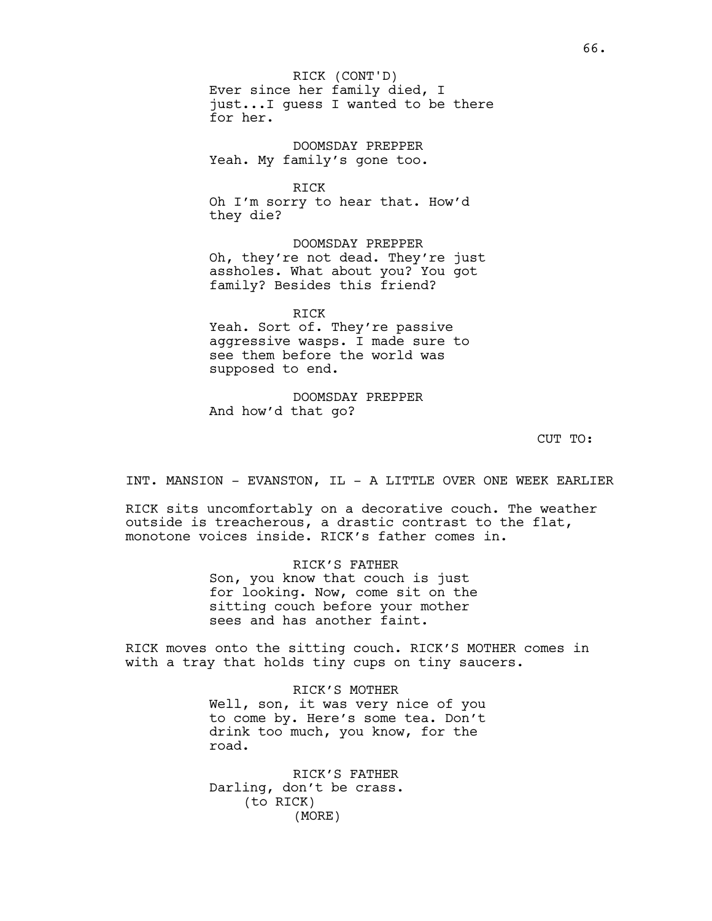Ever since her family died, I just...I guess I wanted to be there for her. RICK (CONT'D)

DOOMSDAY PREPPER Yeah. My family's gone too.

RICK Oh I'm sorry to hear that. How'd they die?

DOOMSDAY PREPPER Oh, they're not dead. They're just assholes. What about you? You got family? Besides this friend?

RICK Yeah. Sort of. They're passive aggressive wasps. I made sure to see them before the world was supposed to end.

DOOMSDAY PREPPER And how'd that go?

CUT TO:

INT. MANSION - EVANSTON, IL - A LITTLE OVER ONE WEEK EARLIER

RICK sits uncomfortably on a decorative couch. The weather outside is treacherous, a drastic contrast to the flat, monotone voices inside. RICK's father comes in.

> RICK'S FATHER Son, you know that couch is just for looking. Now, come sit on the sitting couch before your mother sees and has another faint.

RICK moves onto the sitting couch. RICK'S MOTHER comes in with a tray that holds tiny cups on tiny saucers.

> RICK'S MOTHER Well, son, it was very nice of you to come by. Here's some tea. Don't drink too much, you know, for the road.

RICK'S FATHER Darling, don't be crass. (to RICK) (MORE)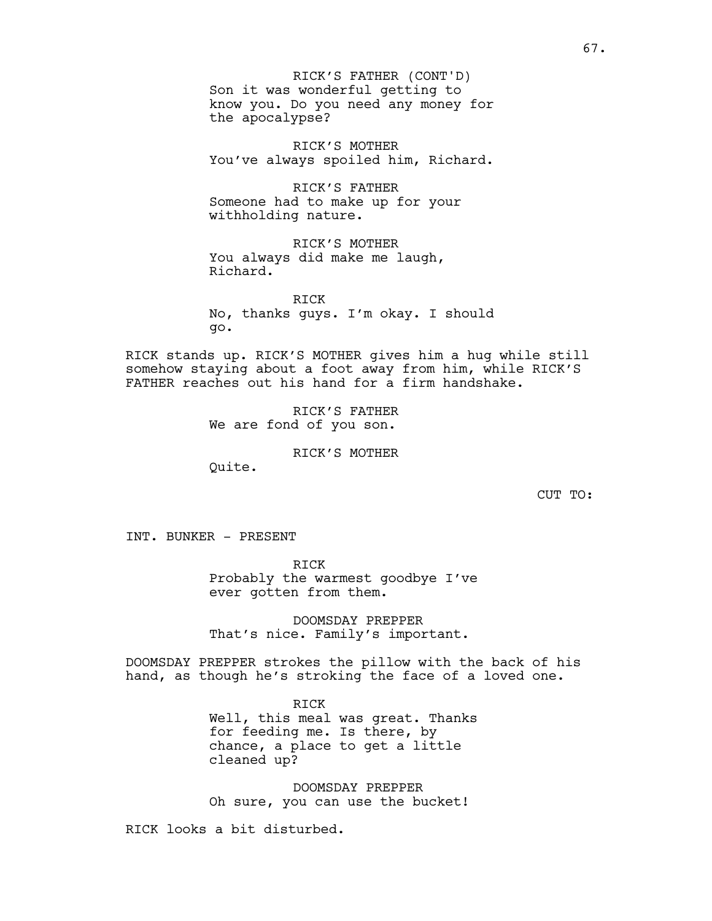Son it was wonderful getting to know you. Do you need any money for the apocalypse? RICK'S FATHER (CONT'D)

RICK'S MOTHER You've always spoiled him, Richard.

RICK'S FATHER Someone had to make up for your withholding nature.

RICK'S MOTHER You always did make me laugh, Richard.

RICK No, thanks guys. I'm okay. I should go.

RICK stands up. RICK'S MOTHER gives him a hug while still somehow staying about a foot away from him, while RICK'S FATHER reaches out his hand for a firm handshake.

> RICK'S FATHER We are fond of you son.

> > RICK'S MOTHER

Quite.

CUT TO:

INT. BUNKER - PRESENT

RICK Probably the warmest goodbye I've ever gotten from them.

DOOMSDAY PREPPER That's nice. Family's important.

DOOMSDAY PREPPER strokes the pillow with the back of his hand, as though he's stroking the face of a loved one.

> RICK Well, this meal was great. Thanks for feeding me. Is there, by chance, a place to get a little cleaned up?

DOOMSDAY PREPPER Oh sure, you can use the bucket!

RICK looks a bit disturbed.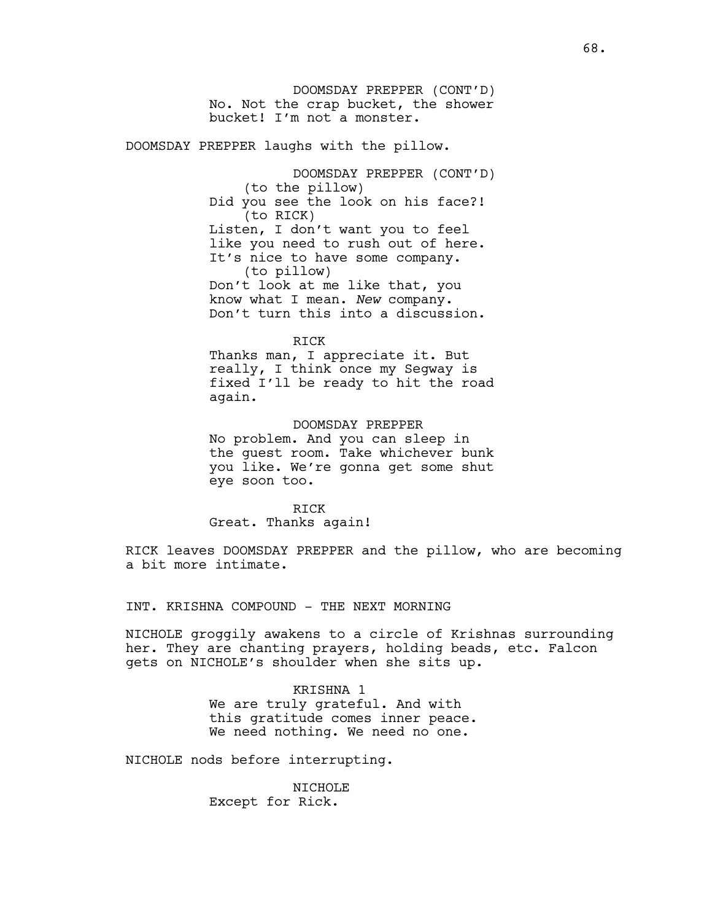DOOMSDAY PREPPER (CONT'D) No. Not the crap bucket, the shower bucket! I'm not a monster.

DOOMSDAY PREPPER laughs with the pillow.

DOOMSDAY PREPPER (CONT'D) (to the pillow) Did you see the look on his face?! (to RICK) Listen, I don't want you to feel like you need to rush out of here. It's nice to have some company. (to pillow) Don't look at me like that, you know what I mean. *New* company. Don't turn this into a discussion.

## RICK

Thanks man, I appreciate it. But really, I think once my Segway is fixed I'll be ready to hit the road again.

# DOOMSDAY PREPPER

No problem. And you can sleep in the guest room. Take whichever bunk you like. We're gonna get some shut eye soon too.

RICK Great. Thanks again!

RICK leaves DOOMSDAY PREPPER and the pillow, who are becoming a bit more intimate.

INT. KRISHNA COMPOUND - THE NEXT MORNING

NICHOLE groggily awakens to a circle of Krishnas surrounding her. They are chanting prayers, holding beads, etc. Falcon gets on NICHOLE's shoulder when she sits up.

## KRISHNA 1

We are truly grateful. And with this gratitude comes inner peace. We need nothing. We need no one.

NICHOLE nods before interrupting.

NICHOLE Except for Rick.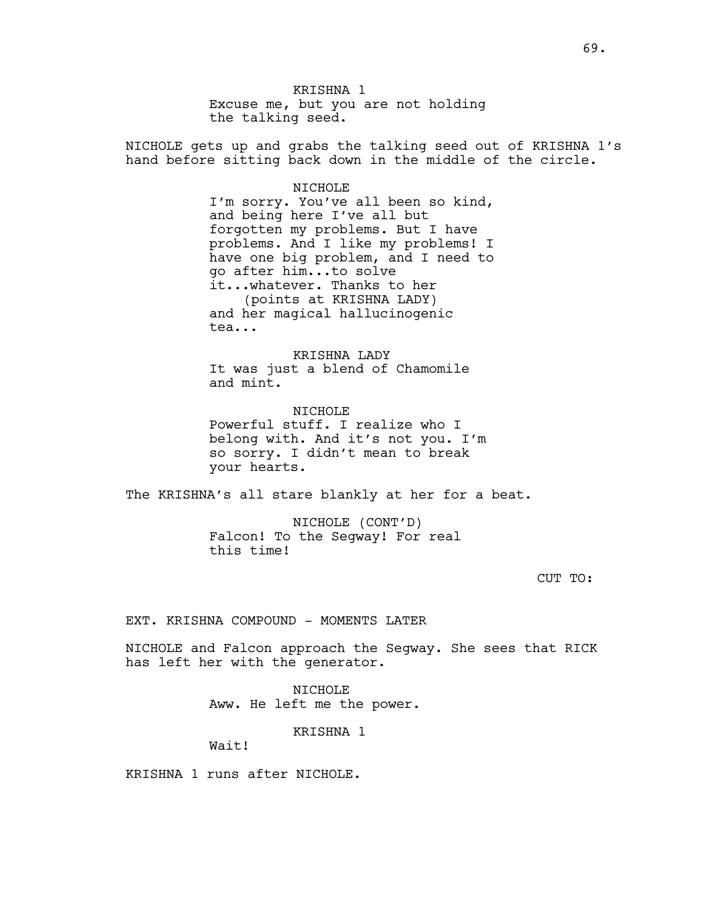KRISHNA 1 Excuse me, but you are not holding the talking seed.

NICHOLE gets up and grabs the talking seed out of KRISHNA 1's hand before sitting back down in the middle of the circle.

### NICHOLE

I'm sorry. You've all been so kind, and being here I've all but forgotten my problems. But I have problems. And I like my problems! I have one big problem, and I need to go after him...to solve it...whatever. Thanks to her (points at KRISHNA LADY) and her magical hallucinogenic tea...

KRISHNA LADY It was just a blend of Chamomile and mint.

NICHOLE Powerful stuff. I realize who I belong with. And it's not you. I'm so sorry. I didn't mean to break your hearts.

The KRISHNA's all stare blankly at her for a beat.

NICHOLE (CONT'D) Falcon! To the Segway! For real this time!

CUT TO:

EXT. KRISHNA COMPOUND - MOMENTS LATER

NICHOLE and Falcon approach the Segway. She sees that RICK has left her with the generator.

> NICHOLE Aww. He left me the power.

> > KRISHNA 1

Wait!

KRISHNA 1 runs after NICHOLE.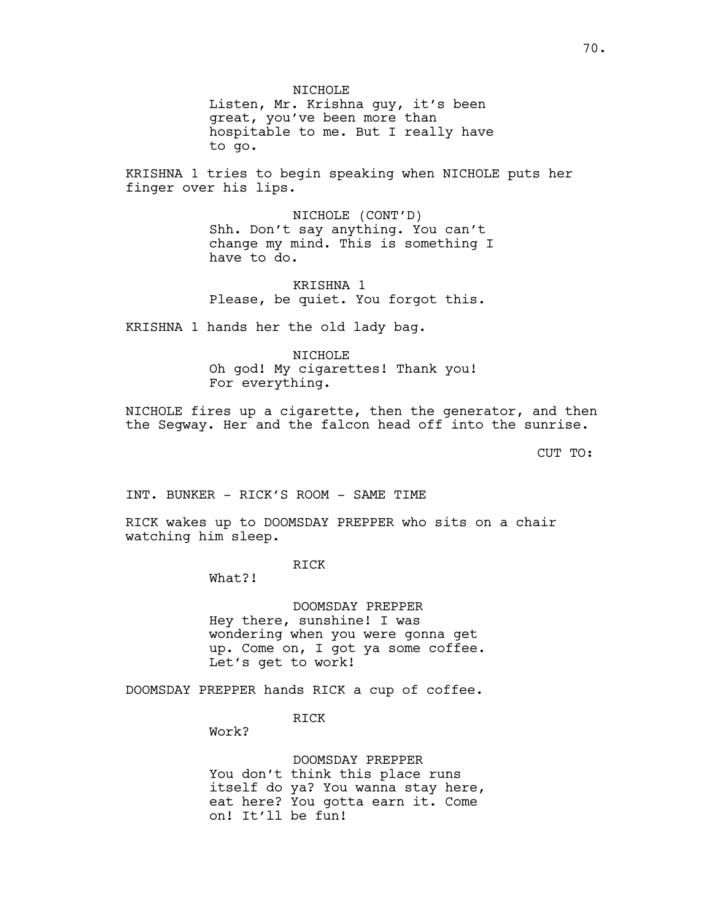NICHOLE Listen, Mr. Krishna guy, it's been great, you've been more than hospitable to me. But I really have to go.

KRISHNA 1 tries to begin speaking when NICHOLE puts her finger over his lips.

> NICHOLE (CONT'D) Shh. Don't say anything. You can't change my mind. This is something I have to do.

KRISHNA 1 Please, be quiet. You forgot this.

KRISHNA 1 hands her the old lady bag.

NICHOLE Oh god! My cigarettes! Thank you! For everything.

NICHOLE fires up a cigarette, then the generator, and then the Segway. Her and the falcon head off into the sunrise.

CUT TO:

INT. BUNKER - RICK'S ROOM - SAME TIME

RICK wakes up to DOOMSDAY PREPPER who sits on a chair watching him sleep.

RICK

What?!

DOOMSDAY PREPPER Hey there, sunshine! I was wondering when you were gonna get up. Come on, I got ya some coffee. Let's get to work!

DOOMSDAY PREPPER hands RICK a cup of coffee.

RICK

Work?

DOOMSDAY PREPPER You don't think this place runs itself do ya? You wanna stay here, eat here? You gotta earn it. Come on! It'll be fun!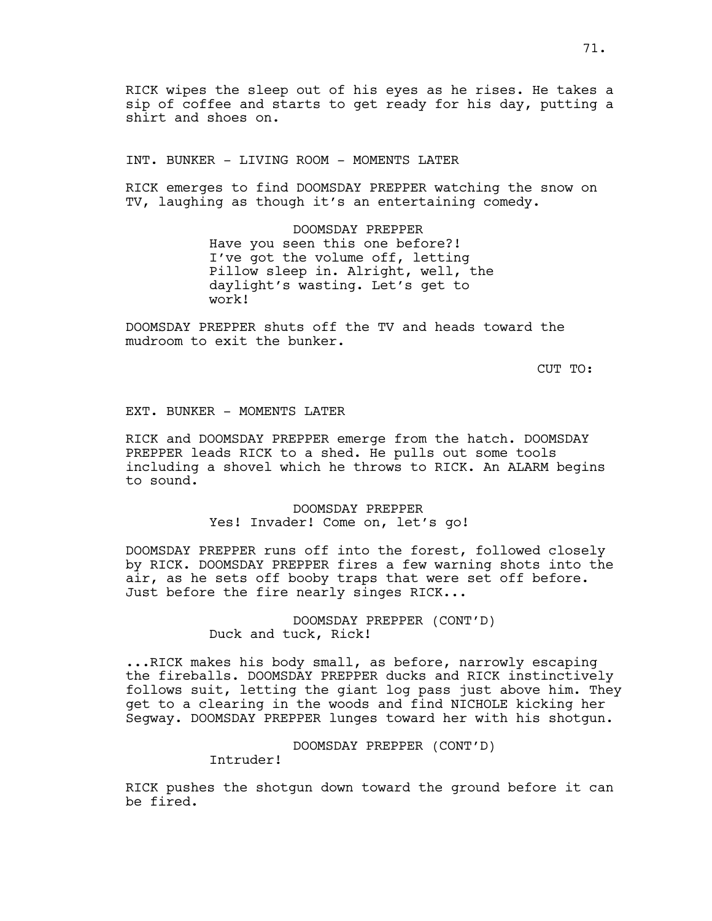RICK wipes the sleep out of his eyes as he rises. He takes a sip of coffee and starts to get ready for his day, putting a shirt and shoes on.

INT. BUNKER - LIVING ROOM - MOMENTS LATER

RICK emerges to find DOOMSDAY PREPPER watching the snow on TV, laughing as though it's an entertaining comedy.

> DOOMSDAY PREPPER Have you seen this one before?! I've got the volume off, letting Pillow sleep in. Alright, well, the daylight's wasting. Let's get to work!

DOOMSDAY PREPPER shuts off the TV and heads toward the mudroom to exit the bunker.

CUT TO:

## EXT. BUNKER - MOMENTS LATER

RICK and DOOMSDAY PREPPER emerge from the hatch. DOOMSDAY PREPPER leads RICK to a shed. He pulls out some tools including a shovel which he throws to RICK. An ALARM begins to sound.

> DOOMSDAY PREPPER Yes! Invader! Come on, let's go!

DOOMSDAY PREPPER runs off into the forest, followed closely by RICK. DOOMSDAY PREPPER fires a few warning shots into the air, as he sets off booby traps that were set off before. Just before the fire nearly singes RICK...

> DOOMSDAY PREPPER (CONT'D) Duck and tuck, Rick!

...RICK makes his body small, as before, narrowly escaping the fireballs. DOOMSDAY PREPPER ducks and RICK instinctively follows suit, letting the giant log pass just above him. They get to a clearing in the woods and find NICHOLE kicking her Segway. DOOMSDAY PREPPER lunges toward her with his shotgun.

DOOMSDAY PREPPER (CONT'D)

Intruder!

RICK pushes the shotgun down toward the ground before it can be fired.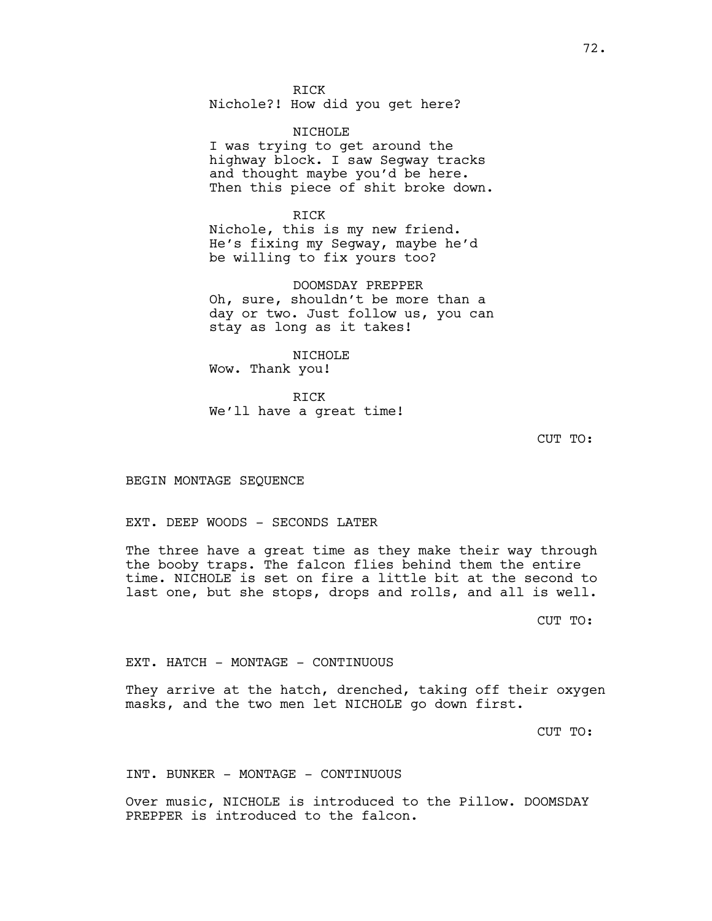RICK Nichole?! How did you get here?

NTCHOLE<sup></sup> I was trying to get around the highway block. I saw Segway tracks and thought maybe you'd be here. Then this piece of shit broke down.

RICK Nichole, this is my new friend. He's fixing my Segway, maybe he'd be willing to fix yours too?

DOOMSDAY PREPPER Oh, sure, shouldn't be more than a day or two. Just follow us, you can stay as long as it takes!

NICHOLE Wow. Thank you!

RICK We'll have a great time!

CUT TO:

BEGIN MONTAGE SEQUENCE

EXT. DEEP WOODS - SECONDS LATER

The three have a great time as they make their way through the booby traps. The falcon flies behind them the entire time. NICHOLE is set on fire a little bit at the second to last one, but she stops, drops and rolls, and all is well.

CUT TO:

EXT. HATCH - MONTAGE - CONTINUOUS

They arrive at the hatch, drenched, taking off their oxygen masks, and the two men let NICHOLE go down first.

CUT TO:

INT. BUNKER - MONTAGE - CONTINUOUS

Over music, NICHOLE is introduced to the Pillow. DOOMSDAY PREPPER is introduced to the falcon.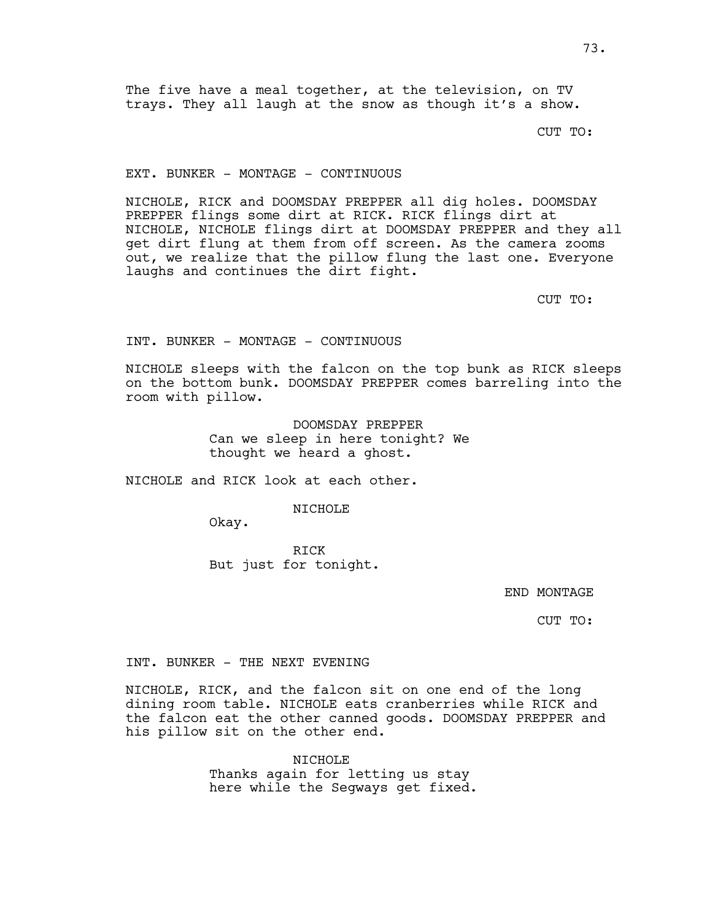The five have a meal together, at the television, on TV trays. They all laugh at the snow as though it's a show.

CUT TO:

EXT. BUNKER - MONTAGE - CONTINUOUS

NICHOLE, RICK and DOOMSDAY PREPPER all dig holes. DOOMSDAY PREPPER flings some dirt at RICK. RICK flings dirt at NICHOLE, NICHOLE flings dirt at DOOMSDAY PREPPER and they all get dirt flung at them from off screen. As the camera zooms out, we realize that the pillow flung the last one. Everyone laughs and continues the dirt fight.

CUT TO:

INT. BUNKER - MONTAGE - CONTINUOUS

NICHOLE sleeps with the falcon on the top bunk as RICK sleeps on the bottom bunk. DOOMSDAY PREPPER comes barreling into the room with pillow.

> DOOMSDAY PREPPER Can we sleep in here tonight? We thought we heard a ghost.

NICHOLE and RICK look at each other.

NICHOLE

Okay.

RICK But just for tonight.

END MONTAGE

CUT TO:

INT. BUNKER - THE NEXT EVENING

NICHOLE, RICK, and the falcon sit on one end of the long dining room table. NICHOLE eats cranberries while RICK and the falcon eat the other canned goods. DOOMSDAY PREPPER and his pillow sit on the other end.

> NICHOLE Thanks again for letting us stay here while the Segways get fixed.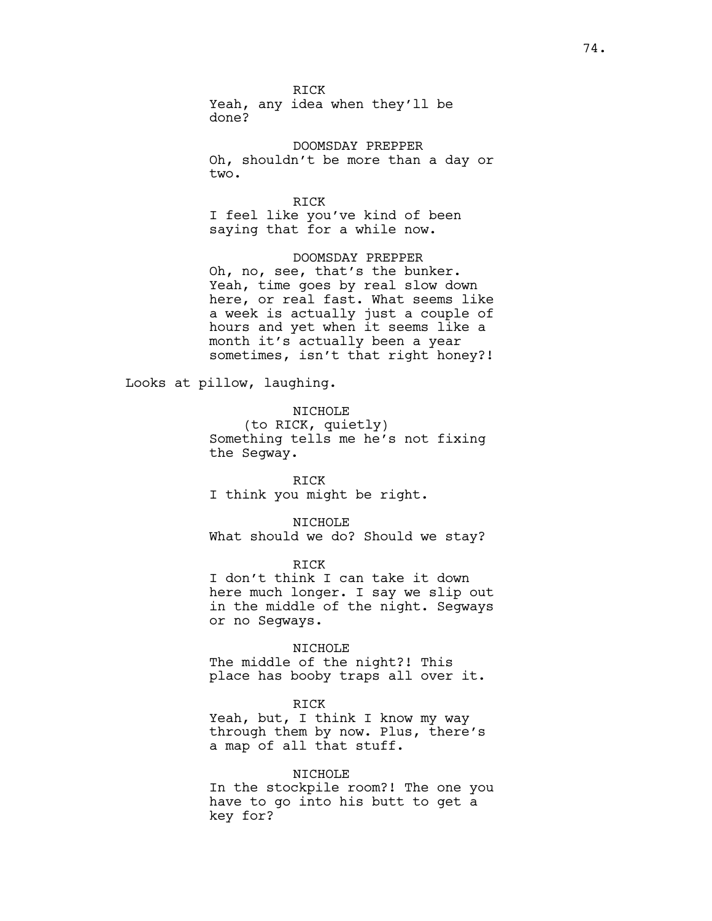RICK Yeah, any idea when they'll be done?

DOOMSDAY PREPPER Oh, shouldn't be more than a day or two.

RICK I feel like you've kind of been saying that for a while now.

DOOMSDAY PREPPER Oh, no, see, that's the bunker. Yeah, time goes by real slow down here, or real fast. What seems like a week is actually just a couple of hours and yet when it seems like a month it's actually been a year sometimes, isn't that right honey?!

Looks at pillow, laughing.

NICHOLE

(to RICK, quietly) Something tells me he's not fixing the Segway.

RICK I think you might be right.

NICHOLE What should we do? Should we stay?

RICK I don't think I can take it down here much longer. I say we slip out in the middle of the night. Segways or no Segways.

NICHOLE The middle of the night?! This place has booby traps all over it.

RICK Yeah, but, I think I know my way through them by now. Plus, there's a map of all that stuff.

NICHOLE In the stockpile room?! The one you have to go into his butt to get a key for?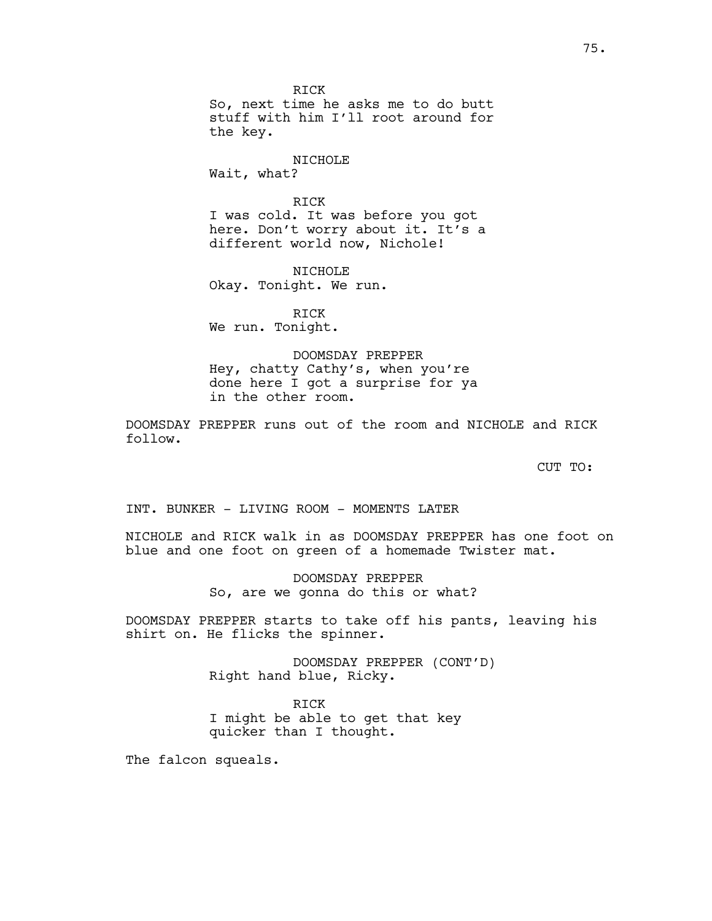RICK So, next time he asks me to do butt stuff with him I'll root around for the key.

# NICHOLE

Wait, what?

#### RICK

I was cold. It was before you got here. Don't worry about it. It's a different world now, Nichole!

NICHOLE Okay. Tonight. We run.

RICK We run. Tonight.

# DOOMSDAY PREPPER Hey, chatty Cathy's, when you're done here I got a surprise for ya

in the other room.

DOOMSDAY PREPPER runs out of the room and NICHOLE and RICK follow.

CUT TO:

INT. BUNKER - LIVING ROOM - MOMENTS LATER

NICHOLE and RICK walk in as DOOMSDAY PREPPER has one foot on blue and one foot on green of a homemade Twister mat.

> DOOMSDAY PREPPER So, are we gonna do this or what?

DOOMSDAY PREPPER starts to take off his pants, leaving his shirt on. He flicks the spinner.

> DOOMSDAY PREPPER (CONT'D) Right hand blue, Ricky.

RICK I might be able to get that key quicker than I thought.

The falcon squeals.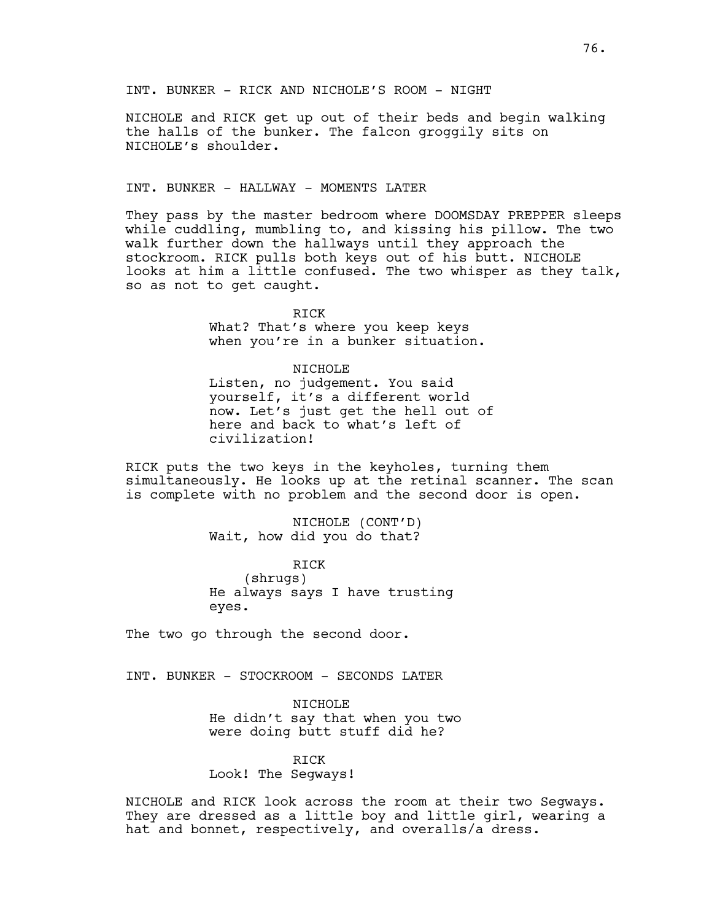NICHOLE and RICK get up out of their beds and begin walking the halls of the bunker. The falcon groggily sits on NICHOLE's shoulder.

#### INT. BUNKER - HALLWAY - MOMENTS LATER

They pass by the master bedroom where DOOMSDAY PREPPER sleeps while cuddling, mumbling to, and kissing his pillow. The two walk further down the hallways until they approach the stockroom. RICK pulls both keys out of his butt. NICHOLE looks at him a little confused. The two whisper as they talk, so as not to get caught.

> RICK What? That's where you keep keys when you're in a bunker situation.

#### NICHOLE

Listen, no judgement. You said yourself, it's a different world now. Let's just get the hell out of here and back to what's left of civilization!

RICK puts the two keys in the keyholes, turning them simultaneously. He looks up at the retinal scanner. The scan is complete with no problem and the second door is open.

> NICHOLE (CONT'D) Wait, how did you do that?

RICK (shrugs) He always says I have trusting eyes.

The two go through the second door.

INT. BUNKER - STOCKROOM - SECONDS LATER

NICHOLE He didn't say that when you two were doing butt stuff did he?

# RICK

Look! The Segways!

NICHOLE and RICK look across the room at their two Segways. They are dressed as a little boy and little girl, wearing a hat and bonnet, respectively, and overalls/a dress.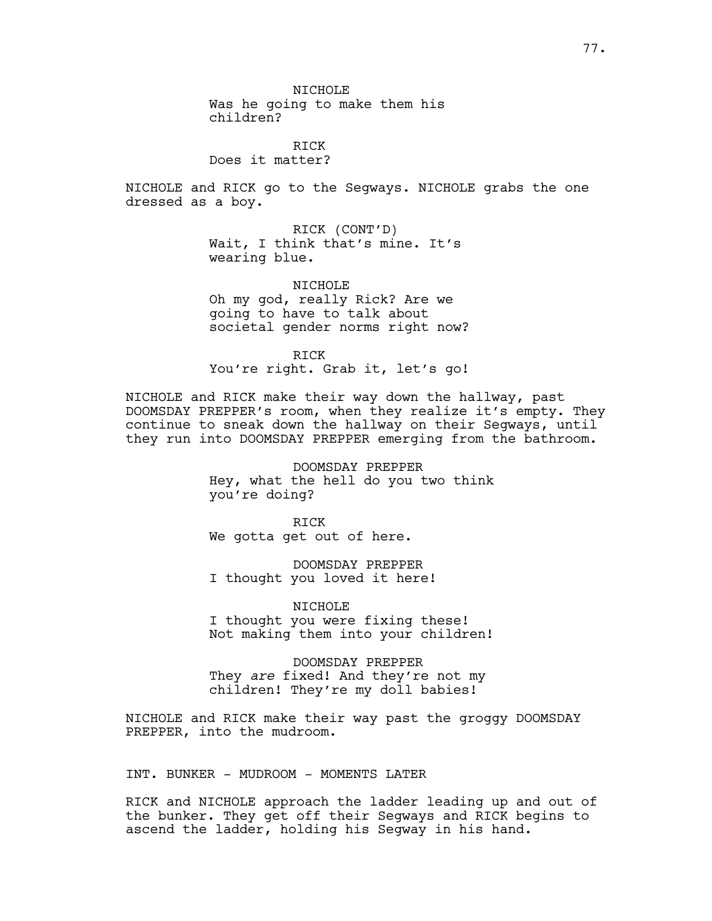NTCHOLE<sup></sup> Was he going to make them his children?

RICK Does it matter?

NICHOLE and RICK go to the Segways. NICHOLE grabs the one dressed as a boy.

> RICK (CONT'D) Wait, I think that's mine. It's wearing blue.

NICHOLE Oh my god, really Rick? Are we going to have to talk about societal gender norms right now?

RICK You're right. Grab it, let's go!

NICHOLE and RICK make their way down the hallway, past DOOMSDAY PREPPER's room, when they realize it's empty. They continue to sneak down the hallway on their Segways, until they run into DOOMSDAY PREPPER emerging from the bathroom.

> DOOMSDAY PREPPER Hey, what the hell do you two think you're doing?

RICK We gotta get out of here.

DOOMSDAY PREPPER I thought you loved it here!

NICHOLE I thought you were fixing these! Not making them into your children!

DOOMSDAY PREPPER They *are* fixed! And they're not my children! They're my doll babies!

NICHOLE and RICK make their way past the groggy DOOMSDAY PREPPER, into the mudroom.

INT. BUNKER - MUDROOM - MOMENTS LATER

RICK and NICHOLE approach the ladder leading up and out of the bunker. They get off their Segways and RICK begins to ascend the ladder, holding his Segway in his hand.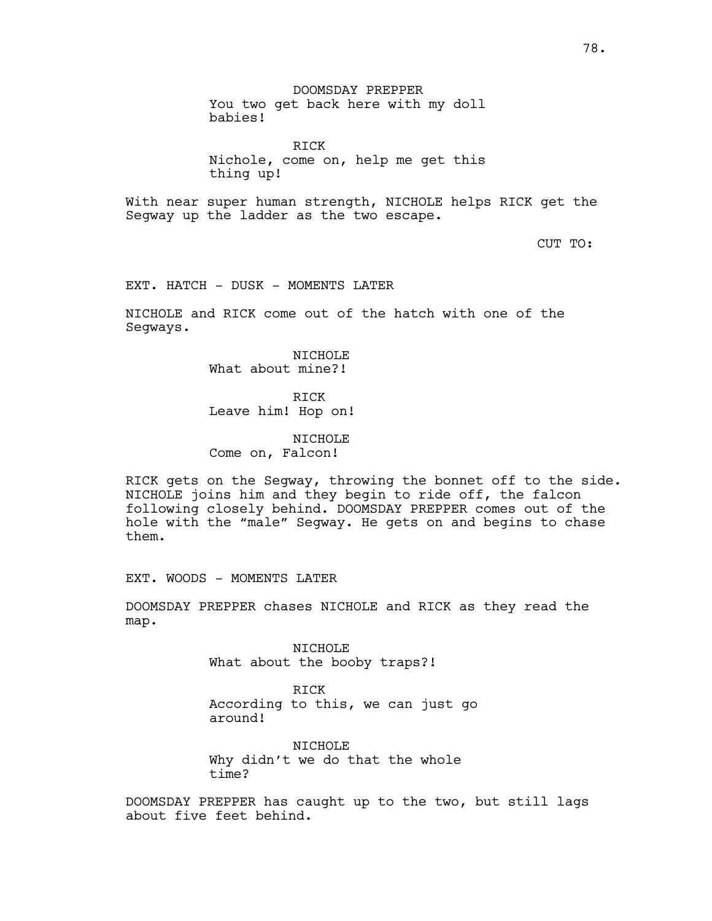DOOMSDAY PREPPER You two get back here with my doll babies!

RICK Nichole, come on, help me get this thing up!

With near super human strength, NICHOLE helps RICK get the Segway up the ladder as the two escape.

CUT TO:

EXT. HATCH - DUSK - MOMENTS LATER

NICHOLE and RICK come out of the hatch with one of the Segways.

> NICHOLE What about mine?!

> > RICK

Leave him! Hop on!

NICHOLE Come on, Falcon!

RICK gets on the Segway, throwing the bonnet off to the side. NICHOLE joins him and they begin to ride off, the falcon following closely behind. DOOMSDAY PREPPER comes out of the hole with the "male" Segway. He gets on and begins to chase them.

EXT. WOODS - MOMENTS LATER

DOOMSDAY PREPPER chases NICHOLE and RICK as they read the map.

> NICHOLE What about the booby traps?!

RICK According to this, we can just go around!

NICHOLE Why didn't we do that the whole time?

DOOMSDAY PREPPER has caught up to the two, but still lags about five feet behind.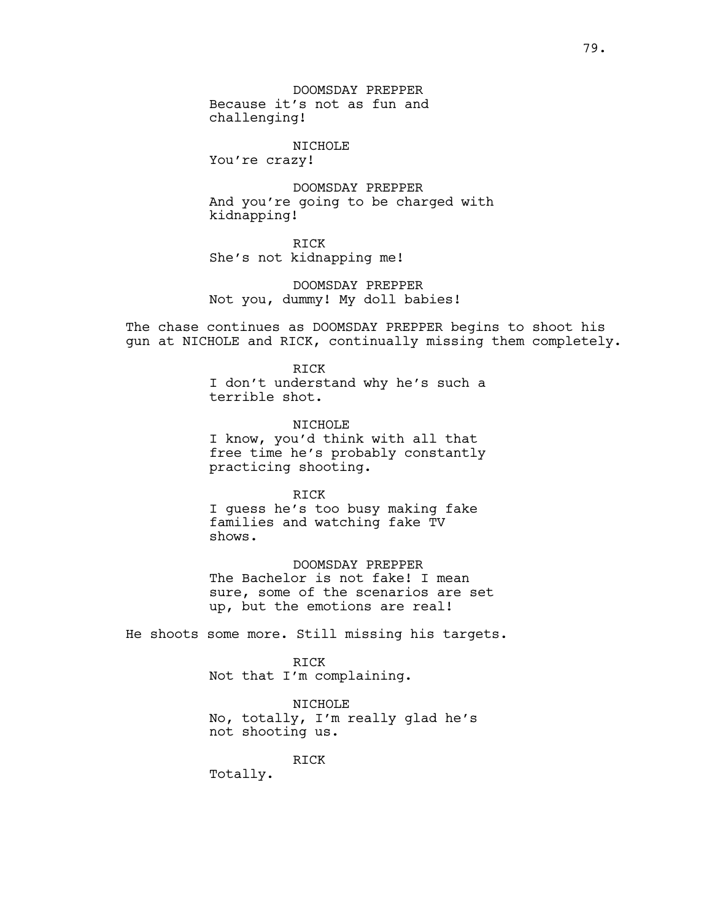DOOMSDAY PREPPER Because it's not as fun and challenging!

NICHOLE

You're crazy!

DOOMSDAY PREPPER And you're going to be charged with kidnapping!

RICK She's not kidnapping me!

DOOMSDAY PREPPER Not you, dummy! My doll babies!

The chase continues as DOOMSDAY PREPPER begins to shoot his gun at NICHOLE and RICK, continually missing them completely.

> RICK I don't understand why he's such a terrible shot.

> NTCHOLE<sup></sup> I know, you'd think with all that free time he's probably constantly practicing shooting.

> > RICK

I guess he's too busy making fake families and watching fake TV shows.

DOOMSDAY PREPPER The Bachelor is not fake! I mean sure, some of the scenarios are set up, but the emotions are real!

He shoots some more. Still missing his targets.

RICK

Not that I'm complaining.

NICHOLE No, totally, I'm really glad he's not shooting us.

RICK

Totally.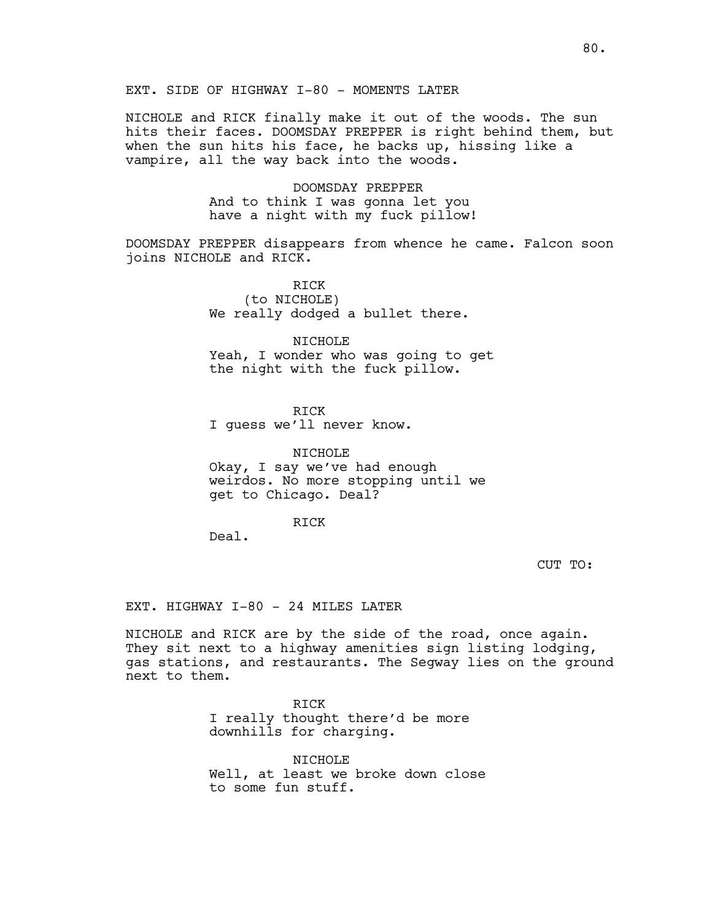# EXT. SIDE OF HIGHWAY I-80 - MOMENTS LATER

NICHOLE and RICK finally make it out of the woods. The sun hits their faces. DOOMSDAY PREPPER is right behind them, but when the sun hits his face, he backs up, hissing like a vampire, all the way back into the woods.

> DOOMSDAY PREPPER And to think I was gonna let you have a night with my fuck pillow!

DOOMSDAY PREPPER disappears from whence he came. Falcon soon joins NICHOLE and RICK.

> RICK (to NICHOLE) We really dodged a bullet there.

NICHOLE Yeah, I wonder who was going to get the night with the fuck pillow.

RICK I guess we'll never know.

NICHOLE Okay, I say we've had enough weirdos. No more stopping until we get to Chicago. Deal?

RICK

Deal.

CUT TO:

EXT. HIGHWAY I-80 - 24 MILES LATER

NICHOLE and RICK are by the side of the road, once again. They sit next to a highway amenities sign listing lodging, gas stations, and restaurants. The Segway lies on the ground next to them.

> RICK I really thought there'd be more downhills for charging.

NICHOLE Well, at least we broke down close to some fun stuff.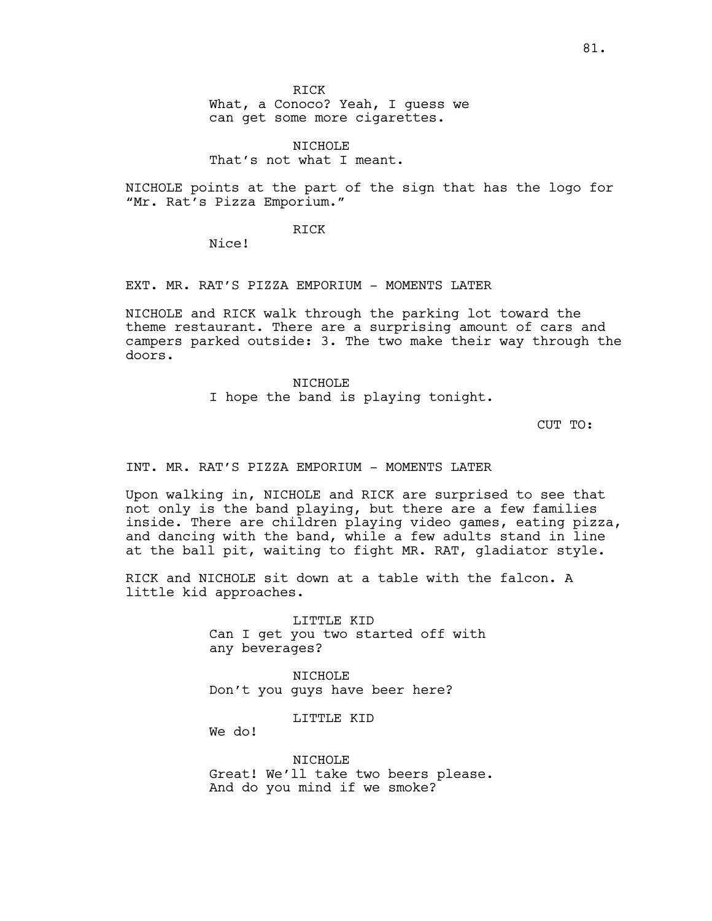What, a Conoco? Yeah, I guess we can get some more cigarettes.

NICHOLE That's not what I meant.

NICHOLE points at the part of the sign that has the logo for "Mr. Rat's Pizza Emporium."

RICK

Nice!

EXT. MR. RAT'S PIZZA EMPORIUM - MOMENTS LATER

NICHOLE and RICK walk through the parking lot toward the theme restaurant. There are a surprising amount of cars and campers parked outside: 3. The two make their way through the doors.

> NICHOLE I hope the band is playing tonight.

> > CUT TO:

INT. MR. RAT'S PIZZA EMPORIUM - MOMENTS LATER

Upon walking in, NICHOLE and RICK are surprised to see that not only is the band playing, but there are a few families inside. There are children playing video games, eating pizza, and dancing with the band, while a few adults stand in line at the ball pit, waiting to fight MR. RAT, gladiator style.

RICK and NICHOLE sit down at a table with the falcon. A little kid approaches.

> LITTLE KID Can I get you two started off with any beverages?

NICHOLE Don't you guys have beer here?

LITTLE KID

We do!

NICHOLE Great! We'll take two beers please. And do you mind if we smoke?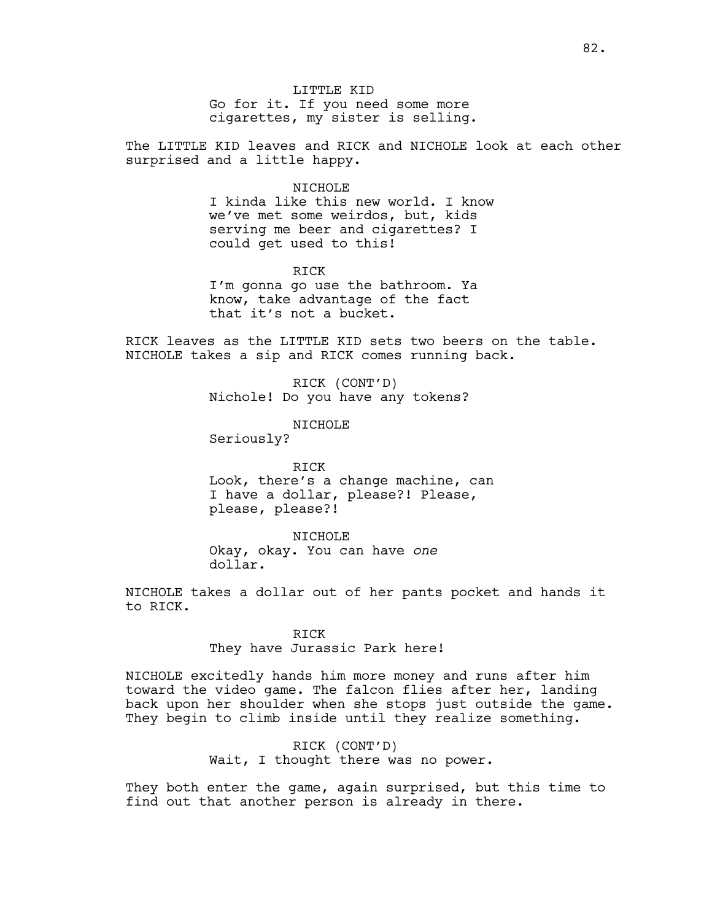LITTLE KID Go for it. If you need some more cigarettes, my sister is selling.

The LITTLE KID leaves and RICK and NICHOLE look at each other surprised and a little happy.

#### NICHOLE

I kinda like this new world. I know we've met some weirdos, but, kids serving me beer and cigarettes? I could get used to this!

RICK I'm gonna go use the bathroom. Ya know, take advantage of the fact that it's not a bucket.

RICK leaves as the LITTLE KID sets two beers on the table. NICHOLE takes a sip and RICK comes running back.

> RICK (CONT'D) Nichole! Do you have any tokens?

> > NICHOLE

Seriously?

RICK Look, there's a change machine, can I have a dollar, please?! Please, please, please?!

NICHOLE Okay, okay. You can have *one* dollar.

NICHOLE takes a dollar out of her pants pocket and hands it to RICK.

> RICK They have Jurassic Park here!

NICHOLE excitedly hands him more money and runs after him toward the video game. The falcon flies after her, landing back upon her shoulder when she stops just outside the game. They begin to climb inside until they realize something.

> RICK (CONT'D) Wait, I thought there was no power.

They both enter the game, again surprised, but this time to find out that another person is already in there.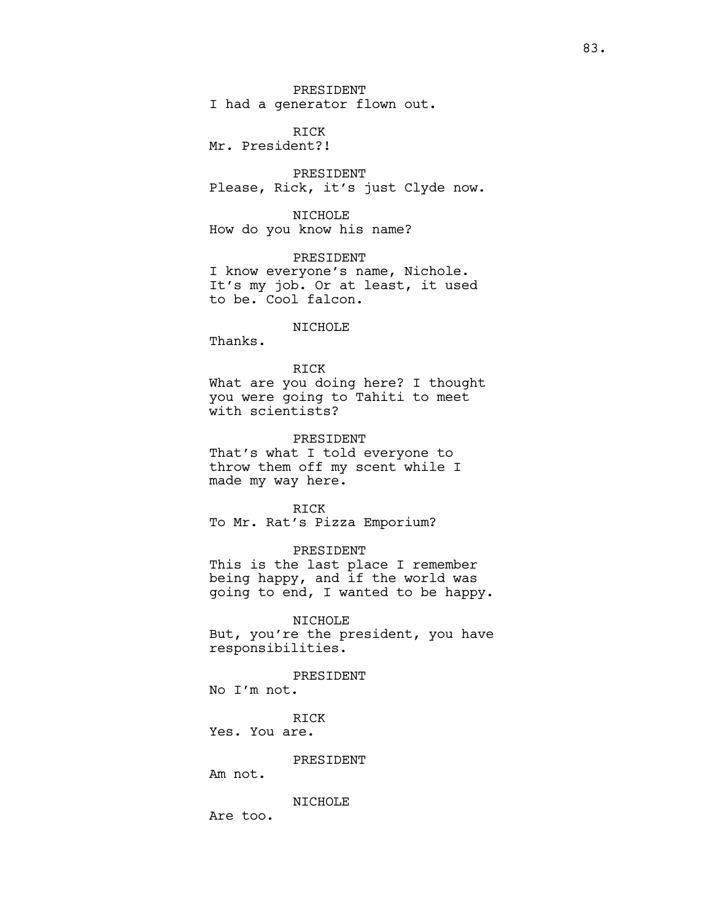PRESIDENT I had a generator flown out.

RICK Mr. President?!

PRESIDENT Please, Rick, it's just Clyde now.

NICHOLE How do you know his name?

PRESIDENT I know everyone's name, Nichole. It's my job. Or at least, it used to be. Cool falcon.

NICHOLE

Thanks.

RICK What are you doing here? I thought you were going to Tahiti to meet with scientists?

PRESIDENT That's what I told everyone to throw them off my scent while I made my way here.

RICK To Mr. Rat's Pizza Emporium?

PRESIDENT This is the last place I remember being happy, and if the world was

going to end, I wanted to be happy.

NICHOLE But, you're the president, you have responsibilities.

PRESIDENT No I'm not.

RICK Yes. You are.

PRESIDENT

Am not.

NICHOLE

Are too.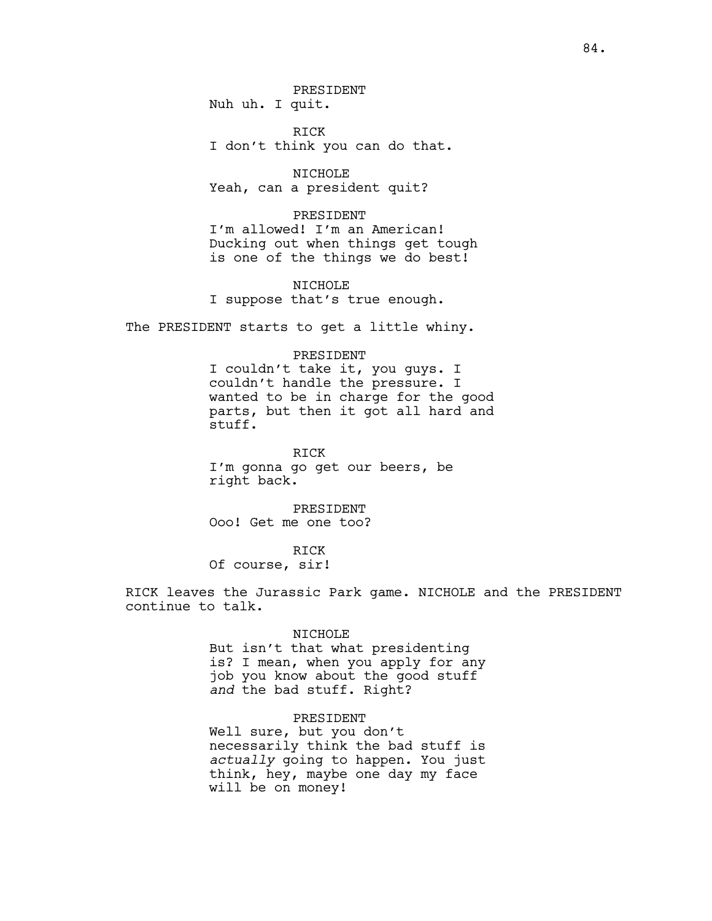PRESIDENT Nuh uh. I quit.

RICK I don't think you can do that.

NICHOLE Yeah, can a president quit?

PRESIDENT I'm allowed! I'm an American! Ducking out when things get tough is one of the things we do best!

NICHOLE I suppose that's true enough.

The PRESIDENT starts to get a little whiny.

#### PRESIDENT

I couldn't take it, you guys. I couldn't handle the pressure. I wanted to be in charge for the good parts, but then it got all hard and stuff.

RICK I'm gonna go get our beers, be right back.

PRESIDENT Ooo! Get me one too?

RICK Of course, sir!

RICK leaves the Jurassic Park game. NICHOLE and the PRESIDENT continue to talk.

#### NICHOLE

But isn't that what presidenting is? I mean, when you apply for any job you know about the good stuff *and* the bad stuff. Right?

#### PRESIDENT

Well sure, but you don't necessarily think the bad stuff is *actually* going to happen. You just think, hey, maybe one day my face will be on money!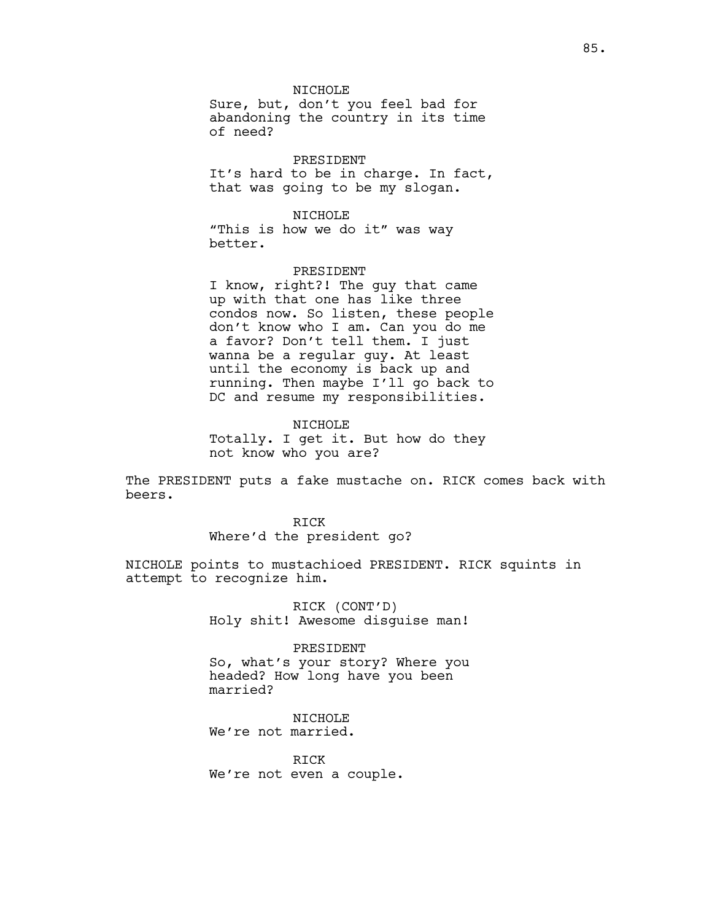#### NICHOLE

Sure, but, don't you feel bad for abandoning the country in its time of need?

PRESIDENT It's hard to be in charge. In fact, that was going to be my slogan.

NICHOLE "This is how we do it" was way better.

#### PRESIDENT

I know, right?! The guy that came up with that one has like three condos now. So listen, these people don't know who I am. Can you do me a favor? Don't tell them. I just wanna be a regular guy. At least until the economy is back up and running. Then maybe I'll go back to DC and resume my responsibilities.

NTCHOLE<sup></sup> Totally. I get it. But how do they not know who you are?

The PRESIDENT puts a fake mustache on. RICK comes back with beers.

> RICK Where'd the president go?

NICHOLE points to mustachioed PRESIDENT. RICK squints in attempt to recognize him.

> RICK (CONT'D) Holy shit! Awesome disguise man!

> PRESIDENT So, what's your story? Where you headed? How long have you been married?

NICHOLE We're not married.

RICK We're not even a couple.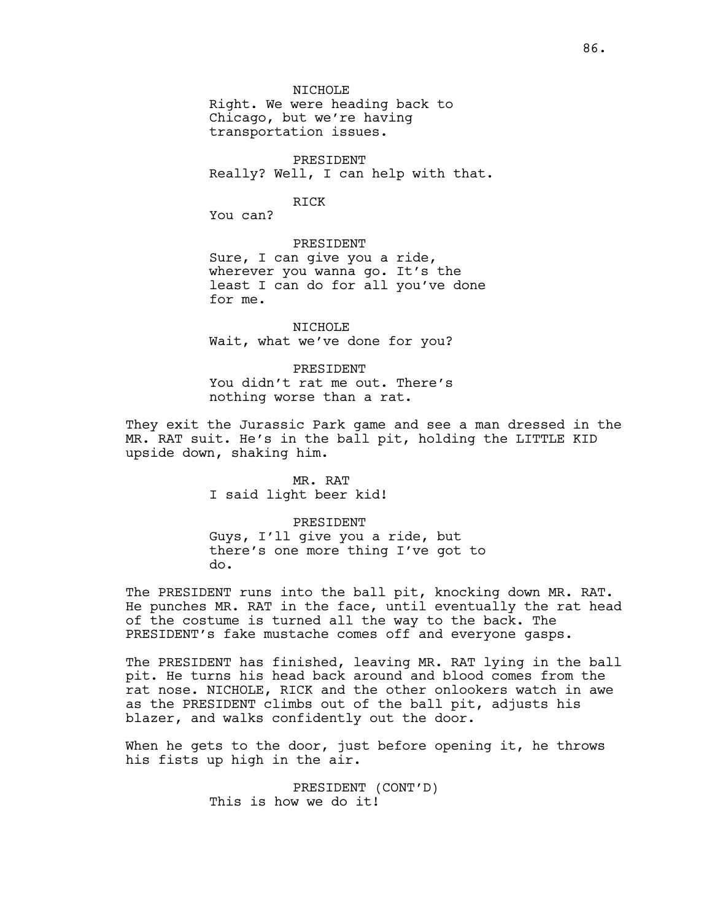NICHOLE

Right. We were heading back to Chicago, but we're having transportation issues.

PRESIDENT Really? Well, I can help with that.

#### RICK

You can?

#### PRESIDENT

Sure, I can give you a ride, wherever you wanna go. It's the least I can do for all you've done for me.

NICHOLE Wait, what we've done for you?

#### PRESIDENT

You didn't rat me out. There's nothing worse than a rat.

They exit the Jurassic Park game and see a man dressed in the MR. RAT suit. He's in the ball pit, holding the LITTLE KID upside down, shaking him.

> MR. RAT I said light beer kid!

# PRESIDENT Guys, I'll give you a ride, but there's one more thing I've got to do.

The PRESIDENT runs into the ball pit, knocking down MR. RAT. He punches MR. RAT in the face, until eventually the rat head of the costume is turned all the way to the back. The PRESIDENT's fake mustache comes off and everyone gasps.

The PRESIDENT has finished, leaving MR. RAT lying in the ball pit. He turns his head back around and blood comes from the rat nose. NICHOLE, RICK and the other onlookers watch in awe as the PRESIDENT climbs out of the ball pit, adjusts his blazer, and walks confidently out the door.

When he gets to the door, just before opening it, he throws his fists up high in the air.

> PRESIDENT (CONT'D) This is how we do it!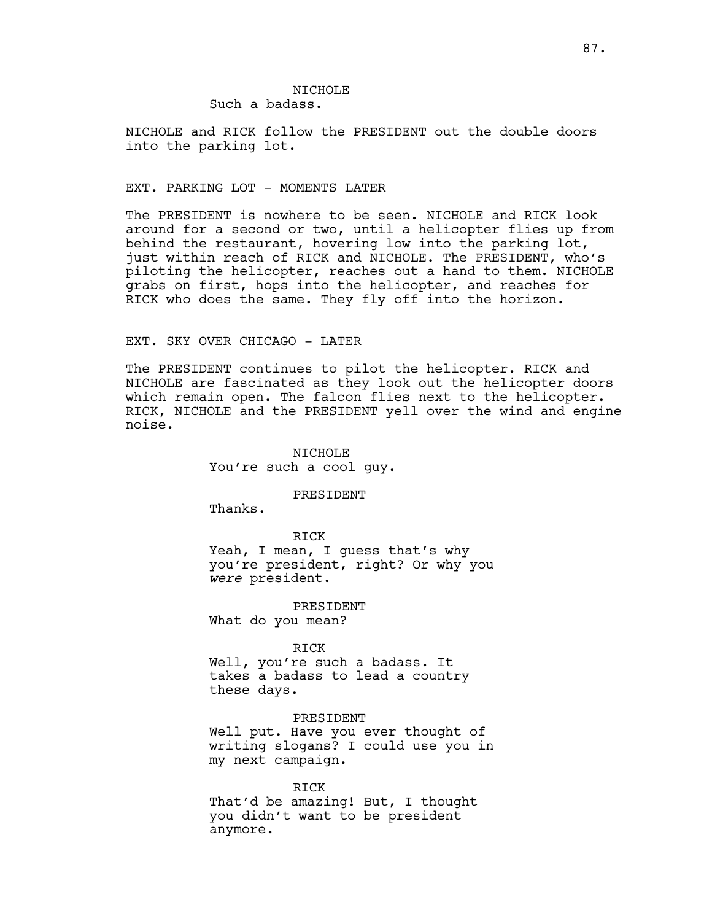# NTCHOLE<sup></sup>

Such a badass.

NICHOLE and RICK follow the PRESIDENT out the double doors into the parking lot.

#### EXT. PARKING LOT - MOMENTS LATER

The PRESIDENT is nowhere to be seen. NICHOLE and RICK look around for a second or two, until a helicopter flies up from behind the restaurant, hovering low into the parking lot, just within reach of RICK and NICHOLE. The PRESIDENT, who's piloting the helicopter, reaches out a hand to them. NICHOLE grabs on first, hops into the helicopter, and reaches for RICK who does the same. They fly off into the horizon.

#### EXT. SKY OVER CHICAGO - LATER

The PRESIDENT continues to pilot the helicopter. RICK and NICHOLE are fascinated as they look out the helicopter doors which remain open. The falcon flies next to the helicopter. RICK, NICHOLE and the PRESIDENT yell over the wind and engine noise.

> NICHOLE You're such a cool guy.

#### PRESIDENT

Thanks.

#### RICK

Yeah, I mean, I quess that's why you're president, right? Or why you *were* president.

PRESIDENT What do you mean?

#### RICK

Well, you're such a badass. It takes a badass to lead a country these days.

#### PRESIDENT

Well put. Have you ever thought of writing slogans? I could use you in my next campaign.

RICK

That'd be amazing! But, I thought you didn't want to be president anymore.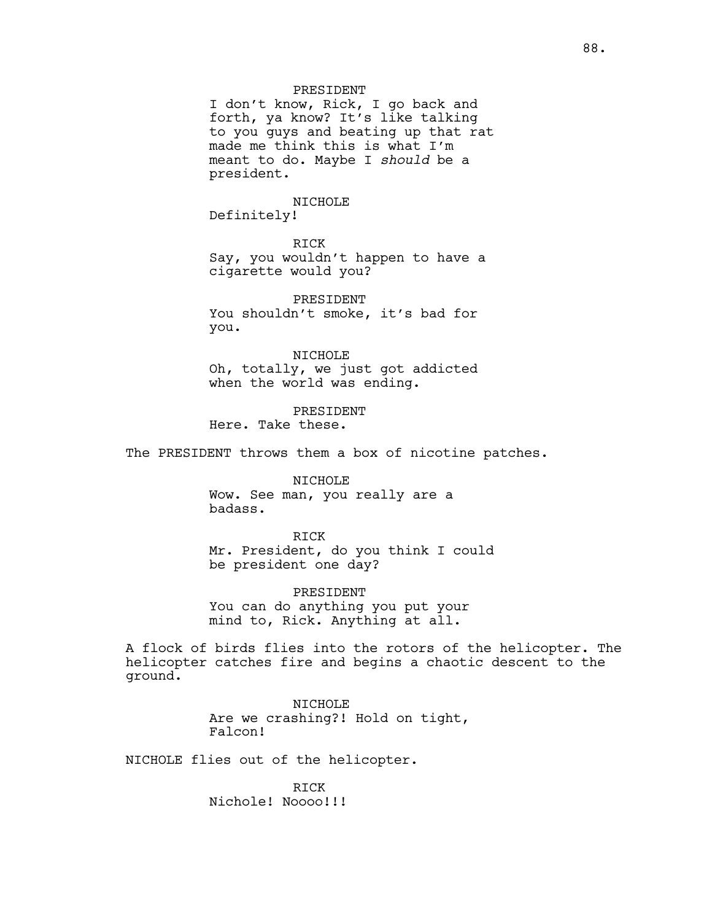# PRESIDENT

I don't know, Rick, I go back and forth, ya know? It's like talking to you guys and beating up that rat made me think this is what I'm meant to do. Maybe I *should* be a president.

#### NICHOLE

Definitely!

RICK

Say, you wouldn't happen to have a cigarette would you?

PRESIDENT You shouldn't smoke, it's bad for you.

NICHOLE Oh, totally, we just got addicted when the world was ending.

PRESIDENT Here. Take these.

The PRESIDENT throws them a box of nicotine patches.

NICHOLE

Wow. See man, you really are a badass.

RICK

Mr. President, do you think I could be president one day?

PRESIDENT You can do anything you put your mind to, Rick. Anything at all.

A flock of birds flies into the rotors of the helicopter. The helicopter catches fire and begins a chaotic descent to the ground.

> NICHOLE Are we crashing?! Hold on tight, Falcon!

NICHOLE flies out of the helicopter.

RICK Nichole! Noooo!!!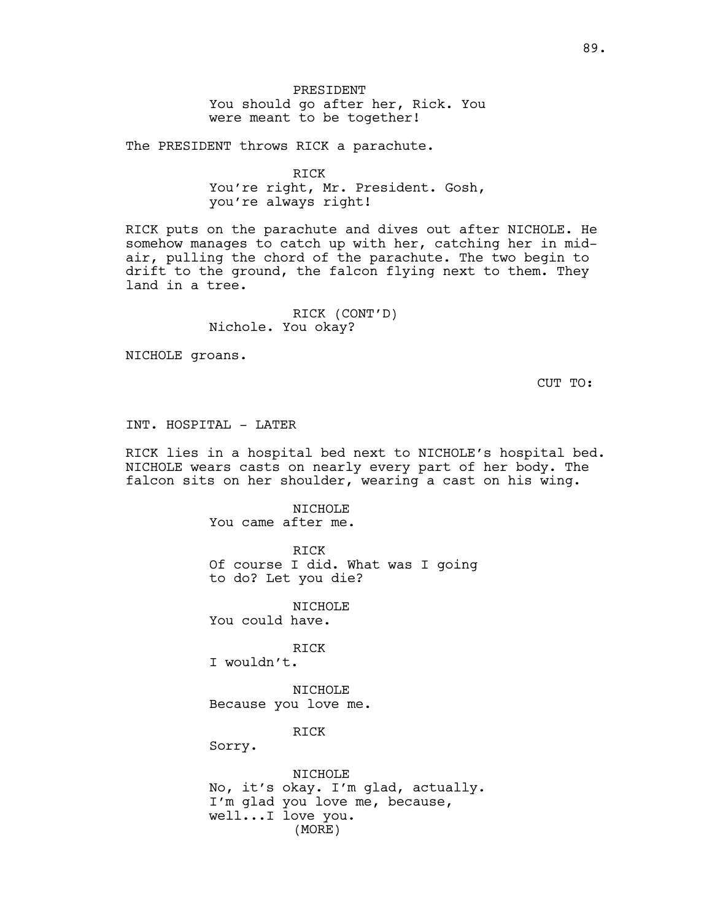The PRESIDENT throws RICK a parachute.

RICK You're right, Mr. President. Gosh, you're always right!

RICK puts on the parachute and dives out after NICHOLE. He somehow manages to catch up with her, catching her in midair, pulling the chord of the parachute. The two begin to drift to the ground, the falcon flying next to them. They land in a tree.

> RICK (CONT'D) Nichole. You okay?

NICHOLE groans.

CUT TO:

INT. HOSPITAL - LATER

RICK lies in a hospital bed next to NICHOLE's hospital bed. NICHOLE wears casts on nearly every part of her body. The falcon sits on her shoulder, wearing a cast on his wing.

> NICHOLE You came after me.

> > RICK

Of course I did. What was I going to do? Let you die?

NICHOLE

You could have.

RICK

I wouldn't.

NICHOLE Because you love me.

RICK

Sorry.

NICHOLE No, it's okay. I'm glad, actually. I'm glad you love me, because, well...I love you. (MORE)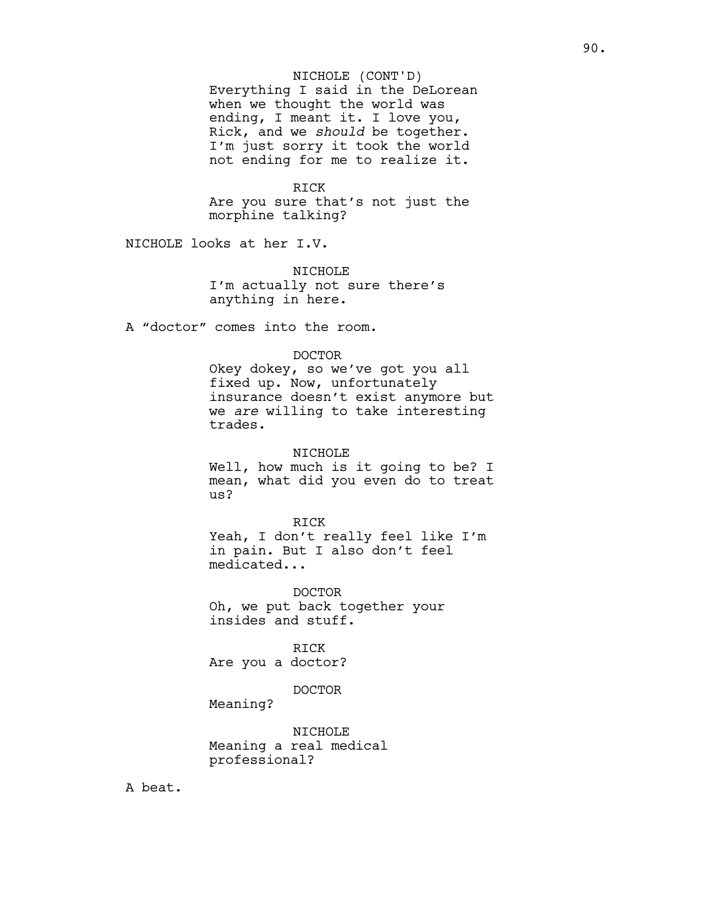#### NICHOLE (CONT'D)

Everything I said in the DeLorean when we thought the world was ending, I meant it. I love you, Rick, and we *should* be together. I'm just sorry it took the world not ending for me to realize it.

#### RICK

Are you sure that's not just the morphine talking?

NICHOLE looks at her I.V.

NTCHOLE<sup>1</sup> I'm actually not sure there's anything in here.

A "doctor" comes into the room.

# DOCTOR

Okey dokey, so we've got you all fixed up. Now, unfortunately insurance doesn't exist anymore but we *are* willing to take interesting trades.

NICHOLE Well, how much is it going to be? I mean, what did you even do to treat us?

RICK Yeah, I don't really feel like I'm in pain. But I also don't feel medicated...

DOCTOR Oh, we put back together your insides and stuff.

RICK Are you a doctor?

DOCTOR

Meaning?

NICHOLE Meaning a real medical professional?

A beat.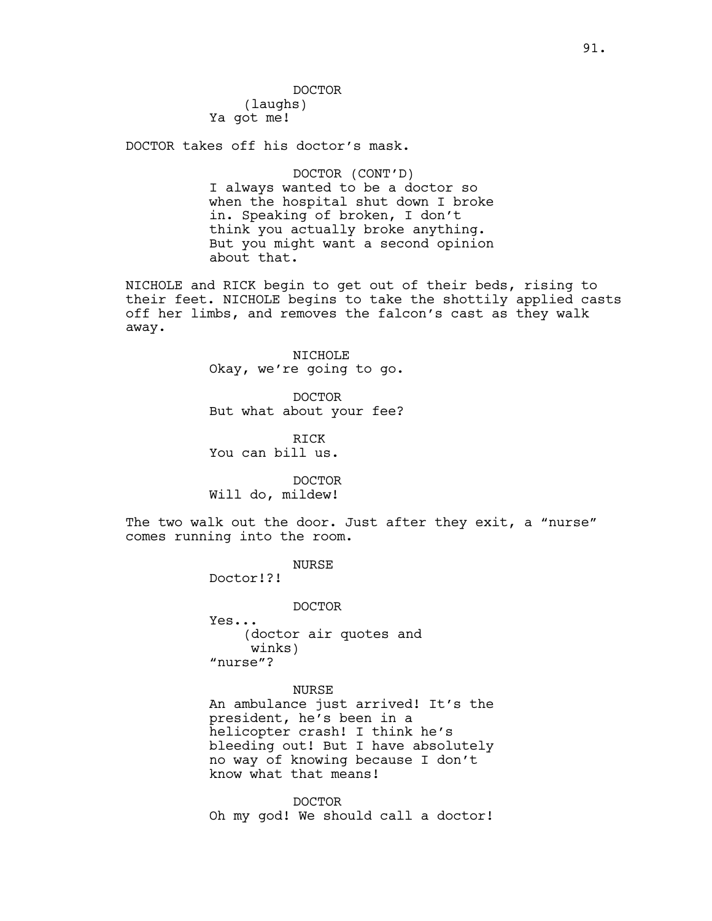DOCTOR (laughs) Ya got me!

DOCTOR takes off his doctor's mask.

DOCTOR (CONT'D) I always wanted to be a doctor so when the hospital shut down I broke in. Speaking of broken, I don't think you actually broke anything. But you might want a second opinion about that.

NICHOLE and RICK begin to get out of their beds, rising to their feet. NICHOLE begins to take the shottily applied casts off her limbs, and removes the falcon's cast as they walk away.

> NICHOLE Okay, we're going to go.

> DOCTOR But what about your fee?

RICK You can bill us.

DOCTOR Will do, mildew!

The two walk out the door. Just after they exit, a "nurse" comes running into the room.

NURSE

Doctor!?!

DOCTOR Yes... (doctor air quotes and winks) "nurse"?

NURSE An ambulance just arrived! It's the president, he's been in a helicopter crash! I think he's bleeding out! But I have absolutely no way of knowing because I don't know what that means!

DOCTOR Oh my god! We should call a doctor!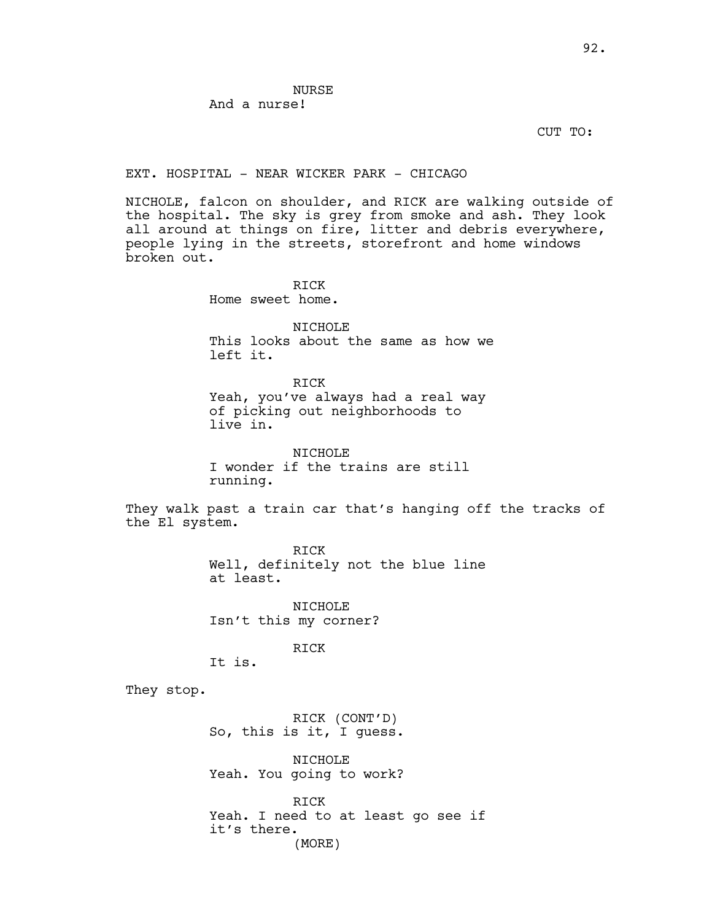**NURSE** And a nurse!

CUT TO:

#### EXT. HOSPITAL - NEAR WICKER PARK - CHICAGO

NICHOLE, falcon on shoulder, and RICK are walking outside of the hospital. The sky is grey from smoke and ash. They look all around at things on fire, litter and debris everywhere, people lying in the streets, storefront and home windows broken out.

RICK

Home sweet home.

NICHOLE This looks about the same as how we left it.

RICK

Yeah, you've always had a real way of picking out neighborhoods to live in.

NICHOLE I wonder if the trains are still running.

They walk past a train car that's hanging off the tracks of the El system.

> RICK Well, definitely not the blue line at least.

NICHOLE Isn't this my corner?

RICK

It is.

They stop.

RICK (CONT'D) So, this is it, I guess.

NICHOLE Yeah. You going to work?

RICK Yeah. I need to at least go see if it's there. (MORE)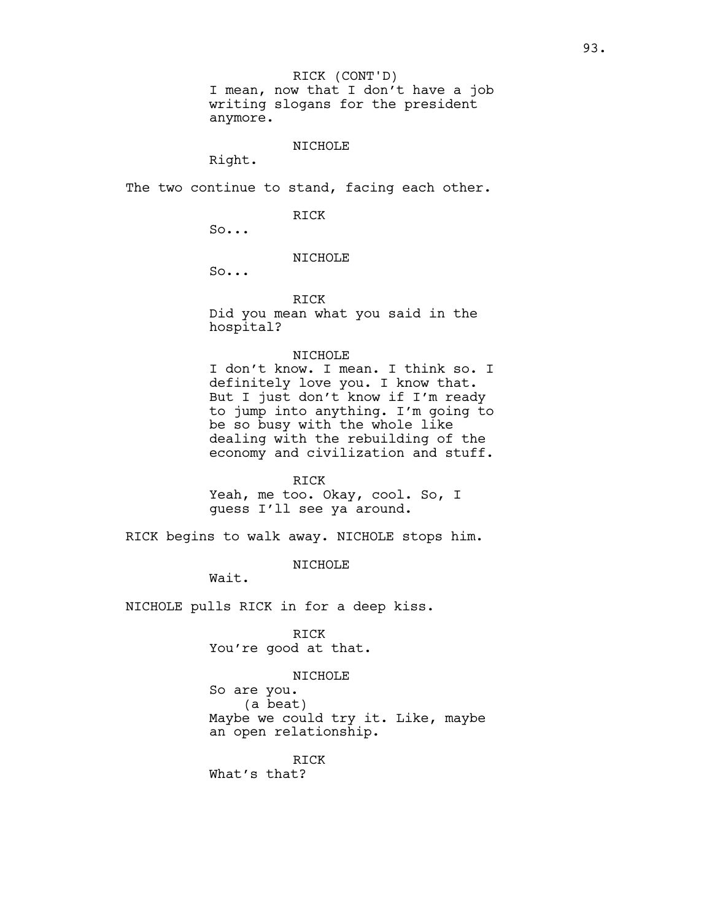I mean, now that I don't have a job writing slogans for the president anymore. RICK (CONT'D)

#### NICHOLE

Right.

The two continue to stand, facing each other.

#### RICK

So...

#### NICHOLE

So...

RICK

Did you mean what you said in the hospital?

#### NICHOLE

I don't know. I mean. I think so. I definitely love you. I know that. But I just don't know if I'm ready to jump into anything. I'm going to be so busy with the whole like dealing with the rebuilding of the economy and civilization and stuff.

#### RICK

Yeah, me too. Okay, cool. So, I guess I'll see ya around.

RICK begins to walk away. NICHOLE stops him.

NICHOLE

Wait.

NICHOLE pulls RICK in for a deep kiss.

RICK You're good at that.

#### NICHOLE

So are you. (a beat) Maybe we could try it. Like, maybe an open relationship.

RICK

What's that?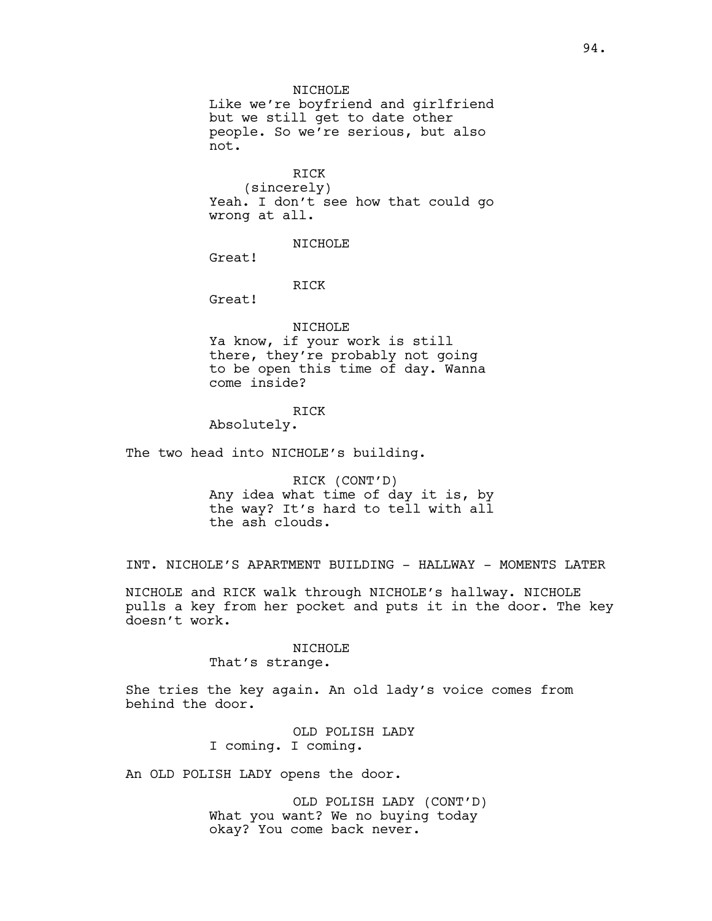#### NICHOLE

Like we're boyfriend and girlfriend but we still get to date other people. So we're serious, but also not.

# RICK

(sincerely) Yeah. I don't see how that could go wrong at all.

### NICHOLE

Great!

### RICK

Great!

# NICHOLE

Ya know, if your work is still there, they're probably not going to be open this time of day. Wanna come inside?

#### RICK

Absolutely.

The two head into NICHOLE's building.

RICK (CONT'D) Any idea what time of day it is, by the way? It's hard to tell with all the ash clouds.

INT. NICHOLE'S APARTMENT BUILDING - HALLWAY - MOMENTS LATER

NICHOLE and RICK walk through NICHOLE's hallway. NICHOLE pulls a key from her pocket and puts it in the door. The key doesn't work.

#### NICHOLE

That's strange.

She tries the key again. An old lady's voice comes from behind the door.

> OLD POLISH LADY I coming. I coming.

An OLD POLISH LADY opens the door.

OLD POLISH LADY (CONT'D) What you want? We no buying today okay? You come back never.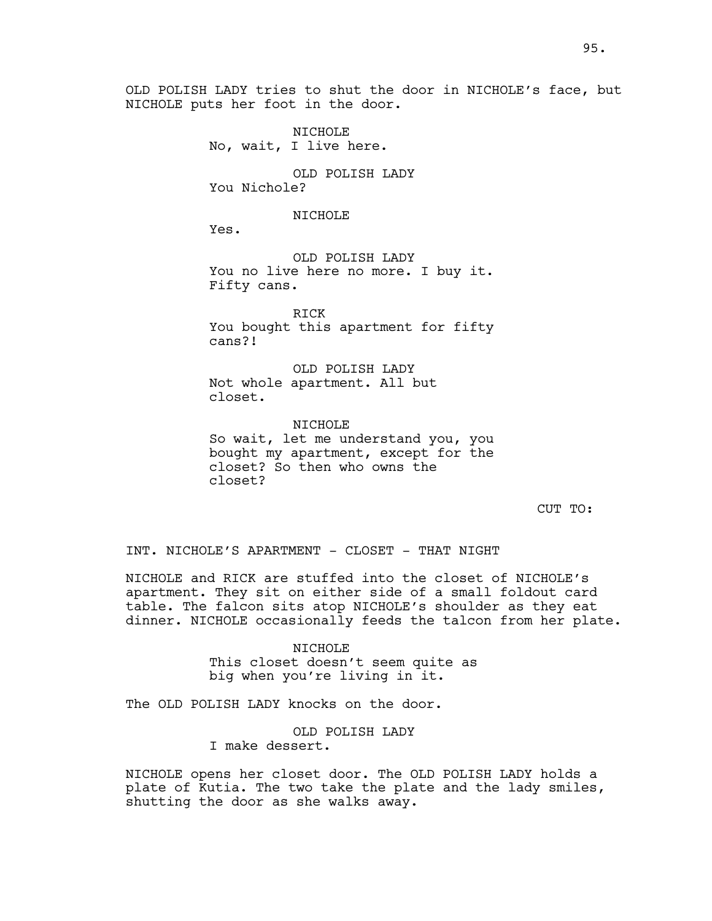OLD POLISH LADY tries to shut the door in NICHOLE's face, but NICHOLE puts her foot in the door.

> NICHOLE No, wait, I live here.

OLD POLISH LADY You Nichole?

#### NICHOLE

Yes.

OLD POLISH LADY You no live here no more. I buy it. Fifty cans.

RICK You bought this apartment for fifty cans?!

OLD POLISH LADY Not whole apartment. All but closet.

NTCHOLE<sup></sup> So wait, let me understand you, you bought my apartment, except for the closet? So then who owns the closet?

CUT TO:

INT. NICHOLE'S APARTMENT - CLOSET - THAT NIGHT

NICHOLE and RICK are stuffed into the closet of NICHOLE's apartment. They sit on either side of a small foldout card table. The falcon sits atop NICHOLE's shoulder as they eat dinner. NICHOLE occasionally feeds the talcon from her plate.

> NICHOLE This closet doesn't seem quite as big when you're living in it.

The OLD POLISH LADY knocks on the door.

OLD POLISH LADY I make dessert.

NICHOLE opens her closet door. The OLD POLISH LADY holds a plate of Kutia. The two take the plate and the lady smiles, shutting the door as she walks away.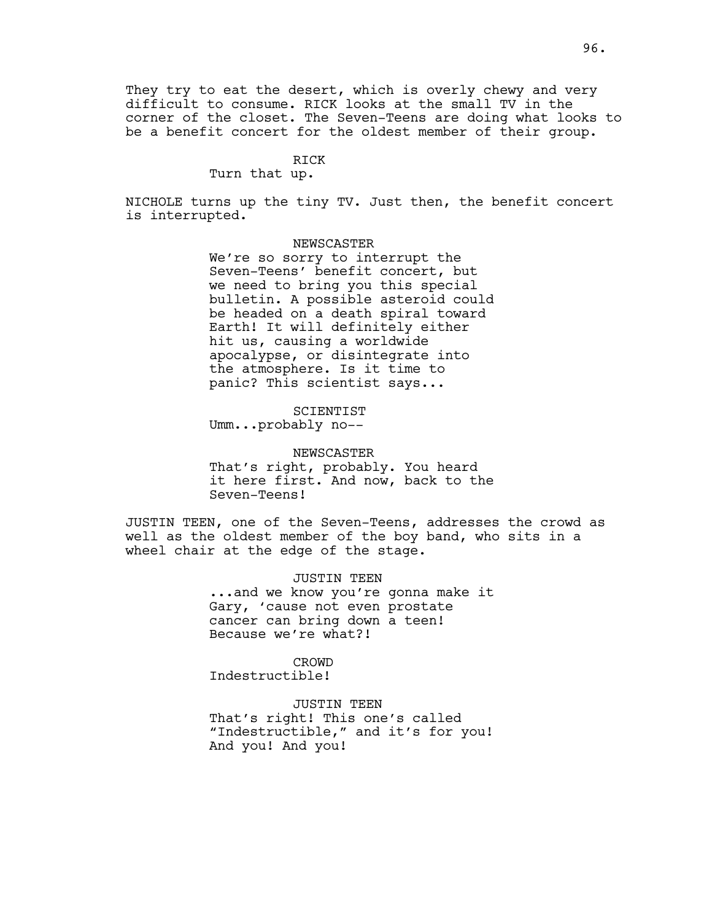They try to eat the desert, which is overly chewy and very difficult to consume. RICK looks at the small TV in the corner of the closet. The Seven-Teens are doing what looks to be a benefit concert for the oldest member of their group.

#### RICK

#### Turn that up.

NICHOLE turns up the tiny TV. Just then, the benefit concert is interrupted.

#### NEWSCASTER

We're so sorry to interrupt the Seven-Teens' benefit concert, but we need to bring you this special bulletin. A possible asteroid could be headed on a death spiral toward Earth! It will definitely either hit us, causing a worldwide apocalypse, or disintegrate into the atmosphere. Is it time to panic? This scientist says...

SCIENTIST Umm...probably no--

NEWSCASTER That's right, probably. You heard it here first. And now, back to the Seven-Teens!

JUSTIN TEEN, one of the Seven-Teens, addresses the crowd as well as the oldest member of the boy band, who sits in a wheel chair at the edge of the stage.

> JUSTIN TEEN ...and we know you're gonna make it Gary, 'cause not even prostate cancer can bring down a teen! Because we're what?!

CROWD Indestructible!

JUSTIN TEEN That's right! This one's called "Indestructible," and it's for you! And you! And you!